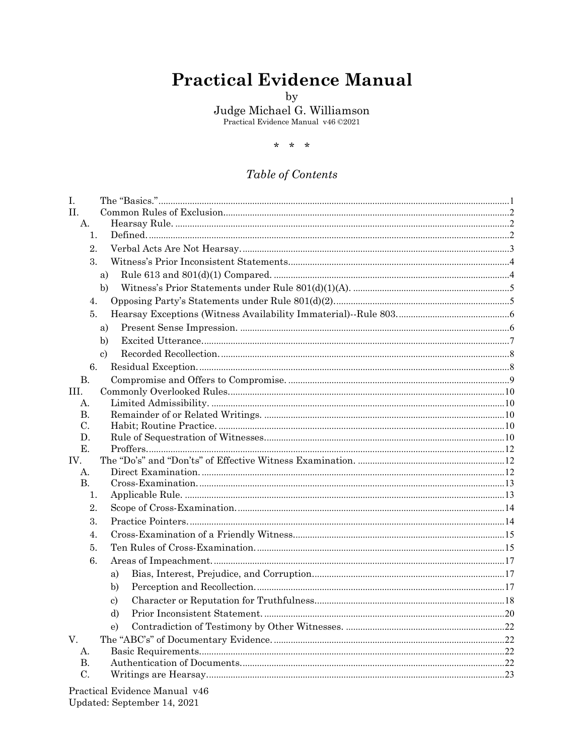# **Practical Evidence Manual**

 $_{\rm by}$ 

Judge Michael G. Williamson<br>Practical Evidence Manual v46 ©2021

 $* * *$ 

# Table of Contents

| Ι.                                                  |  |
|-----------------------------------------------------|--|
| П.                                                  |  |
| А.                                                  |  |
| $\mathbf{1}$ .                                      |  |
| 2.                                                  |  |
| 3.                                                  |  |
| a)                                                  |  |
| b)                                                  |  |
| 4.                                                  |  |
| 5.                                                  |  |
| a)                                                  |  |
| b)                                                  |  |
| $\mathbf{c}$                                        |  |
| 6.                                                  |  |
| <b>B.</b>                                           |  |
| III.                                                |  |
| Α.                                                  |  |
| В.                                                  |  |
| C.                                                  |  |
| D.                                                  |  |
| Ε.                                                  |  |
| IV.                                                 |  |
| А.                                                  |  |
| <b>B.</b>                                           |  |
| 1.                                                  |  |
| 2.                                                  |  |
| 3.                                                  |  |
| 4.                                                  |  |
| 5.                                                  |  |
| 6.                                                  |  |
| a)                                                  |  |
| b)                                                  |  |
| $\mathbf{c}$                                        |  |
| d)                                                  |  |
| $\epsilon$                                          |  |
| V.                                                  |  |
| А.                                                  |  |
| В.                                                  |  |
| C.                                                  |  |
| $D_{\text{mod}}$ $F_{\text{widon}}$ $M_{\text{on}}$ |  |

Practical Evidence Manual v46 Updated: September 14, 2021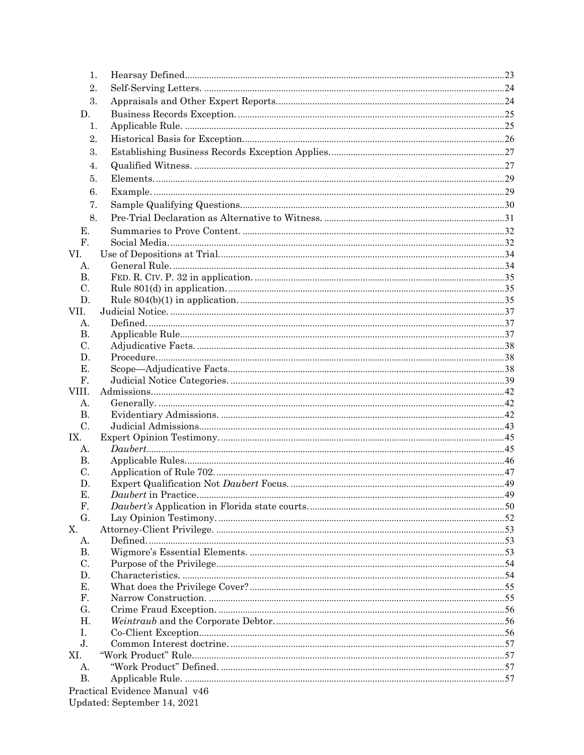| 1.             |                               |  |
|----------------|-------------------------------|--|
| 2.             |                               |  |
| 3.             |                               |  |
| D.             |                               |  |
|                |                               |  |
| 1.             |                               |  |
| 2.             |                               |  |
| 3.             |                               |  |
| 4.             |                               |  |
| 5.             |                               |  |
| 6.             |                               |  |
| 7.             |                               |  |
|                |                               |  |
| 8.             |                               |  |
| Е.             |                               |  |
| F.             |                               |  |
| VI.            |                               |  |
| А.             |                               |  |
| <b>B.</b>      |                               |  |
| C.             |                               |  |
| D.             |                               |  |
| VII.           |                               |  |
| А.             |                               |  |
| В.             |                               |  |
| C.             |                               |  |
| D.             |                               |  |
| Е.             |                               |  |
| F.             |                               |  |
| VIII.          |                               |  |
| А.             |                               |  |
| В.             |                               |  |
| C.             |                               |  |
| IX.            |                               |  |
| А.             |                               |  |
| В.             |                               |  |
| C.             |                               |  |
| D.             |                               |  |
| Е.             | Daubert in Practice           |  |
| F.             |                               |  |
| G.             |                               |  |
| X.             |                               |  |
| А.             |                               |  |
| <b>B.</b>      |                               |  |
| C.             |                               |  |
| D.             |                               |  |
| Е.             |                               |  |
| F.             |                               |  |
| G.             |                               |  |
| Η.             |                               |  |
| L.             |                               |  |
| J <sub>1</sub> |                               |  |
| XI.            |                               |  |
| А.             |                               |  |
| <b>B.</b>      |                               |  |
|                | Practical Evidence Manual v46 |  |
|                | Updated: September 14, 2021   |  |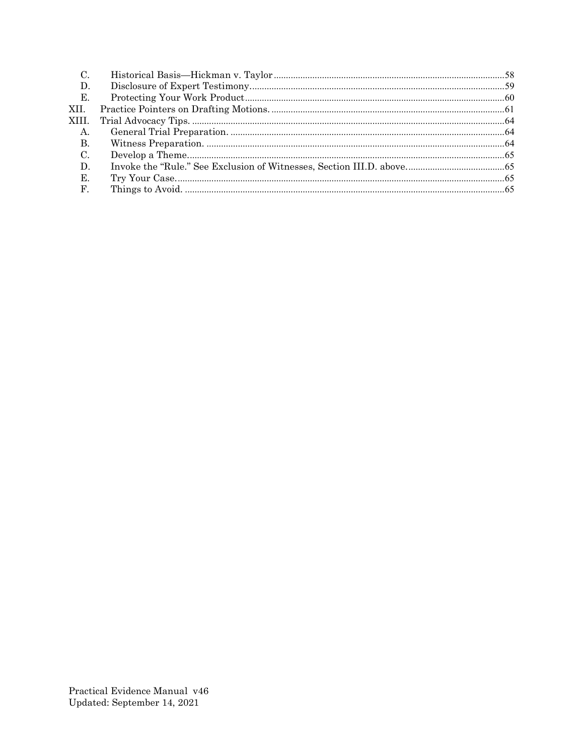| C.              |  |
|-----------------|--|
| D.              |  |
| Е.              |  |
| XII.            |  |
| XIII.           |  |
| A.              |  |
| <b>B.</b>       |  |
| $\mathcal{C}$ . |  |
| D.              |  |
| E.              |  |
| F.              |  |
|                 |  |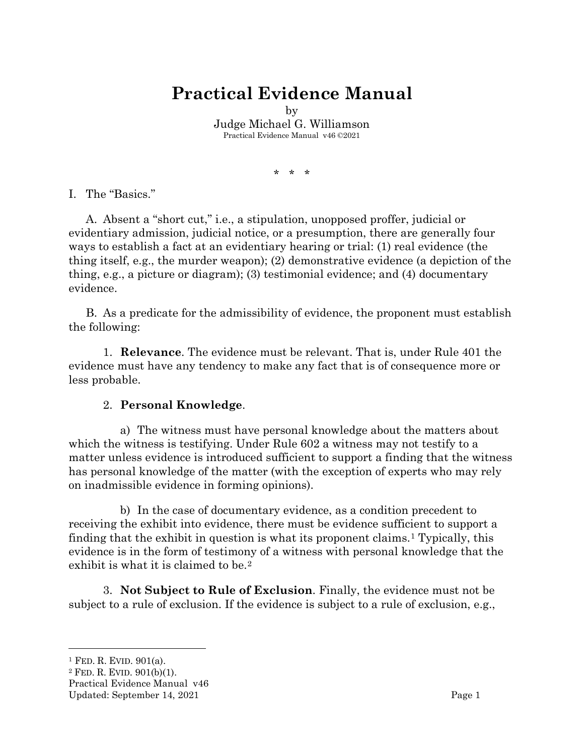# **Practical Evidence Manual**

by

Judge Michael G. Williamson Practical Evidence Manual v46 ©2021

\* \* \*

<span id="page-3-0"></span>I. The "Basics."

A. Absent a "short cut," i.e., a stipulation, unopposed proffer, judicial or evidentiary admission, judicial notice, or a presumption, there are generally four ways to establish a fact at an evidentiary hearing or trial: (1) real evidence (the thing itself, e.g., the murder weapon); (2) demonstrative evidence (a depiction of the thing, e.g., a picture or diagram); (3) testimonial evidence; and (4) documentary evidence.

B. As a predicate for the admissibility of evidence, the proponent must establish the following:

1. **Relevance**. The evidence must be relevant. That is, under Rule 401 the evidence must have any tendency to make any fact that is of consequence more or less probable.

#### 2. **Personal Knowledge**.

a) The witness must have personal knowledge about the matters about which the witness is testifying. Under Rule 602 a witness may not testify to a matter unless evidence is introduced sufficient to support a finding that the witness has personal knowledge of the matter (with the exception of experts who may rely on inadmissible evidence in forming opinions).

b) In the case of documentary evidence, as a condition precedent to receiving the exhibit into evidence, there must be evidence sufficient to support a finding that the exhibit in question is what its proponent claims.[1](#page-3-1) Typically, this evidence is in the form of testimony of a witness with personal knowledge that the exhibit is what it is claimed to be.[2](#page-3-2)

3. **Not Subject to Rule of Exclusion**. Finally, the evidence must not be subject to a rule of exclusion. If the evidence is subject to a rule of exclusion, e.g.,

<span id="page-3-1"></span><sup>1</sup> FED. R. EVID. 901(a).

<span id="page-3-2"></span><sup>2</sup> FED. R. EVID. 901(b)(1).

Practical Evidence Manual v46

Updated: September 14, 2021 Page 1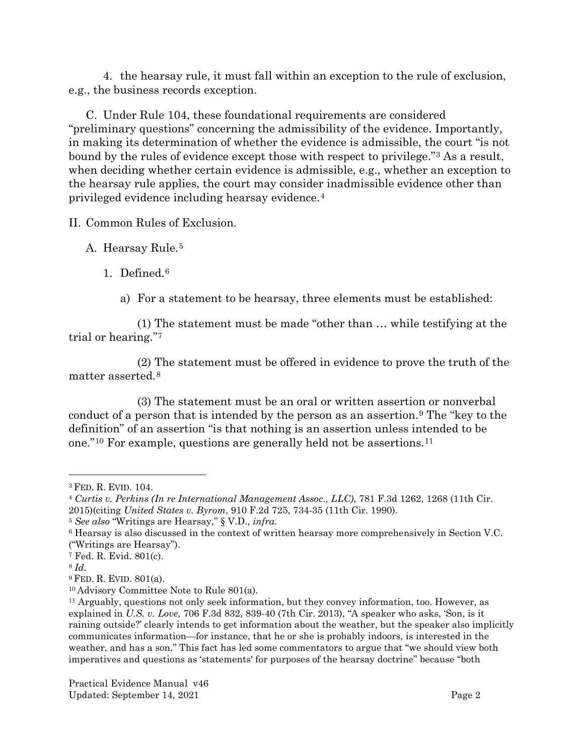4. the hearsay rule, it must fall within an exception to the rule of exclusion, e.g., the business records exception.

C. Under Rule 104, these foundational requirements are considered "preliminary questions" concerning the admissibility of the evidence. Importantly, in making its determination of whether the evidence is admissible, the court "is not bound by the rules of evidence except those with respect to privilege."[3](#page-4-3) As a result, when deciding whether certain evidence is admissible, e.g., whether an exception to the hearsay rule applies, the court may consider inadmissible evidence other than privileged evidence including hearsay evidence.[4](#page-4-4)

<span id="page-4-0"></span>II. Common Rules of Exclusion.

<span id="page-4-2"></span><span id="page-4-1"></span>A. Hearsay Rule.[5](#page-4-5)

1. Defined.[6](#page-4-6)

a) For a statement to be hearsay, three elements must be established:

(1) The statement must be made "other than … while testifying at the trial or hearing."[7](#page-4-7)

(2) The statement must be offered in evidence to prove the truth of the matter asserted.[8](#page-4-8)

(3) The statement must be an oral or written assertion or nonverbal conduct of a person that is intended by the person as an assertion.[9](#page-4-9) The "key to the definition" of an assertion "is that nothing is an assertion unless intended to be one."[10](#page-4-10) For example, questions are generally held not be assertions.[11](#page-4-11)

<span id="page-4-3"></span><sup>3</sup> FED. R. EVID. 104.

<span id="page-4-4"></span><sup>4</sup> *Curtis v. Perkins (In re International Management Assoc., LLC)*, 781 F.3d 1262, 1268 (11th Cir. 2015)(citing *United States v. Byrom*, 910 F.2d 725, 734-35 (11th Cir. 1990).

<span id="page-4-5"></span><sup>5</sup> *See also* "Writings are Hearsay," § V.D., *infra.*

<span id="page-4-6"></span><sup>6</sup> Hearsay is also discussed in the context of written hearsay more comprehensively in Section V.C. ("Writings are Hearsay").

<span id="page-4-7"></span><sup>7</sup> Fed. R. Evid. 801(c).

<span id="page-4-8"></span><sup>8</sup> *Id.*

<span id="page-4-9"></span><sup>9</sup> FED. R. EVID. 801(a).

<span id="page-4-10"></span><sup>10</sup> Advisory Committee Note to Rule 801(a).

<span id="page-4-11"></span><sup>11</sup> Arguably, questions not only seek information, but they convey information, too. However, as explained in *U.S. v. Love,* 706 F.3d 832, 839-40 (7th Cir. 2013), "A speaker who asks, 'Son, is it raining outside?' clearly intends to get information about the weather, but the speaker also implicitly communicates information—for instance, that he or she is probably indoors, is interested in the weather, and has a son." This fact has led some commentators to argue that "we should view both imperatives and questions as 'statements' for purposes of the hearsay doctrine" because "both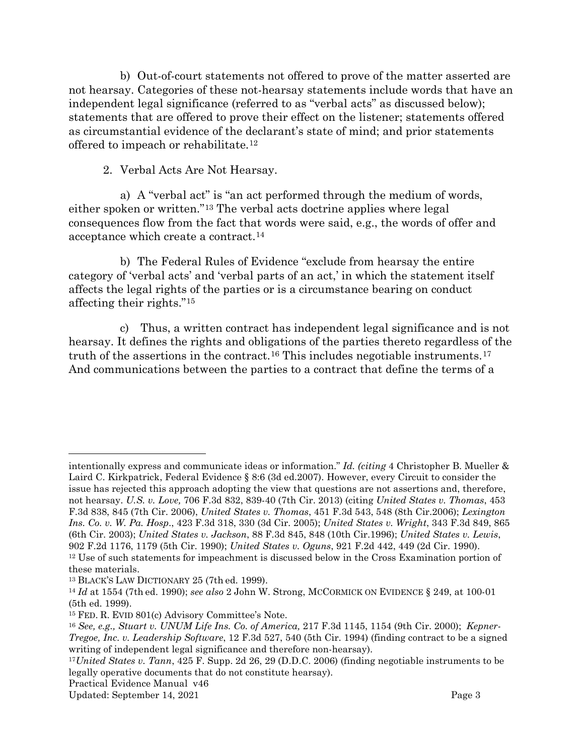b) Out-of-court statements not offered to prove of the matter asserted are not hearsay. Categories of these not-hearsay statements include words that have an independent legal significance (referred to as "verbal acts" as discussed below); statements that are offered to prove their effect on the listener; statements offered as circumstantial evidence of the declarant's state of mind; and prior statements offered to impeach or rehabilitate.[12](#page-5-1)

2. Verbal Acts Are Not Hearsay.

<span id="page-5-0"></span>a) A "verbal act" is "an act performed through the medium of words, either spoken or written."[13](#page-5-2) The verbal acts doctrine applies where legal consequences flow from the fact that words were said, e.g., the words of offer and acceptance which create a contract[.14](#page-5-3)

b) The Federal Rules of Evidence "exclude from hearsay the entire category of 'verbal acts' and 'verbal parts of an act,' in which the statement itself affects the legal rights of the parties or is a circumstance bearing on conduct affecting their rights."[15](#page-5-4)

c) Thus, a written contract has independent legal significance and is not hearsay. It defines the rights and obligations of the parties thereto regardless of the truth of the assertions in the contract.<sup>[16](#page-5-5)</sup> This includes negotiable instruments.<sup>[17](#page-5-6)</sup> And communications between the parties to a contract that define the terms of a

intentionally express and communicate ideas or information." *Id. (citing* 4 Christopher B. Mueller & Laird C. Kirkpatrick, Federal Evidence § 8:6 (3d ed.2007). However, every Circuit to consider the issue has rejected this approach adopting the view that questions are not assertions and, therefore, not hearsay. *U.S. v. Love,* 706 F.3d 832, 839-40 (7th Cir. 2013) (citing *United States v. Thomas*, 453 F.3d 838, 845 (7th Cir. 2006), *United States v. Thomas*, 451 F.3d 543, 548 (8th Cir.2006); *Lexington Ins. Co. v. W. Pa. Hosp*., 423 F.3d 318, 330 (3d Cir. 2005); *United States v. Wright*, 343 F.3d 849, 865 (6th Cir. 2003); *United States v. Jackson*, 88 F.3d 845, 848 (10th Cir.1996); *United States v. Lewis*, 902 F.2d 1176, 1179 (5th Cir. 1990); *United States v. Oguns*, 921 F.2d 442, 449 (2d Cir. 1990). <sup>12</sup> Use of such statements for impeachment is discussed below in the Cross Examination portion of these materials.

<span id="page-5-2"></span><span id="page-5-1"></span><sup>13</sup> BLACK'S LAW DICTIONARY 25 (7th ed. 1999).

<span id="page-5-3"></span><sup>14</sup> *Id* at 1554 (7th ed. 1990); *see also* 2 John W. Strong, MCCORMICK ON EVIDENCE § 249, at 100-01 (5th ed. 1999).

<span id="page-5-4"></span><sup>15</sup> FED. R. EVID 801(c) Advisory Committee's Note.

<span id="page-5-5"></span><sup>16</sup> *See, e.g., Stuart v. UNUM Life Ins. Co. of America,* 217 F.3d 1145, 1154 (9th Cir. 2000); *Kepner-Tregoe, Inc. v. Leadership Software*, 12 F.3d 527, 540 (5th Cir. 1994) (finding contract to be a signed writing of independent legal significance and therefore non-hearsay).

<span id="page-5-6"></span><sup>17</sup>*United States v. Tann*, 425 F. Supp. 2d 26, 29 (D.D.C. 2006) (finding negotiable instruments to be legally operative documents that do not constitute hearsay).

Practical Evidence Manual v46

Updated: September 14, 2021 Page 3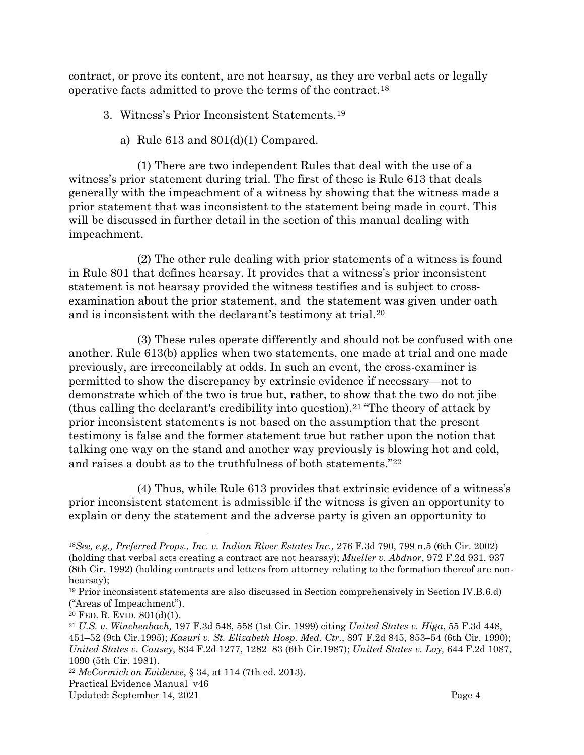contract, or prove its content, are not hearsay, as they are verbal acts or legally operative facts admitted to prove the terms of the contract.[18](#page-6-2)

- <span id="page-6-0"></span>3. Witness's Prior Inconsistent Statements.[19](#page-6-3)
	- a) Rule 613 and 801(d)(1) Compared.

<span id="page-6-1"></span>(1) There are two independent Rules that deal with the use of a witness's prior statement during trial. The first of these is Rule 613 that deals generally with the impeachment of a witness by showing that the witness made a prior statement that was inconsistent to the statement being made in court. This will be discussed in further detail in the section of this manual dealing with impeachment.

(2) The other rule dealing with prior statements of a witness is found in Rule 801 that defines hearsay. It provides that a witness's prior inconsistent statement is not hearsay provided the witness testifies and is subject to crossexamination about the prior statement, and the statement was given under oath and is inconsistent with the declarant's testimony at trial.[20](#page-6-4)

(3) These rules operate differently and should not be confused with one another. Rule 613(b) applies when two statements, one made at trial and one made previously, are irreconcilably at odds. In such an event, the cross-examiner is permitted to show the discrepancy by extrinsic evidence if necessary—not to demonstrate which of the two is true but, rather, to show that the two do not jibe (thus calling the declarant's credibility into question).[21](#page-6-5) "The theory of attack by prior inconsistent statements is not based on the assumption that the present testimony is false and the former statement true but rather upon the notion that talking one way on the stand and another way previously is blowing hot and cold, and raises a doubt as to the truthfulness of both statements."[22](#page-6-6)

(4) Thus, while Rule 613 provides that extrinsic evidence of a witness's prior inconsistent statement is admissible if the witness is given an opportunity to explain or deny the statement and the adverse party is given an opportunity to

<span id="page-6-6"></span><sup>22</sup> *McCormick on Evidence*, § 34, at 114 (7th ed. 2013).

<span id="page-6-2"></span><sup>18</sup>*See, e.g., Preferred Props., Inc. v. Indian River Estates Inc.,* 276 F.3d 790, 799 n.5 (6th Cir. 2002) (holding that verbal acts creating a contract are not hearsay); *Mueller v. Abdnor*, 972 F.2d 931, 937 (8th Cir. 1992) (holding contracts and letters from attorney relating to the formation thereof are nonhearsay);

<span id="page-6-3"></span><sup>19</sup> Prior inconsistent statements are also discussed in Section comprehensively in Section IV.B.6.d) ("Areas of Impeachment").

<span id="page-6-4"></span> $20$  FED. R. EVID.  $801(d)(1)$ .

<span id="page-6-5"></span><sup>21</sup> *U.S. v. Winchenbach,* 197 F.3d 548, 558 (1st Cir. 1999) citing *United States v. Higa*, 55 F.3d 448, 451–52 (9th Cir.1995); *Kasuri v. St. Elizabeth Hosp. Med. Ctr.*, 897 F.2d 845, 853–54 (6th Cir. 1990); *United States v. Causey*, 834 F.2d 1277, 1282–83 (6th Cir.1987); *United States v. Lay,* 644 F.2d 1087, 1090 (5th Cir. 1981).

Practical Evidence Manual v46

Updated: September 14, 2021 Page 4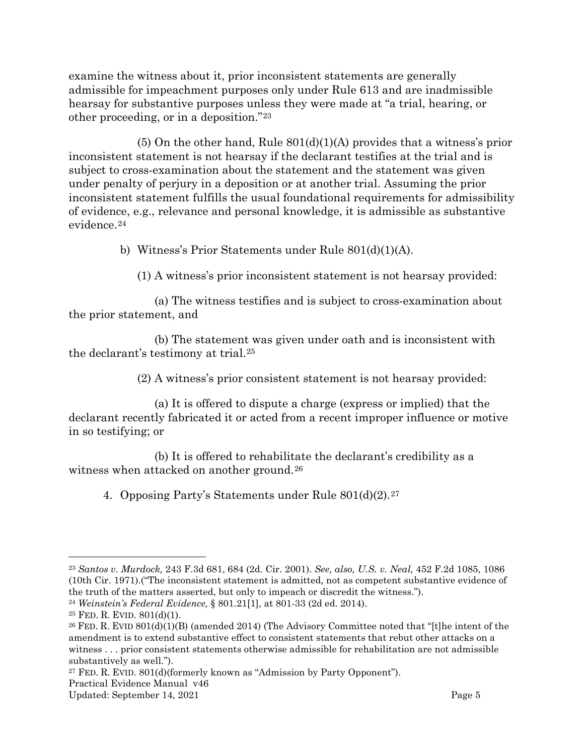examine the witness about it, prior inconsistent statements are generally admissible for impeachment purposes only under Rule 613 and are inadmissible hearsay for substantive purposes unless they were made at "a trial, hearing, or other proceeding, or in a deposition."[23](#page-7-2)

 $(5)$  On the other hand, Rule  $801(d)(1)(A)$  provides that a witness's prior inconsistent statement is not hearsay if the declarant testifies at the trial and is subject to cross-examination about the statement and the statement was given under penalty of perjury in a deposition or at another trial. Assuming the prior inconsistent statement fulfills the usual foundational requirements for admissibility of evidence, e.g., relevance and personal knowledge, it is admissible as substantive evidence.[24](#page-7-3)

b) Witness's Prior Statements under Rule 801(d)(1)(A).

(1) A witness's prior inconsistent statement is not hearsay provided:

<span id="page-7-0"></span>(a) The witness testifies and is subject to cross-examination about the prior statement, and

(b) The statement was given under oath and is inconsistent with the declarant's testimony at trial.[25](#page-7-4)

(2) A witness's prior consistent statement is not hearsay provided:

(a) It is offered to dispute a charge (express or implied) that the declarant recently fabricated it or acted from a recent improper influence or motive in so testifying; or

(b) It is offered to rehabilitate the declarant's credibility as a witness when attacked on another ground.<sup>[26](#page-7-5)</sup>

<span id="page-7-1"></span>4. Opposing Party's Statements under Rule 801(d)(2).[27](#page-7-6)

<span id="page-7-2"></span><sup>23</sup> *Santos v. Murdock,* 243 F.3d 681, 684 (2d. Cir. 2001). *See, also, U.S. v. Neal,* 452 F.2d 1085, 1086 (10th Cir. 1971).("The inconsistent statement is admitted, not as competent substantive evidence of the truth of the matters asserted, but only to impeach or discredit the witness.").

<span id="page-7-3"></span><sup>24</sup> *Weinstein's Federal Evidence,* § 801.21[1], at 801-33 (2d ed. 2014).

<span id="page-7-4"></span> $25$  FED. R. EVID.  $801(d)(1)$ .

<span id="page-7-5"></span><sup>&</sup>lt;sup>26</sup> FED. R. EVID 801(d)(1)(B) (amended 2014) (The Advisory Committee noted that "[t]he intent of the amendment is to extend substantive effect to consistent statements that rebut other attacks on a witness . . . prior consistent statements otherwise admissible for rehabilitation are not admissible substantively as well.").

<span id="page-7-6"></span><sup>27</sup> FED. R. EVID. 801(d)(formerly known as "Admission by Party Opponent").

Practical Evidence Manual v46

Updated: September 14, 2021 **Page 5**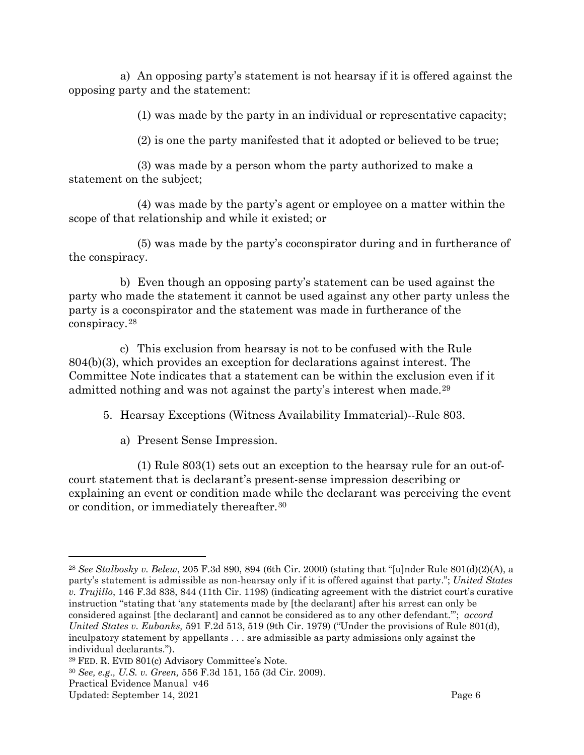a) An opposing party's statement is not hearsay if it is offered against the opposing party and the statement:

(1) was made by the party in an individual or representative capacity;

(2) is one the party manifested that it adopted or believed to be true;

(3) was made by a person whom the party authorized to make a statement on the subject;

(4) was made by the party's agent or employee on a matter within the scope of that relationship and while it existed; or

(5) was made by the party's coconspirator during and in furtherance of the conspiracy.

b) Even though an opposing party's statement can be used against the party who made the statement it cannot be used against any other party unless the party is a coconspirator and the statement was made in furtherance of the conspiracy.[28](#page-8-2)

c) This exclusion from hearsay is not to be confused with the Rule 804(b)(3), which provides an exception for declarations against interest. The Committee Note indicates that a statement can be within the exclusion even if it admitted nothing and was not against the party's interest when made.[29](#page-8-3)

<span id="page-8-0"></span>5. Hearsay Exceptions (Witness Availability Immaterial)--Rule 803.

a) Present Sense Impression.

<span id="page-8-1"></span>(1) [Rule](https://1.next.westlaw.com/Link/Document/FullText?findType=L&pubNum=1004365&cite=USFRER803&originatingDoc=I486213b1fde811ddb6a3a099756c05b7&refType=LQ&originationContext=document&transitionType=DocumentItem&contextData=(sc.UserEnteredCitation)) 803(1) sets out an exception to the hearsay rule for an out-ofcourt statement that is declarant's present-sense impression describing or explaining an event or condition made while the declarant was perceiving the event or condition, or immediately thereafter.[30](#page-8-4)

<span id="page-8-2"></span><sup>28</sup> *See Stalbosky v. Belew*, 205 F.3d 890, 894 (6th Cir. 2000) (stating that "[u]nder Rule 801(d)(2)(A), a party's statement is admissible as non-hearsay only if it is offered against that party."; *United States v. Trujillo*, 146 F.3d 838, 844 (11th Cir. 1198) (indicating agreement with the district court's curative instruction "stating that 'any statements made by [the declarant] after his arrest can only be considered against [the declarant] and cannot be considered as to any other defendant.'"; *accord United States v. Eubanks,* 591 F.2d 513, 519 (9th Cir. 1979) ("Under the provisions of Rule 801(d), inculpatory statement by appellants . . . are admissible as party admissions only against the individual declarants.").

<span id="page-8-3"></span><sup>29</sup> FED. R. EVID 801(c) Advisory Committee's Note.

<span id="page-8-4"></span><sup>30</sup> *See, e.g., U.S. v. Green,* 556 F.3d 151, 155 (3d Cir. 2009).

Practical Evidence Manual v46

Updated: September 14, 2021 Page 6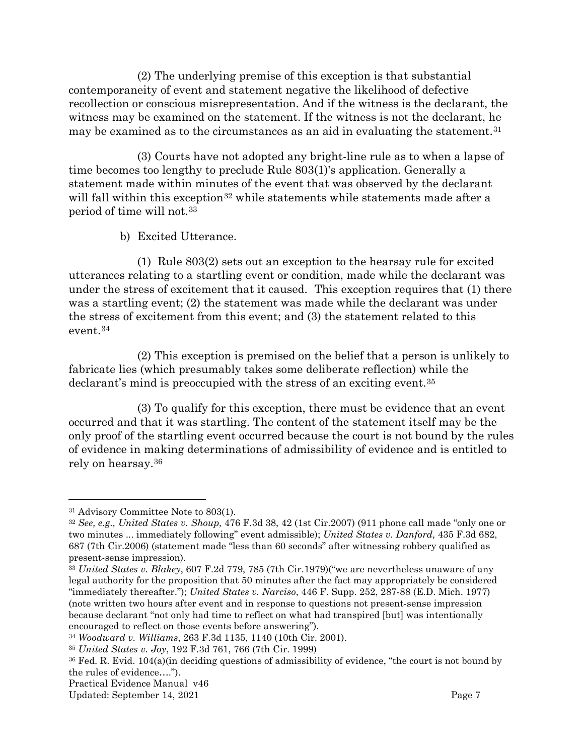(2) The underlying premise of this exception is that substantial contemporaneity of event and statement negative the likelihood of defective recollection or conscious misrepresentation. And if the witness is the declarant, the witness may be examined on the statement. If the witness is not the declarant, he may be examined as to the circumstances as an aid in evaluating the statement.[31](#page-9-1)

(3) Courts have not adopted any bright-line rule as to when a lapse of time becomes too lengthy to preclude Rule 803(1)'s application. Generally a statement made within minutes of the event that was observed by the declarant will fall within this exception<sup>[32](#page-9-2)</sup> while statements while statements made after a period of time will not.[33](#page-9-3) 

b) Excited Utterance.

<span id="page-9-0"></span>(1) [Rule](https://1.next.westlaw.com/Link/Document/FullText?findType=L&pubNum=1004365&cite=USFRER803&originatingDoc=I486213b1fde811ddb6a3a099756c05b7&refType=LQ&originationContext=document&transitionType=DocumentItem&contextData=(sc.UserEnteredCitation)) 803(2) sets out an exception to the hearsay rule for excited utterances relating to a startling event or condition, made while the declarant was under the stress of excitement that it caused. This exception requires that (1) there was a startling event; (2) the statement was made while the declarant was under the stress of excitement from this event; and (3) the statement related to this event.[34](#page-9-4)

(2) This exception is premised on the belief that a person is unlikely to fabricate lies (which presumably takes some deliberate reflection) while the declarant's mind is preoccupied with the stress of an exciting event.[35](#page-9-5)

(3) To qualify for this exception, there must be evidence that an event occurred and that it was startling. The content of the statement itself may be the only proof of the startling event occurred because the court is not bound by the rules of evidence in making determinations of admissibility of evidence and is entitled to rely on hearsay[.36](#page-9-6)

<span id="page-9-1"></span><sup>31</sup> Advisory Committee Note to 803(1).

<span id="page-9-2"></span><sup>32</sup> *See, e.g., [United States v. Shoup,](https://1.next.westlaw.com/Link/Document/FullText?findType=Y&serNum=2011391904&pubNum=506&originatingDoc=I486213b1fde811ddb6a3a099756c05b7&refType=RP&fi=co_pp_sp_506_42&originationContext=document&transitionType=DocumentItem&contextData=(sc.Default)#co_pp_sp_506_42)* [476 F.3d 38, 42 \(1st Cir.2007\)](https://1.next.westlaw.com/Link/Document/FullText?findType=Y&serNum=2011391904&pubNum=506&originatingDoc=I486213b1fde811ddb6a3a099756c05b7&refType=RP&fi=co_pp_sp_506_42&originationContext=document&transitionType=DocumentItem&contextData=(sc.Default)#co_pp_sp_506_42) (911 phone call made "only one or two minutes ... immediately following" event admissible); *[United States v. Danford,](https://1.next.westlaw.com/Link/Document/FullText?findType=Y&serNum=2008210264&pubNum=506&originatingDoc=I486213b1fde811ddb6a3a099756c05b7&refType=RP&fi=co_pp_sp_506_687&originationContext=document&transitionType=DocumentItem&contextData=(sc.Default)#co_pp_sp_506_687)* [435 F.3d 682,](https://1.next.westlaw.com/Link/Document/FullText?findType=Y&serNum=2008210264&pubNum=506&originatingDoc=I486213b1fde811ddb6a3a099756c05b7&refType=RP&fi=co_pp_sp_506_687&originationContext=document&transitionType=DocumentItem&contextData=(sc.Default)#co_pp_sp_506_687)  [687 \(7th Cir.2006\)](https://1.next.westlaw.com/Link/Document/FullText?findType=Y&serNum=2008210264&pubNum=506&originatingDoc=I486213b1fde811ddb6a3a099756c05b7&refType=RP&fi=co_pp_sp_506_687&originationContext=document&transitionType=DocumentItem&contextData=(sc.Default)#co_pp_sp_506_687) (statement made "less than 60 seconds" after witnessing robbery qualified as present-sense impression).

<span id="page-9-3"></span><sup>33</sup> *United States v. Blakey*, 607 F.2d 779, 785 (7th Cir.1979)("we are nevertheless unaware of any legal authority for the proposition that 50 minutes after the fact may appropriately be considered "immediately thereafter."); *United States v. Narciso*, 446 F. Supp. 252, 287-88 (E.D. Mich. 1977) (note written two hours after event and in response to questions not present-sense impression because declarant "not only had time to reflect on what had transpired [but] was intentionally encouraged to reflect on those events before answering").

<span id="page-9-5"></span><span id="page-9-4"></span><sup>34</sup> *Woodward v. Williams*, 263 F.3d 1135, 1140 (10th Cir. 2001).

<sup>35</sup> *United States v. Joy*, 192 F.3d 761, 766 (7th Cir. 1999)

<span id="page-9-6"></span><sup>36</sup> Fed. R. Evid. 104(a)(in deciding questions of admissibility of evidence, "the court is not bound by the rules of evidence….").

Practical Evidence Manual v46

Updated: September 14, 2021 Page 7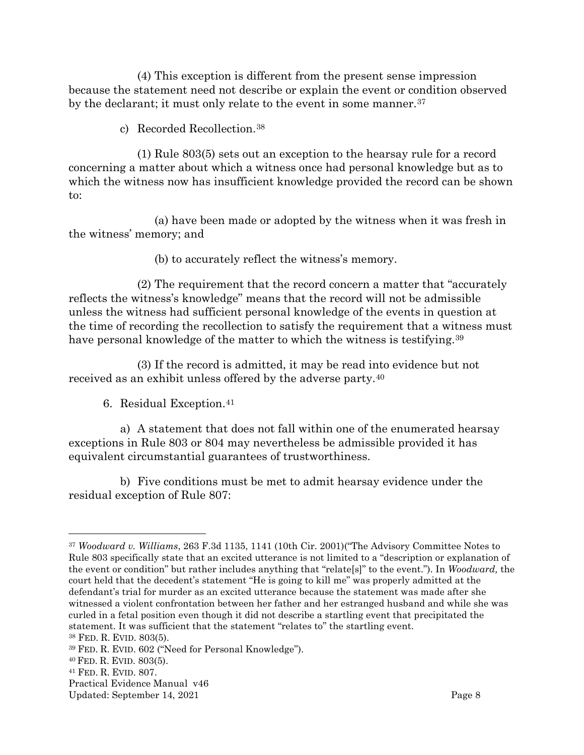(4) This exception is different from the present sense impression because the statement need not describe or explain the event or condition observed by the declarant; it must only relate to the event in some manner.<sup>[37](#page-10-2)</sup>

c) Recorded Recollection.[38](#page-10-3)

<span id="page-10-0"></span>(1) [Rule](https://1.next.westlaw.com/Link/Document/FullText?findType=L&pubNum=1004365&cite=USFRER803&originatingDoc=I486213b1fde811ddb6a3a099756c05b7&refType=LQ&originationContext=document&transitionType=DocumentItem&contextData=(sc.UserEnteredCitation)) 803(5) sets out an exception to the hearsay rule for a record concerning a matter about which a witness once had personal knowledge but as to which the witness now has insufficient knowledge provided the record can be shown to:

(a) have been made or adopted by the witness when it was fresh in the witness' memory; and

(b) to accurately reflect the witness's memory.

(2) The requirement that the record concern a matter that "accurately reflects the witness's knowledge" means that the record will not be admissible unless the witness had sufficient personal knowledge of the events in question at the time of recording the recollection to satisfy the requirement that a witness must have personal knowledge of the matter to which the witness is testifying.<sup>39</sup>

(3) If the record is admitted, it may be read into evidence but not received as an exhibit unless offered by the adverse party.[40](#page-10-5)

6. Residual Exception.[41](#page-10-6)

<span id="page-10-1"></span>a) A statement that does not fall within one of the enumerated hearsay exceptions in Rule 803 or 804 may nevertheless be admissible provided it has equivalent circumstantial guarantees of trustworthiness.

b) Five conditions must be met to admit hearsay evidence under the residual exception of Rule 807:

<span id="page-10-2"></span><sup>37</sup> *Woodward v. Williams*, 263 F.3d 1135, 1141 (10th Cir. 2001)("The Advisory Committee Notes to Rule 803 specifically state that an excited utterance is not limited to a "description or explanation of the event or condition" but rather includes anything that "relate[s]" to the event."). In *Woodward,* the court held that the decedent's statement "He is going to kill me" was properly admitted at the defendant's trial for murder as an excited utterance because the statement was made after she witnessed a violent confrontation between her father and her estranged husband and while she was curled in a fetal position even though it did not describe a startling event that precipitated the statement. It was sufficient that the statement "relates to" the startling event.

<span id="page-10-3"></span><sup>38</sup> FED. R. EVID. 803(5).

<span id="page-10-4"></span><sup>39</sup> FED. R. EVID. 602 ("Need for Personal Knowledge").

<span id="page-10-5"></span><sup>40</sup> FED. R. EVID. 803(5).

<span id="page-10-6"></span><sup>41</sup> FED. R. EVID. 807.

Practical Evidence Manual v46

Updated: September 14, 2021 **Page 8**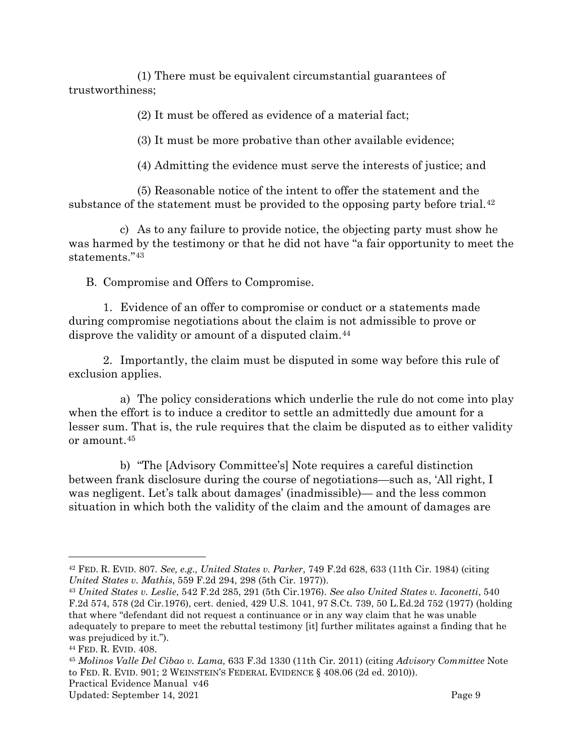(1) There must be equivalent circumstantial guarantees of trustworthiness;

(2) It must be offered as evidence of a material fact;

(3) It must be more probative than other available evidence;

(4) Admitting the evidence must serve the interests of justice; and

(5) Reasonable notice of the intent to offer the statement and the substance of the statement must be provided to the opposing party before trial.<sup>[42](#page-11-1)</sup>

c) As to any failure to provide notice, the objecting party must show he was harmed by the testimony or that he did not have "a fair opportunity to meet the statements."[43](#page-11-2)

<span id="page-11-0"></span>B. Compromise and Offers to Compromise.

1. Evidence of an offer to compromise or conduct or a statements made during compromise negotiations about the claim is not admissible to prove or disprove the validity or amount of a disputed claim.[44](#page-11-3)

2. Importantly, the claim must be disputed in some way before this rule of exclusion applies.

a) The policy considerations which underlie the rule do not come into play when the effort is to induce a creditor to settle an admittedly due amount for a lesser sum. That is, the rule requires that the claim be disputed as to either validity or amount.[45](#page-11-4)

b) "The [Advisory Committee's] Note requires a careful distinction between frank disclosure during the course of negotiations—such as, 'All right, I was negligent. Let's talk about damages' (inadmissible)— and the less common situation in which both the validity of the claim and the amount of damages are

<span id="page-11-1"></span><sup>42</sup> FED. R. EVID. 807. *See, e.g., United States v. Parker*, 749 F.2d 628, 633 (11th Cir. 1984) (citing *United States v. Mathis*, 559 F.2d 294, 298 (5th Cir. 1977)).

<span id="page-11-2"></span><sup>43</sup> *United States v. Leslie*, 542 F.2d 285, 291 (5th Cir.1976). *See also United States v. Iaconetti*, 540 F.2d 574, 578 (2d Cir.1976), cert. denied, 429 U.S. 1041, 97 S.Ct. 739, 50 L.Ed.2d 752 (1977) (holding that where "defendant did not request a continuance or in any way claim that he was unable adequately to prepare to meet the rebuttal testimony [it] further militates against a finding that he was prejudiced by it.").

<span id="page-11-3"></span><sup>44</sup> FED. R. EVID. 408.

<span id="page-11-4"></span>Practical Evidence Manual v46 <sup>45</sup> *Molinos Valle Del Cibao v. Lama,* 633 F.3d 1330 (11th Cir. 2011) (citing *Advisory Committee* Note to FED. R. EVID. 901; 2 WEINSTEIN'S FEDERAL EVIDENCE § 408.06 (2d ed. 2010)).

Updated: September 14, 2021 Page 9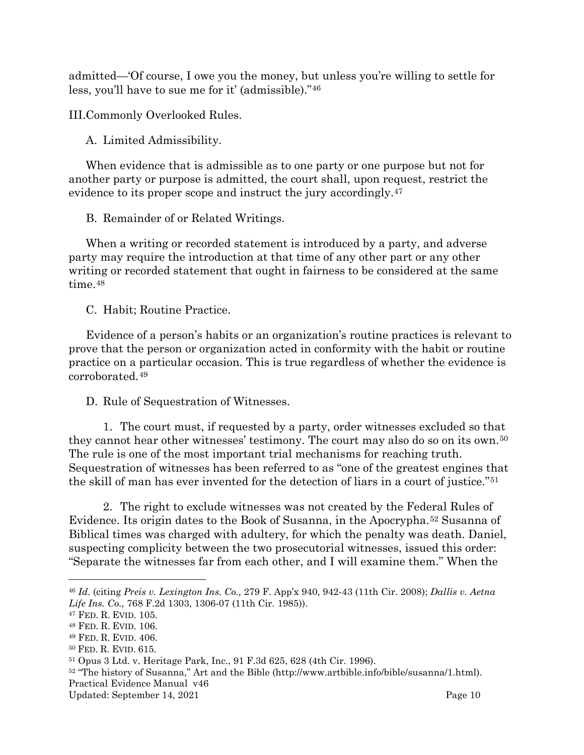admitted—'Of course, I owe you the money, but unless you're willing to settle for less, you'll have to sue me for it' (admissible)."[46](#page-12-5)

<span id="page-12-0"></span>III.Commonly Overlooked Rules.

<span id="page-12-1"></span>A. Limited Admissibility.

When evidence that is admissible as to one party or one purpose but not for another party or purpose is admitted, the court shall, upon request, restrict the evidence to its proper scope and instruct the jury accordingly[.47](#page-12-6)

<span id="page-12-2"></span>B. Remainder of or Related Writings.

When a writing or recorded statement is introduced by a party, and adverse party may require the introduction at that time of any other part or any other writing or recorded statement that ought in fairness to be considered at the same time.<sup>[48](#page-12-7)</sup>

<span id="page-12-3"></span>C. Habit; Routine Practice.

Evidence of a person's habits or an organization's routine practices is relevant to prove that the person or organization acted in conformity with the habit or routine practice on a particular occasion. This is true regardless of whether the evidence is corroborated.[49](#page-12-8)

#### <span id="page-12-4"></span>D. Rule of Sequestration of Witnesses.

1. The court must, if requested by a party, order witnesses excluded so that they cannot hear other witnesses' testimony. The court may also do so on its own.[50](#page-12-9) The rule is one of the most important trial mechanisms for reaching truth. Sequestration of witnesses has been referred to as "one of the greatest engines that the skill of man has ever invented for the detection of liars in a court of justice."[51](#page-12-10)

2. The right to exclude witnesses was not created by the Federal Rules of Evidence. Its origin dates to the Book of Susanna, in the Apocrypha.[52](#page-12-11) Susanna of Biblical times was charged with adultery, for which the penalty was death. Daniel, suspecting complicity between the two prosecutorial witnesses, issued this order: "Separate the witnesses far from each other, and I will examine them." When the

<span id="page-12-5"></span><sup>46</sup> *Id.* (citing *Preis v. Lexington Ins. Co.,* 279 F. App'x 940, 942-43 (11th Cir. 2008); *Dallis v. Aetna Life Ins. Co.,* 768 F.2d 1303, 1306-07 (11th Cir. 1985)).

<span id="page-12-6"></span><sup>47</sup> FED. R. EVID. 105.

<span id="page-12-7"></span><sup>48</sup> FED. R. EVID. 106.

<span id="page-12-9"></span><span id="page-12-8"></span><sup>49</sup> FED. R. EVID. 406. 50 FED. R. EVID. 615.

<span id="page-12-10"></span><sup>51</sup> Opus 3 Ltd. v. Heritage Park, Inc., 91 F.3d 625, 628 (4th Cir. 1996).

<span id="page-12-11"></span>Practical Evidence Manual v46 <sup>52</sup> "The history of Susanna," Art and the Bible (http://www.artbible.info/bible/susanna/1.html).

Updated: September 14, 2021 Contract and the Updated: September 14, 2021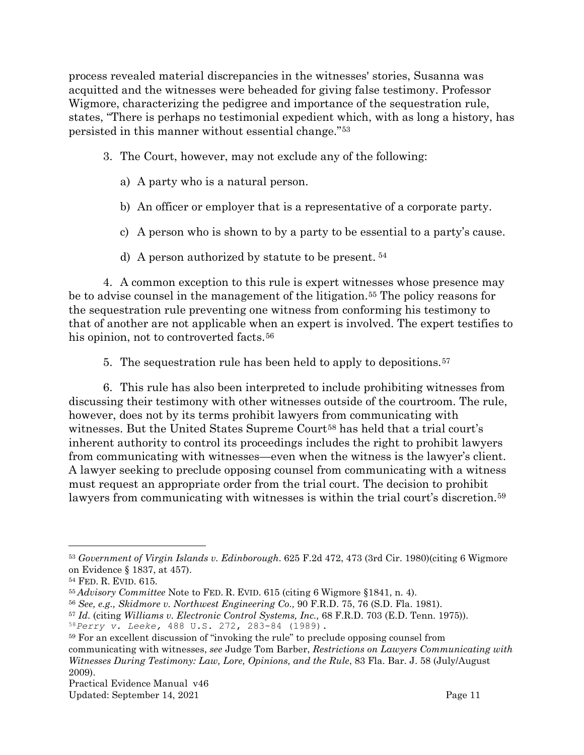process revealed material discrepancies in the witnesses' stories, Susanna was acquitted and the witnesses were beheaded for giving false testimony. Professor Wigmore, characterizing the pedigree and importance of the sequestration rule, states, "There is perhaps no testimonial expedient which, with as long a history, has persisted in this manner without essential change."[53](#page-13-0)

- 3. The Court, however, may not exclude any of the following:
	- a) A party who is a natural person.
	- b) An officer or employer that is a representative of a corporate party.
	- c) A person who is shown to by a party to be essential to a party's cause.
	- d) A person authorized by statute to be present. [54](#page-13-1)

4. A common exception to this rule is expert witnesses whose presence may be to advise counsel in the management of the litigation.[55](#page-13-2) The policy reasons for the sequestration rule preventing one witness from conforming his testimony to that of another are not applicable when an expert is involved. The expert testifies to his opinion, not to controverted facts.<sup>[56](#page-13-3)</sup>

5. The sequestration rule has been held to apply to depositions.[57](#page-13-4)

6. This rule has also been interpreted to include prohibiting witnesses from discussing their testimony with other witnesses outside of the courtroom. The rule, however, does not by its terms prohibit lawyers from communicating with witnesses. But the United States Supreme Court<sup>[58](#page-13-5)</sup> has held that a trial court's inherent authority to control its proceedings includes the right to prohibit lawyers from communicating with witnesses—even when the witness is the lawyer's client. A lawyer seeking to preclude opposing counsel from communicating with a witness must request an appropriate order from the trial court. The decision to prohibit lawyers from communicating with witnesses is within the trial court's discretion.<sup>[59](#page-13-6)</sup>

<span id="page-13-0"></span><sup>53</sup> *Government of Virgin Islands v. Edinborough*. 625 F.2d 472, 473 (3rd Cir. 1980)(citing 6 Wigmore on Evidence § 1837, at 457).

<span id="page-13-1"></span><sup>54</sup> FED. R. EVID. 615.

<span id="page-13-2"></span><sup>55</sup> *Advisory Committee* Note to FED. R. EVID. 615 (citing 6 Wigmore §1841, n. 4).

<span id="page-13-3"></span><sup>56</sup> *See, e.g., Skidmore v. Northwest Engineering Co.,* 90 F.R.D. 75, 76 (S.D. Fla. 1981).

<span id="page-13-4"></span><sup>57</sup> *Id.* (citing *Williams v. Electronic Control Systems, Inc.,* 68 F.R.D. 703 (E.D. Tenn. 1975)).

<span id="page-13-5"></span><sup>58</sup>*Perry v. Leeke,* 488 U.S. 272, 283-84 (1989).

<span id="page-13-6"></span><sup>59</sup> For an excellent discussion of "invoking the rule" to preclude opposing counsel from

communicating with witnesses, *see* Judge Tom Barber, *Restrictions on Lawyers Communicating with Witnesses During Testimony: Law, Lore, Opinions, and the Rule*, 83 Fla. Bar. J. 58 (July/August 2009).

Practical Evidence Manual v46

Updated: September 14, 2021 Page 11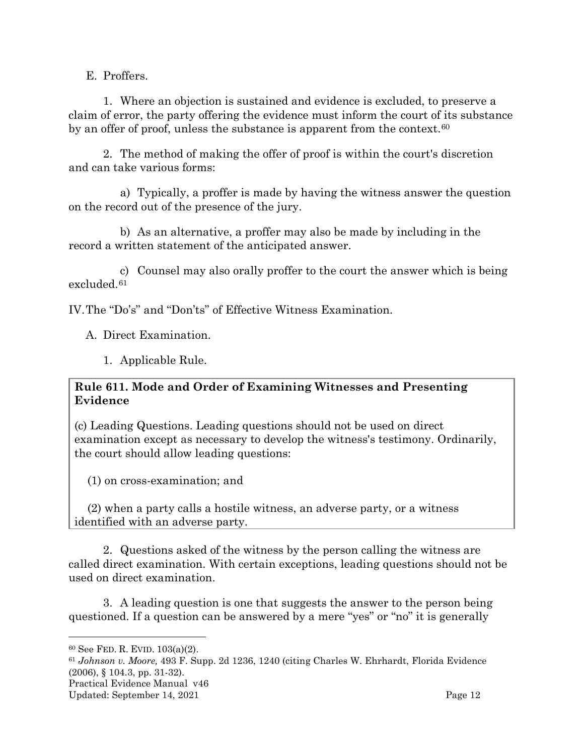<span id="page-14-0"></span>E. Proffers.

1. Where an objection is sustained and evidence is excluded, to preserve a claim of error, the party offering the evidence must inform the court of its substance by an offer of proof, unless the substance is apparent from the context.<sup>[60](#page-14-3)</sup>

2. The method of making the offer of proof is within the court's discretion and can take various forms:

a) Typically, a proffer is made by having the witness answer the question on the record out of the presence of the jury.

b) As an alternative, a proffer may also be made by including in the record a written statement of the anticipated answer.

c) Counsel may also orally proffer to the court the answer which is being excluded.[61](#page-14-4)

<span id="page-14-1"></span>IV.The "Do's" and "Don'ts" of Effective Witness Examination.

<span id="page-14-2"></span>A. Direct Examination.

1. Applicable Rule.

#### **Rule 611. Mode and Order of Examining Witnesses and Presenting Evidence**

(c) Leading Questions. Leading questions should not be used on direct examination except as necessary to develop the witness's testimony. Ordinarily, the court should allow leading questions:

(1) on cross-examination; and

(2) when a party calls a hostile witness, an adverse party, or a witness identified with an adverse party.

2. Questions asked of the witness by the person calling the witness are called direct examination. With certain exceptions, leading questions should not be used on direct examination.

3. A leading question is one that suggests the answer to the person being questioned. If a question can be answered by a mere "yes" or "no" it is generally

<span id="page-14-4"></span>Practical Evidence Manual v46 <sup>61</sup> *Johnson v. Moore,* 493 F. Supp. 2d 1236, 1240 (citing Charles W. Ehrhardt, Florida Evidence (2006), § 104.3, pp. 31-32).

<span id="page-14-3"></span><sup>60</sup> See FED. R. EVID. 103(a)(2).

Updated: September 14, 2021 Page 12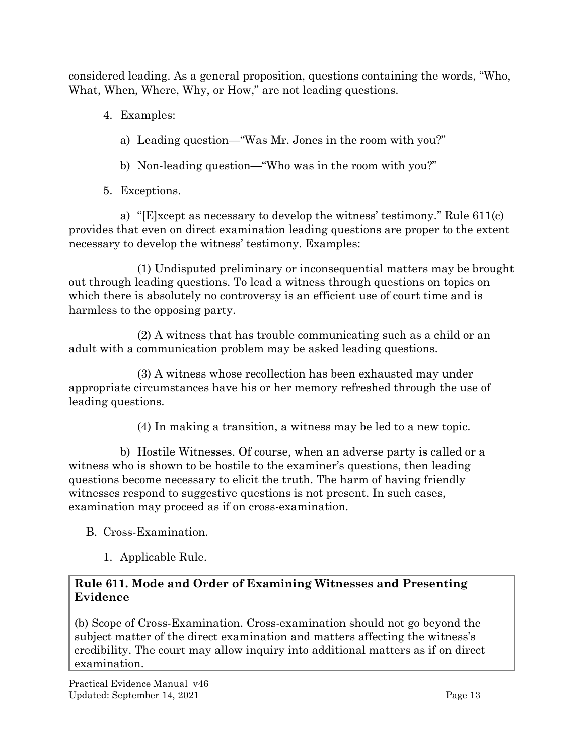considered leading. As a general proposition, questions containing the words, "Who, What, When, Where, Why, or How," are not leading questions.

- 4. Examples:
	- a) Leading question—"Was Mr. Jones in the room with you?"
	- b) Non-leading question—"Who was in the room with you?"
- 5. Exceptions.

a) "[E]xcept as necessary to develop the witness' testimony." Rule 611(c) provides that even on direct examination leading questions are proper to the extent necessary to develop the witness' testimony. Examples:

(1) Undisputed preliminary or inconsequential matters may be brought out through leading questions. To lead a witness through questions on topics on which there is absolutely no controversy is an efficient use of court time and is harmless to the opposing party.

(2) A witness that has trouble communicating such as a child or an adult with a communication problem may be asked leading questions.

(3) A witness whose recollection has been exhausted may under appropriate circumstances have his or her memory refreshed through the use of leading questions.

(4) In making a transition, a witness may be led to a new topic.

b) Hostile Witnesses. Of course, when an adverse party is called or a witness who is shown to be hostile to the examiner's questions, then leading questions become necessary to elicit the truth. The harm of having friendly witnesses respond to suggestive questions is not present. In such cases, examination may proceed as if on cross-examination.

<span id="page-15-0"></span>B. Cross-Examination.

1. Applicable Rule.

# <span id="page-15-1"></span>**Rule 611. Mode and Order of Examining Witnesses and Presenting Evidence**

(b) Scope of Cross-Examination. Cross-examination should not go beyond the subject matter of the direct examination and matters affecting the witness's credibility. The court may allow inquiry into additional matters as if on direct examination.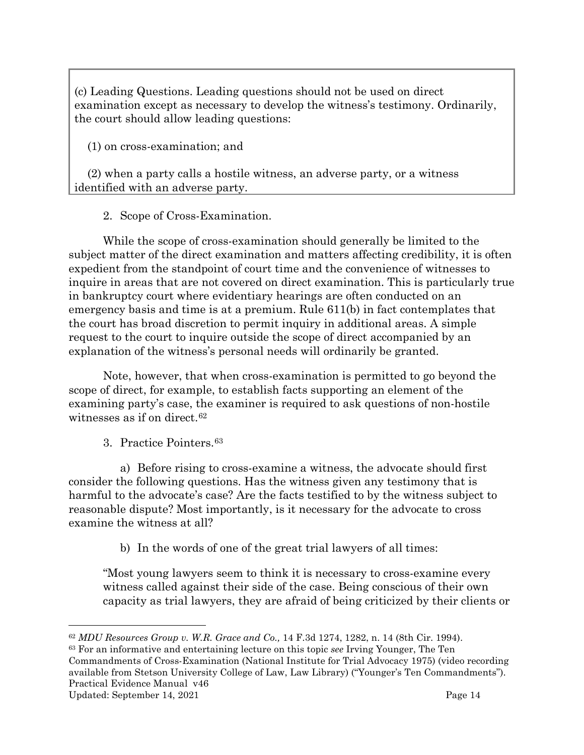(c) Leading Questions. Leading questions should not be used on direct examination except as necessary to develop the witness's testimony. Ordinarily, the court should allow leading questions:

(1) on cross-examination; and

(2) when a party calls a hostile witness, an adverse party, or a witness identified with an adverse party.

2. Scope of Cross-Examination.

<span id="page-16-0"></span>While the scope of cross-examination should generally be limited to the subject matter of the direct examination and matters affecting credibility, it is often expedient from the standpoint of court time and the convenience of witnesses to inquire in areas that are not covered on direct examination. This is particularly true in bankruptcy court where evidentiary hearings are often conducted on an emergency basis and time is at a premium. Rule 611(b) in fact contemplates that the court has broad discretion to permit inquiry in additional areas. A simple request to the court to inquire outside the scope of direct accompanied by an explanation of the witness's personal needs will ordinarily be granted.

Note, however, that when cross-examination is permitted to go beyond the scope of direct, for example, to establish facts supporting an element of the examining party's case, the examiner is required to ask questions of non-hostile witnesses as if on direct.<sup>[62](#page-16-2)</sup>

3. Practice Pointers.[63](#page-16-3)

<span id="page-16-1"></span>a) Before rising to cross-examine a witness, the advocate should first consider the following questions. Has the witness given any testimony that is harmful to the advocate's case? Are the facts testified to by the witness subject to reasonable dispute? Most importantly, is it necessary for the advocate to cross examine the witness at all?

b) In the words of one of the great trial lawyers of all times:

"Most young lawyers seem to think it is necessary to cross-examine every witness called against their side of the case. Being conscious of their own capacity as trial lawyers, they are afraid of being criticized by their clients or

<span id="page-16-3"></span>Practical Evidence Manual v46 <sup>63</sup> For an informative and entertaining lecture on this topic *see* Irving Younger, The Ten Commandments of Cross-Examination (National Institute for Trial Advocacy 1975) (video recording available from Stetson University College of Law, Law Library) ("Younger's Ten Commandments").

<span id="page-16-2"></span><sup>62</sup> *MDU Resources Group v. W.R. Grace and Co.,* 14 F.3d 1274, 1282, n. 14 (8th Cir. 1994).

Updated: September 14, 2021 Page 14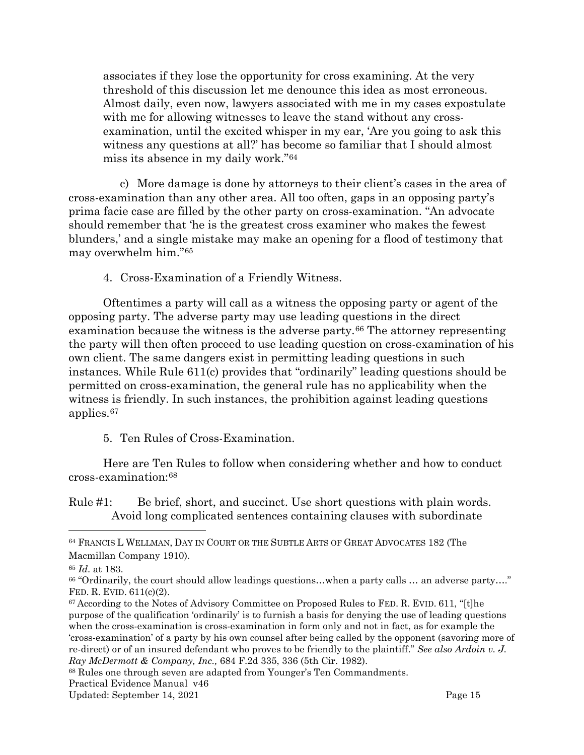associates if they lose the opportunity for cross examining. At the very threshold of this discussion let me denounce this idea as most erroneous. Almost daily, even now, lawyers associated with me in my cases expostulate with me for allowing witnesses to leave the stand without any crossexamination, until the excited whisper in my ear, 'Are you going to ask this witness any questions at all?' has become so familiar that I should almost miss its absence in my daily work."[64](#page-17-2)

c) More damage is done by attorneys to their client's cases in the area of cross-examination than any other area. All too often, gaps in an opposing party's prima facie case are filled by the other party on cross-examination. "An advocate should remember that 'he is the greatest cross examiner who makes the fewest blunders,' and a single mistake may make an opening for a flood of testimony that may overwhelm him."[65](#page-17-3)

4. Cross-Examination of a Friendly Witness.

<span id="page-17-0"></span>Oftentimes a party will call as a witness the opposing party or agent of the opposing party. The adverse party may use leading questions in the direct examination because the witness is the adverse party.<sup>[66](#page-17-4)</sup> The attorney representing the party will then often proceed to use leading question on cross-examination of his own client. The same dangers exist in permitting leading questions in such instances. While Rule 611(c) provides that "ordinarily" leading questions should be permitted on cross-examination, the general rule has no applicability when the witness is friendly. In such instances, the prohibition against leading questions applies.[67](#page-17-5)

5. Ten Rules of Cross-Examination.

<span id="page-17-1"></span>Here are Ten Rules to follow when considering whether and how to conduct cross-examination:[68](#page-17-6)

Rule #1: Be brief, short, and succinct. Use short questions with plain words. Avoid long complicated sentences containing clauses with subordinate

<span id="page-17-6"></span><sup>68</sup> Rules one through seven are adapted from Younger's Ten Commandments.

<span id="page-17-2"></span><sup>64</sup> FRANCIS L WELLMAN, DAY IN COURT OR THE SUBTLE ARTS OF GREAT ADVOCATES 182 (The Macmillan Company 1910).

<span id="page-17-3"></span><sup>65</sup> *Id.* at 183.

<span id="page-17-4"></span><sup>66</sup> "Ordinarily, the court should allow leadings questions…when a party calls … an adverse party…." FED. R. EVID. 611(c)(2).

<span id="page-17-5"></span><sup>&</sup>lt;sup>67</sup> According to the Notes of Advisory Committee on Proposed Rules to FED. R. EVID. 611, "[t]he purpose of the qualification 'ordinarily' is to furnish a basis for denying the use of leading questions when the cross-examination is cross-examination in form only and not in fact, as for example the 'cross-examination' of a party by his own counsel after being called by the opponent (savoring more of re-direct) or of an insured defendant who proves to be friendly to the plaintiff." *See also Ardoin v. J. Ray McDermott & Company, Inc.,* 684 F.2d 335, 336 (5th Cir. 1982).

Practical Evidence Manual v46

Updated: September 14, 2021 **Page 15**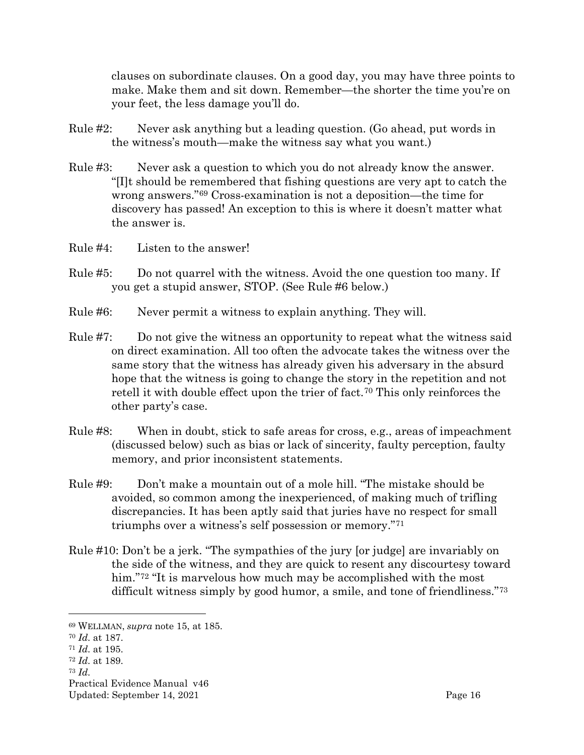clauses on subordinate clauses. On a good day, you may have three points to make. Make them and sit down. Remember—the shorter the time you're on your feet, the less damage you'll do.

- Rule #2: Never ask anything but a leading question. (Go ahead, put words in the witness's mouth—make the witness say what you want.)
- Rule #3: Never ask a question to which you do not already know the answer. "[I]t should be remembered that fishing questions are very apt to catch the wrong answers."[69](#page-18-0) Cross-examination is not a deposition—the time for discovery has passed! An exception to this is where it doesn't matter what the answer is.
- Rule #4: Listen to the answer!
- Rule #5: Do not quarrel with the witness. Avoid the one question too many. If you get a stupid answer, STOP. (See Rule #6 below.)
- Rule #6: Never permit a witness to explain anything. They will.
- Rule #7: Do not give the witness an opportunity to repeat what the witness said on direct examination. All too often the advocate takes the witness over the same story that the witness has already given his adversary in the absurd hope that the witness is going to change the story in the repetition and not retell it with double effect upon the trier of fact.<sup>[70](#page-18-1)</sup> This only reinforces the other party's case.
- Rule #8: When in doubt, stick to safe areas for cross, e.g., areas of impeachment (discussed below) such as bias or lack of sincerity, faulty perception, faulty memory, and prior inconsistent statements.
- Rule #9: Don't make a mountain out of a mole hill. "The mistake should be avoided, so common among the inexperienced, of making much of trifling discrepancies. It has been aptly said that juries have no respect for small triumphs over a witness's self possession or memory."[71](#page-18-2)
- Rule #10: Don't be a jerk. "The sympathies of the jury [or judge] are invariably on the side of the witness, and they are quick to resent any discourtesy toward him."<sup>[72](#page-18-3)</sup> "It is marvelous how much may be accomplished with the most difficult witness simply by good humor, a smile, and tone of friendliness."[73](#page-18-4)

- <span id="page-18-3"></span><sup>72</sup> *Id.* at 189.
- <span id="page-18-4"></span><sup>73</sup> *Id.*

Practical Evidence Manual v46 Updated: September 14, 2021 **Page 16** 

<span id="page-18-0"></span><sup>69</sup> WELLMAN, *supra* note 15, at 185.

<span id="page-18-2"></span><span id="page-18-1"></span><sup>70</sup> *Id.* at 187.

<sup>71</sup> *Id.* at 195.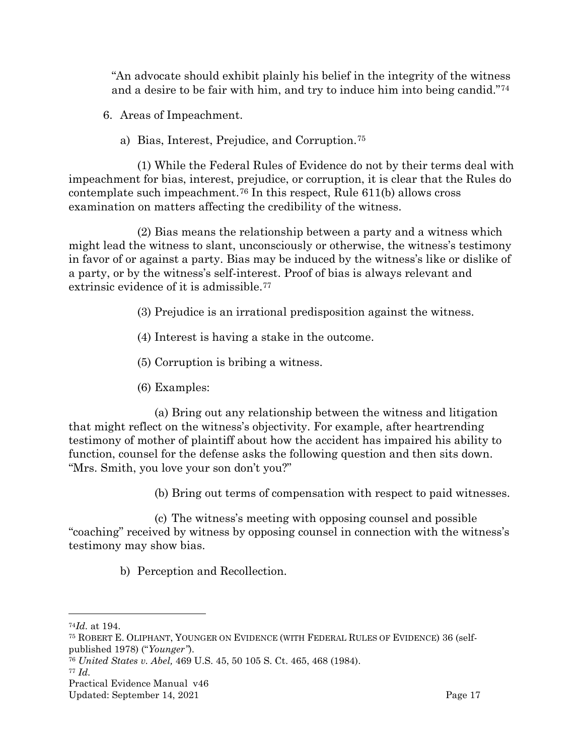"An advocate should exhibit plainly his belief in the integrity of the witness and a desire to be fair with him, and try to induce him into being candid."[74](#page-19-3)

<span id="page-19-0"></span>6. Areas of Impeachment.

a) Bias, Interest, Prejudice, and Corruption.[75](#page-19-4)

<span id="page-19-1"></span>(1) While the Federal Rules of Evidence do not by their terms deal with impeachment for bias, interest, prejudice, or corruption, it is clear that the Rules do contemplate such impeachment.[76](#page-19-5) In this respect, Rule 611(b) allows cross examination on matters affecting the credibility of the witness.

(2) Bias means the relationship between a party and a witness which might lead the witness to slant, unconsciously or otherwise, the witness's testimony in favor of or against a party. Bias may be induced by the witness's like or dislike of a party, or by the witness's self-interest. Proof of bias is always relevant and extrinsic evidence of it is admissible.[77](#page-19-6)

- (3) Prejudice is an irrational predisposition against the witness.
- (4) Interest is having a stake in the outcome.
- (5) Corruption is bribing a witness.
- (6) Examples:

(a) Bring out any relationship between the witness and litigation that might reflect on the witness's objectivity. For example, after heartrending testimony of mother of plaintiff about how the accident has impaired his ability to function, counsel for the defense asks the following question and then sits down. "Mrs. Smith, you love your son don't you?"

(b) Bring out terms of compensation with respect to paid witnesses.

<span id="page-19-2"></span>(c) The witness's meeting with opposing counsel and possible "coaching" received by witness by opposing counsel in connection with the witness's testimony may show bias.

b) Perception and Recollection.

<span id="page-19-6"></span><sup>77</sup> *Id.*

<span id="page-19-3"></span><sup>74</sup>*Id.* at 194.

<span id="page-19-4"></span><sup>75</sup> ROBERT E. OLIPHANT, YOUNGER ON EVIDENCE (WITH FEDERAL RULES OF EVIDENCE) 36 (selfpublished 1978) ("*Younger"*).

<span id="page-19-5"></span><sup>76</sup> *United States v. Abel,* 469 U.S. 45, 50 105 S. Ct. 465, 468 (1984).

Practical Evidence Manual v46

Updated: September 14, 2021 Page 17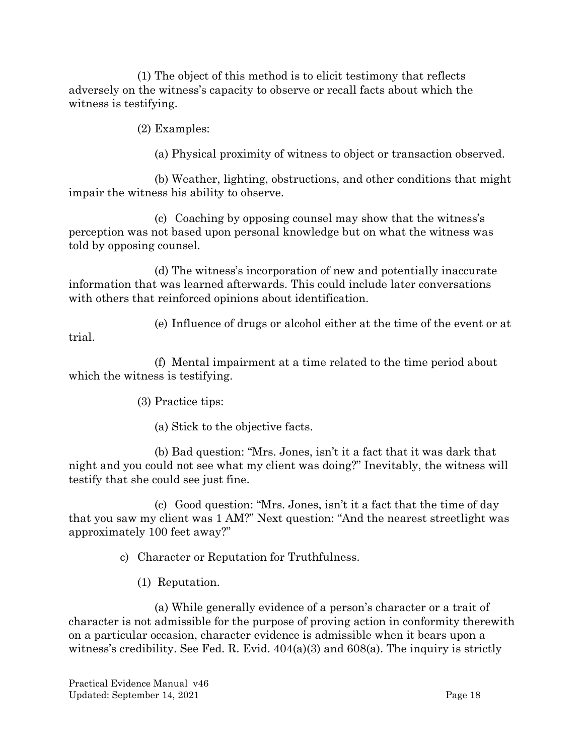(1) The object of this method is to elicit testimony that reflects adversely on the witness's capacity to observe or recall facts about which the witness is testifying.

(2) Examples:

(a) Physical proximity of witness to object or transaction observed.

(b) Weather, lighting, obstructions, and other conditions that might impair the witness his ability to observe.

(c) Coaching by opposing counsel may show that the witness's perception was not based upon personal knowledge but on what the witness was told by opposing counsel.

(d) The witness's incorporation of new and potentially inaccurate information that was learned afterwards. This could include later conversations with others that reinforced opinions about identification.

(e) Influence of drugs or alcohol either at the time of the event or at

(f) Mental impairment at a time related to the time period about which the witness is testifying.

(3) Practice tips:

trial.

(a) Stick to the objective facts.

(b) Bad question: "Mrs. Jones, isn't it a fact that it was dark that night and you could not see what my client was doing?" Inevitably, the witness will testify that she could see just fine.

<span id="page-20-0"></span>(c) Good question: "Mrs. Jones, isn't it a fact that the time of day that you saw my client was 1 AM?" Next question: "And the nearest streetlight was approximately 100 feet away?"

c) Character or Reputation for Truthfulness.

(1) Reputation.

(a) While generally evidence of a person's character or a trait of character is not admissible for the purpose of proving action in conformity therewith on a particular occasion, character evidence is admissible when it bears upon a witness's credibility. See Fed. R. Evid. 404(a)(3) and 608(a). The inquiry is strictly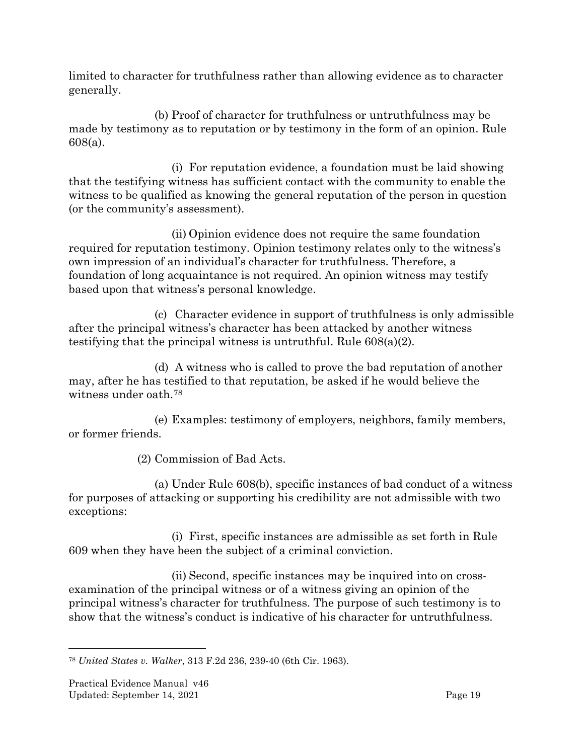limited to character for truthfulness rather than allowing evidence as to character generally.

(b) Proof of character for truthfulness or untruthfulness may be made by testimony as to reputation or by testimony in the form of an opinion. Rule 608(a).

(i) For reputation evidence, a foundation must be laid showing that the testifying witness has sufficient contact with the community to enable the witness to be qualified as knowing the general reputation of the person in question (or the community's assessment).

(ii) Opinion evidence does not require the same foundation required for reputation testimony. Opinion testimony relates only to the witness's own impression of an individual's character for truthfulness. Therefore, a foundation of long acquaintance is not required. An opinion witness may testify based upon that witness's personal knowledge.

(c) Character evidence in support of truthfulness is only admissible after the principal witness's character has been attacked by another witness testifying that the principal witness is untruthful. Rule 608(a)(2).

(d) A witness who is called to prove the bad reputation of another may, after he has testified to that reputation, be asked if he would believe the witness under oath.[78](#page-21-0)

(e) Examples: testimony of employers, neighbors, family members, or former friends.

(2) Commission of Bad Acts.

(a) Under Rule 608(b), specific instances of bad conduct of a witness for purposes of attacking or supporting his credibility are not admissible with two exceptions:

(i) First, specific instances are admissible as set forth in Rule 609 when they have been the subject of a criminal conviction.

(ii) Second, specific instances may be inquired into on crossexamination of the principal witness or of a witness giving an opinion of the principal witness's character for truthfulness. The purpose of such testimony is to show that the witness's conduct is indicative of his character for untruthfulness.

<span id="page-21-0"></span><sup>78</sup> *United States v. Walker*, 313 F.2d 236, 239-40 (6th Cir. 1963).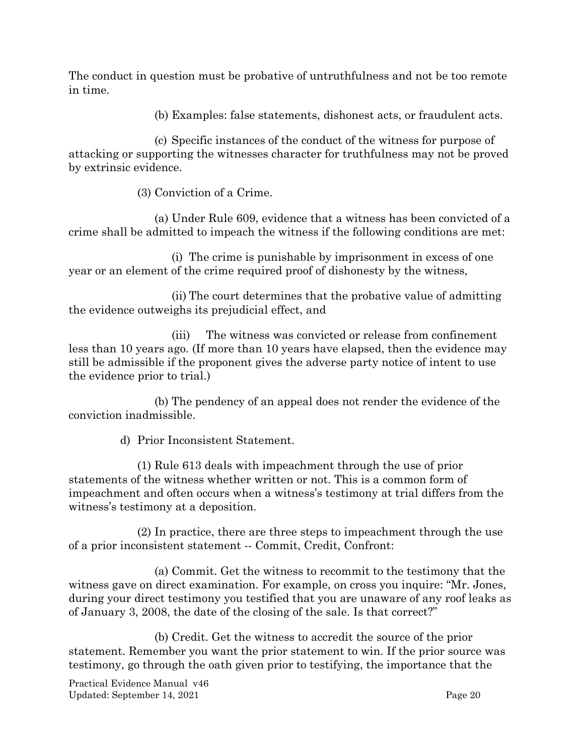The conduct in question must be probative of untruthfulness and not be too remote in time.

(b) Examples: false statements, dishonest acts, or fraudulent acts.

(c) Specific instances of the conduct of the witness for purpose of attacking or supporting the witnesses character for truthfulness may not be proved by extrinsic evidence.

(3) Conviction of a Crime.

(a) Under Rule 609, evidence that a witness has been convicted of a crime shall be admitted to impeach the witness if the following conditions are met:

(i) The crime is punishable by imprisonment in excess of one year or an element of the crime required proof of dishonesty by the witness,

(ii) The court determines that the probative value of admitting the evidence outweighs its prejudicial effect, and

(iii) The witness was convicted or release from confinement less than 10 years ago. (If more than 10 years have elapsed, then the evidence may still be admissible if the proponent gives the adverse party notice of intent to use the evidence prior to trial.)

(b) The pendency of an appeal does not render the evidence of the conviction inadmissible.

d) Prior Inconsistent Statement.

<span id="page-22-0"></span>(1) Rule 613 deals with impeachment through the use of prior statements of the witness whether written or not. This is a common form of impeachment and often occurs when a witness's testimony at trial differs from the witness's testimony at a deposition.

(2) In practice, there are three steps to impeachment through the use of a prior inconsistent statement -- Commit, Credit, Confront:

(a) Commit. Get the witness to recommit to the testimony that the witness gave on direct examination. For example, on cross you inquire: "Mr. Jones, during your direct testimony you testified that you are unaware of any roof leaks as of January 3, 2008, the date of the closing of the sale. Is that correct?"

(b) Credit. Get the witness to accredit the source of the prior statement. Remember you want the prior statement to win. If the prior source was testimony, go through the oath given prior to testifying, the importance that the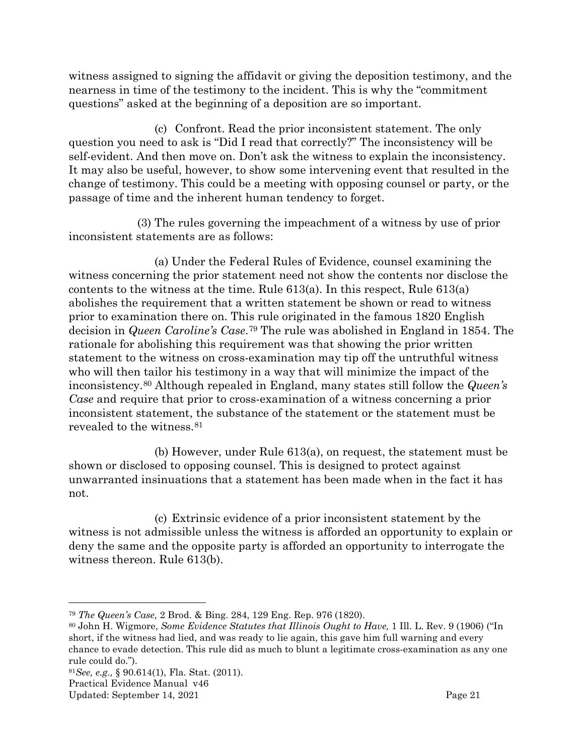witness assigned to signing the affidavit or giving the deposition testimony, and the nearness in time of the testimony to the incident. This is why the "commitment questions" asked at the beginning of a deposition are so important.

(c) Confront. Read the prior inconsistent statement. The only question you need to ask is "Did I read that correctly?" The inconsistency will be self-evident. And then move on. Don't ask the witness to explain the inconsistency. It may also be useful, however, to show some intervening event that resulted in the change of testimony. This could be a meeting with opposing counsel or party, or the passage of time and the inherent human tendency to forget.

(3) The rules governing the impeachment of a witness by use of prior inconsistent statements are as follows:

(a) Under the Federal Rules of Evidence, counsel examining the witness concerning the prior statement need not show the contents nor disclose the contents to the witness at the time. Rule 613(a). In this respect, Rule 613(a) abolishes the requirement that a written statement be shown or read to witness prior to examination there on. This rule originated in the famous 1820 English decision in *Queen Caroline's Case*.[79](#page-23-0) The rule was abolished in England in 1854. The rationale for abolishing this requirement was that showing the prior written statement to the witness on cross-examination may tip off the untruthful witness who will then tailor his testimony in a way that will minimize the impact of the inconsistency.[80](#page-23-1) Although repealed in England, many states still follow the *Queen's Case* and require that prior to cross-examination of a witness concerning a prior inconsistent statement, the substance of the statement or the statement must be revealed to the witness.[81](#page-23-2)

(b) However, under Rule 613(a), on request, the statement must be shown or disclosed to opposing counsel. This is designed to protect against unwarranted insinuations that a statement has been made when in the fact it has not.

(c) Extrinsic evidence of a prior inconsistent statement by the witness is not admissible unless the witness is afforded an opportunity to explain or deny the same and the opposite party is afforded an opportunity to interrogate the witness thereon. Rule 613(b).

<span id="page-23-0"></span><sup>79</sup> *The Queen's Case,* 2 Brod. & Bing. 284, 129 Eng. Rep. 976 (1820).

<span id="page-23-1"></span><sup>80</sup> John H. Wigmore, *Some Evidence Statutes that Illinois Ought to Have,* 1 Ill. L. Rev. 9 (1906) ("In short, if the witness had lied, and was ready to lie again, this gave him full warning and every chance to evade detection. This rule did as much to blunt a legitimate cross-examination as any one rule could do.").

<span id="page-23-2"></span><sup>81</sup>*See, e.g.,* § 90.614(1), Fla. Stat. (2011).

Practical Evidence Manual v46

Updated: September 14, 2021 Page 21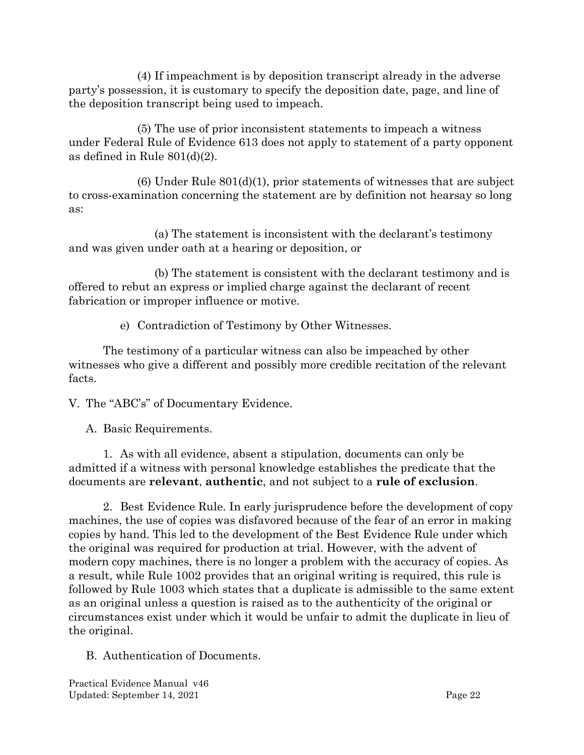(4) If impeachment is by deposition transcript already in the adverse party's possession, it is customary to specify the deposition date, page, and line of the deposition transcript being used to impeach.

(5) The use of prior inconsistent statements to impeach a witness under Federal Rule of Evidence 613 does not apply to statement of a party opponent as defined in Rule 801(d)(2).

 $(6)$  Under Rule  $801(d)(1)$ , prior statements of witnesses that are subject to cross-examination concerning the statement are by definition not hearsay so long as:

(a) The statement is inconsistent with the declarant's testimony and was given under oath at a hearing or deposition, or

(b) The statement is consistent with the declarant testimony and is offered to rebut an express or implied charge against the declarant of recent fabrication or improper influence or motive.

e) Contradiction of Testimony by Other Witnesses.

<span id="page-24-0"></span>The testimony of a particular witness can also be impeached by other witnesses who give a different and possibly more credible recitation of the relevant facts.

<span id="page-24-1"></span>V. The "ABC's" of Documentary Evidence.

<span id="page-24-2"></span>A. Basic Requirements.

1. As with all evidence, absent a stipulation, documents can only be admitted if a witness with personal knowledge establishes the predicate that the documents are **relevant**, **authentic**, and not subject to a **rule of exclusion**.

2. Best Evidence Rule. In early jurisprudence before the development of copy machines, the use of copies was disfavored because of the fear of an error in making copies by hand. This led to the development of the Best Evidence Rule under which the original was required for production at trial. However, with the advent of modern copy machines, there is no longer a problem with the accuracy of copies. As a result, while Rule 1002 provides that an original writing is required, this rule is followed by Rule 1003 which states that a duplicate is admissible to the same extent as an original unless a question is raised as to the authenticity of the original or circumstances exist under which it would be unfair to admit the duplicate in lieu of the original.

<span id="page-24-3"></span>B. Authentication of Documents.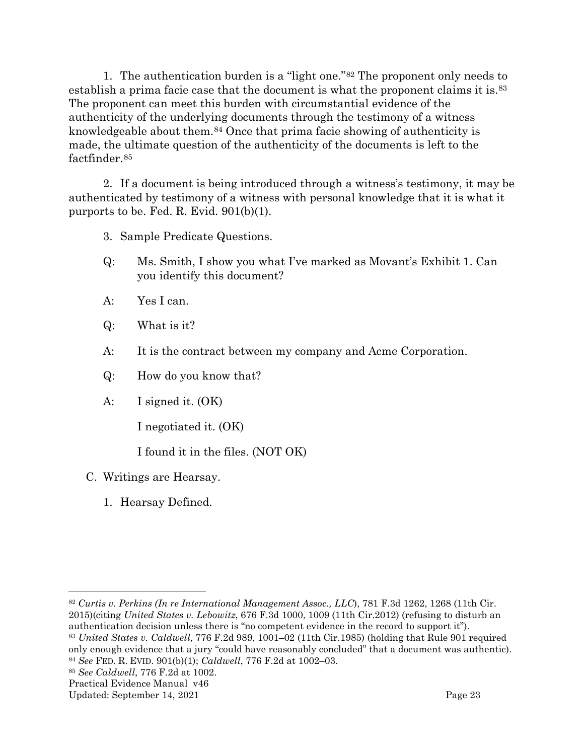1. The authentication burden is a "light one."[82](#page-25-2) The proponent only needs to establish a prima facie case that the document is what the proponent claims it is.[83](#page-25-3) The proponent can meet this burden with circumstantial evidence of the authenticity of the underlying documents through the testimony of a witness knowledgeable about them.<sup>[84](#page-25-4)</sup> Once that prima facie showing of authenticity is made, the ultimate question of the authenticity of the documents is left to the factfinder.[85](#page-25-5)

2. If a document is being introduced through a witness's testimony, it may be authenticated by testimony of a witness with personal knowledge that it is what it purports to be. Fed. R. Evid. 901(b)(1).

3. Sample Predicate Questions.

- Q: Ms. Smith, I show you what I've marked as Movant's Exhibit 1. Can you identify this document?
- A: Yes I can.
- Q: What is it?
- A: It is the contract between my company and Acme Corporation.
- Q: How do you know that?
- A: I signed it. (OK)

I negotiated it. (OK)

I found it in the files. (NOT OK)

- <span id="page-25-1"></span><span id="page-25-0"></span>C. Writings are Hearsay.
	- 1. Hearsay Defined.

<span id="page-25-2"></span><sup>82</sup> *Curtis v. Perkins (In re International Management Assoc., LLC*), 781 F.3d 1262, 1268 (11th Cir. 2015)(citing *United States v. Lebowitz*, 676 F.3d 1000, 1009 (11th Cir.2012) (refusing to disturb an authentication decision unless there is "no competent evidence in the record to support it"). <sup>83</sup> *United States v. Caldwell*, 776 F.2d 989, 1001–02 (11th Cir.1985) (holding that Rule 901 required only enough evidence that a jury "could have reasonably concluded" that a document was authentic).

<span id="page-25-4"></span><span id="page-25-3"></span><sup>84</sup> *See* FED. R. EVID. 901(b)(1); *Caldwell*, 776 F.2d at 1002–03.

<span id="page-25-5"></span><sup>85</sup> *See Caldwell*, 776 F.2d at 1002.

Practical Evidence Manual v46

Updated: September 14, 2021 Page 23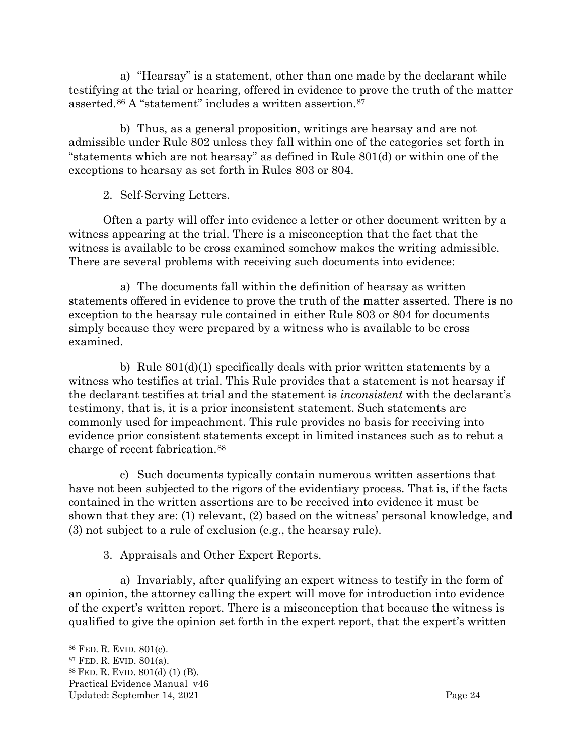a) "Hearsay" is a statement, other than one made by the declarant while testifying at the trial or hearing, offered in evidence to prove the truth of the matter asserted.[86](#page-26-2) A "statement" includes a written assertion.[87](#page-26-3)

b) Thus, as a general proposition, writings are hearsay and are not admissible under Rule 802 unless they fall within one of the categories set forth in "statements which are not hearsay" as defined in Rule 801(d) or within one of the exceptions to hearsay as set forth in Rules 803 or 804.

2. Self-Serving Letters.

<span id="page-26-0"></span>Often a party will offer into evidence a letter or other document written by a witness appearing at the trial. There is a misconception that the fact that the witness is available to be cross examined somehow makes the writing admissible. There are several problems with receiving such documents into evidence:

a) The documents fall within the definition of hearsay as written statements offered in evidence to prove the truth of the matter asserted. There is no exception to the hearsay rule contained in either Rule 803 or 804 for documents simply because they were prepared by a witness who is available to be cross examined.

b) Rule  $801(d)(1)$  specifically deals with prior written statements by a witness who testifies at trial. This Rule provides that a statement is not hearsay if the declarant testifies at trial and the statement is *inconsistent* with the declarant's testimony, that is, it is a prior inconsistent statement. Such statements are commonly used for impeachment. This rule provides no basis for receiving into evidence prior consistent statements except in limited instances such as to rebut a charge of recent fabrication.[88](#page-26-4)

c) Such documents typically contain numerous written assertions that have not been subjected to the rigors of the evidentiary process. That is, if the facts contained in the written assertions are to be received into evidence it must be shown that they are: (1) relevant, (2) based on the witness' personal knowledge, and (3) not subject to a rule of exclusion (e.g., the hearsay rule).

3. Appraisals and Other Expert Reports.

<span id="page-26-1"></span>a) Invariably, after qualifying an expert witness to testify in the form of an opinion, the attorney calling the expert will move for introduction into evidence of the expert's written report. There is a misconception that because the witness is qualified to give the opinion set forth in the expert report, that the expert's written

- <span id="page-26-4"></span><sup>88</sup> FED. R. EVID. 801(d) (1) (B).
- Practical Evidence Manual v46

<span id="page-26-2"></span><sup>86</sup> FED. R. EVID. 801(c).

<span id="page-26-3"></span><sup>87</sup> FED. R. EVID. 801(a).

Updated: September 14, 2021 Page 24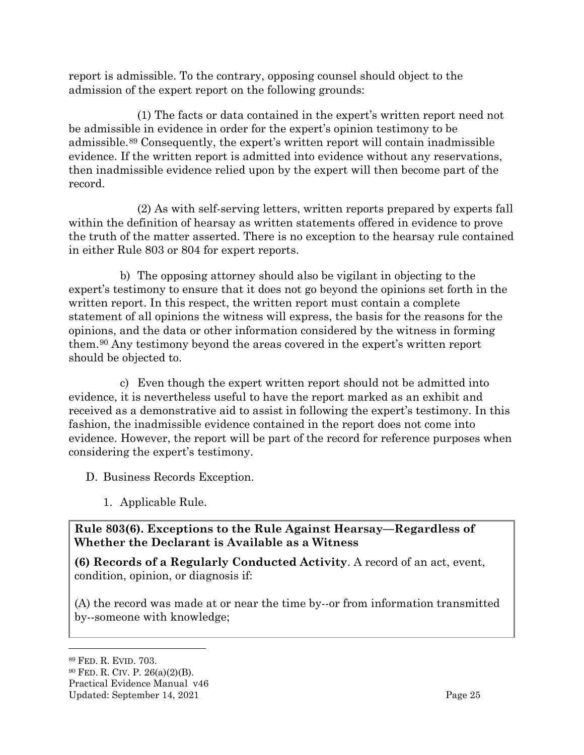report is admissible. To the contrary, opposing counsel should object to the admission of the expert report on the following grounds:

(1) The facts or data contained in the expert's written report need not be admissible in evidence in order for the expert's opinion testimony to be admissible.[89](#page-27-2) Consequently, the expert's written report will contain inadmissible evidence. If the written report is admitted into evidence without any reservations, then inadmissible evidence relied upon by the expert will then become part of the record.

(2) As with self-serving letters, written reports prepared by experts fall within the definition of hearsay as written statements offered in evidence to prove the truth of the matter asserted. There is no exception to the hearsay rule contained in either Rule 803 or 804 for expert reports.

b) The opposing attorney should also be vigilant in objecting to the expert's testimony to ensure that it does not go beyond the opinions set forth in the written report. In this respect, the written report must contain a complete statement of all opinions the witness will express, the basis for the reasons for the opinions, and the data or other information considered by the witness in forming them.[90](#page-27-3) Any testimony beyond the areas covered in the expert's written report should be objected to.

c) Even though the expert written report should not be admitted into evidence, it is nevertheless useful to have the report marked as an exhibit and received as a demonstrative aid to assist in following the expert's testimony. In this fashion, the inadmissible evidence contained in the report does not come into evidence. However, the report will be part of the record for reference purposes when considering the expert's testimony.

<span id="page-27-0"></span>D. Business Records Exception.

1. Applicable Rule.

### <span id="page-27-1"></span>**Rule 803(6). Exceptions to the Rule Against Hearsay—Regardless of Whether the Declarant is Available as a Witness**

**(6) Records of a Regularly Conducted Activity**. A record of an act, event, condition, opinion, or diagnosis if:

(A) the record was made at or near the time by--or from information transmitted by--someone with knowledge;

#### <span id="page-27-3"></span><span id="page-27-2"></span><sup>89</sup> FED. R. EVID. 703. <sup>90</sup> FED. R. CIV. P. 26(a)(2)(B).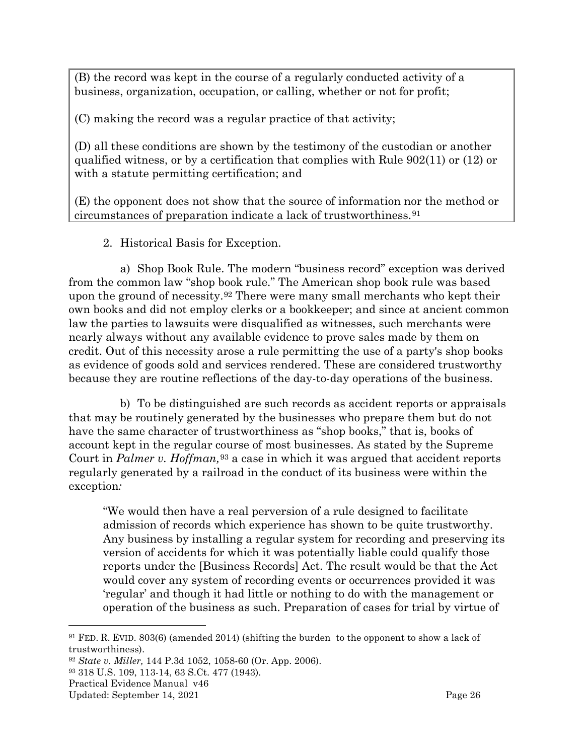(B) the record was kept in the course of a regularly conducted activity of a business, organization, occupation, or calling, whether or not for profit;

(C) making the record was a regular practice of that activity;

(D) all these conditions are shown by the testimony of the custodian or another qualified witness, or by a certification that complies with [Rule 902\(11\)](http://web2.westlaw.com/find/default.wl?referencepositiontype=T&docname=USFRER902&rp=%2ffind%2fdefault.wl&sv=Split&utid=1&rs=WLW11.10&db=1000607&tf=-1&findtype=L&fn=_top&mt=FederalGovernment&vr=2.0&referenceposition=SP%3b9da60000c3824&pbc=1A426BB3&tc=-1&ordoc=2150536) or [\(12\)](http://web2.westlaw.com/find/default.wl?referencepositiontype=T&docname=USFRER902&rp=%2ffind%2fdefault.wl&sv=Split&utid=1&rs=WLW11.10&db=1000607&tf=-1&findtype=L&fn=_top&mt=FederalGovernment&vr=2.0&referenceposition=SP%3b2ce8000089fc7&pbc=1A426BB3&tc=-1&ordoc=2150536) or with a statute permitting certification; and

(E) the opponent does not show that the source of information nor the method or circumstances of preparation indicate a lack of trustworthiness.[91](#page-28-1)

2. Historical Basis for Exception.

<span id="page-28-0"></span>a) Shop Book Rule. The modern "business record" exception was derived from the common law "shop book rule." The American shop book rule was based upon the ground of necessity.<sup>[92](#page-28-2)</sup> There were many small merchants who kept their own books and did not employ clerks or a bookkeeper; and since at ancient common law the parties to lawsuits were disqualified as witnesses, such merchants were nearly always without any available evidence to prove sales made by them on credit. Out of this necessity arose a rule permitting the use of a party's shop books as evidence of goods sold and services rendered. These are considered trustworthy because they are routine reflections of the day-to-day operations of the business.

b) To be distinguished are such records as accident reports or appraisals that may be routinely generated by the businesses who prepare them but do not have the same character of trustworthiness as "shop books," that is, books of account kept in the regular course of most businesses. As stated by the Supreme Court in *Palmer v. Hoffman,*[93](#page-28-3) a case in which it was argued that accident reports regularly generated by a railroad in the conduct of its business were within the exception*:*

"We would then have a real perversion of a rule designed to facilitate admission of records which experience has shown to be quite trustworthy. Any business by installing a regular system for recording and preserving its version of accidents for which it was potentially liable could qualify those reports under the [Business Records] Act. The result would be that the Act would cover any system of recording events or occurrences provided it was 'regular' and though it had little or nothing to do with the management or operation of the business as such. Preparation of cases for trial by virtue of

<span id="page-28-1"></span><sup>91</sup> FED. R. EVID. 803(6) (amended 2014) (shifting the burden to the opponent to show a lack of trustworthiness).

<span id="page-28-2"></span><sup>92</sup> *State v. Miller,* 144 P.3d 1052, 1058-60 (Or. App. 2006).

<span id="page-28-3"></span><sup>93</sup> 318 U.S. 109, 113-14, 63 S.Ct. 477 (1943).

Practical Evidence Manual v46

Updated: September 14, 2021 Page 26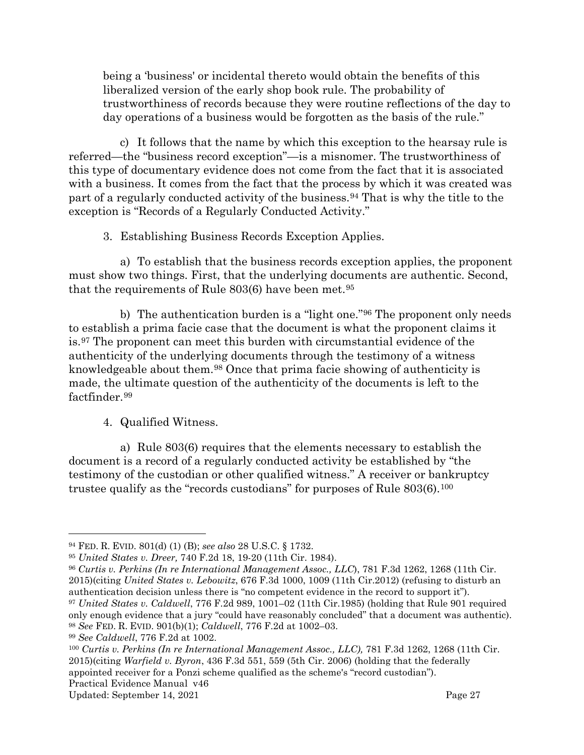being a 'business' or incidental thereto would obtain the benefits of this liberalized version of the early shop book rule. The probability of trustworthiness of records because they were routine reflections of the day to day operations of a business would be forgotten as the basis of the rule."

c) It follows that the name by which this exception to the hearsay rule is referred—the "business record exception"—is a misnomer. The trustworthiness of this type of documentary evidence does not come from the fact that it is associated with a business. It comes from the fact that the process by which it was created was part of a regularly conducted activity of the business.[94](#page-29-2) That is why the title to the exception is "Records of a Regularly Conducted Activity."

3. Establishing Business Records Exception Applies.

<span id="page-29-0"></span>a) To establish that the business records exception applies, the proponent must show two things. First, that the underlying documents are authentic. Second, that the requirements of Rule 803(6) have been met.<sup>[95](#page-29-3)</sup>

b) The authentication burden is a "light one."[96](#page-29-4) The proponent only needs to establish a prima facie case that the document is what the proponent claims it is.[97](#page-29-5) The proponent can meet this burden with circumstantial evidence of the authenticity of the underlying documents through the testimony of a witness knowledgeable about them.[98](#page-29-6) Once that prima facie showing of authenticity is made, the ultimate question of the authenticity of the documents is left to the factfinder.<sup>[99](#page-29-7)</sup>

4. Qualified Witness.

<span id="page-29-1"></span>a) Rule 803(6) requires that the elements necessary to establish the document is a record of a regularly conducted activity be established by "the testimony of the custodian or other qualified witness." A receiver or bankruptcy trustee qualify as the "records custodians" for purposes of Rule 803(6).[100](#page-29-8)

<span id="page-29-2"></span><sup>94</sup> FED. R. EVID. 801(d) (1) (B); *see also* 28 U.S.C. § 1732.

<span id="page-29-3"></span><sup>95</sup> *United States v. Dreer,* 740 F.2d 18, 19-20 (11th Cir. 1984).

<span id="page-29-4"></span><sup>96</sup> *Curtis v. Perkins (In re International Management Assoc., LLC*), 781 F.3d 1262, 1268 (11th Cir. 2015)(citing *United States v. Lebowitz*, 676 F.3d 1000, 1009 (11th Cir.2012) (refusing to disturb an authentication decision unless there is "no competent evidence in the record to support it"). <sup>97</sup> *United States v. Caldwell*, 776 F.2d 989, 1001–02 (11th Cir.1985) (holding that Rule 901 required only enough evidence that a jury "could have reasonably concluded" that a document was authentic). <sup>98</sup> *See* FED. R. EVID. 901(b)(1); *Caldwell*, 776 F.2d at 1002–03.

<span id="page-29-7"></span><span id="page-29-6"></span><span id="page-29-5"></span><sup>99</sup> *See Caldwell*, 776 F.2d at 1002.

<span id="page-29-8"></span>Practical Evidence Manual v46 <sup>100</sup> *Curtis v. Perkins (In re International Management Assoc., LLC),* 781 F.3d 1262, 1268 (11th Cir. 2015)(citing *Warfield v. Byron*, 436 F.3d 551, 559 (5th Cir. 2006) (holding that the federally appointed receiver for a Ponzi scheme qualified as the scheme's "record custodian").

Updated: September 14, 2021 Page 27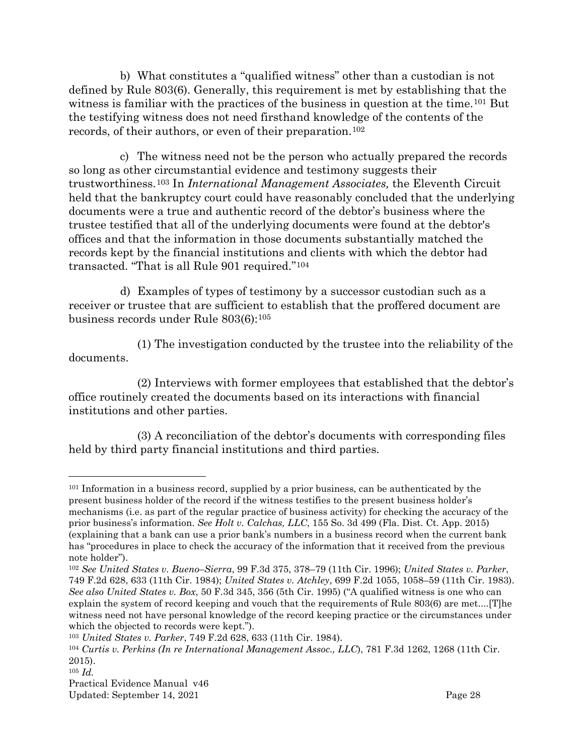b) What constitutes a "qualified witness" other than a custodian is not defined by Rule 803(6). Generally, this requirement is met by establishing that the witness is familiar with the practices of the business in question at the time.<sup>[101](#page-30-0)</sup> But the testifying witness does not need firsthand knowledge of the contents of the records, of their authors, or even of their preparation.[102](#page-30-1)

c) The witness need not be the person who actually prepared the records so long as other circumstantial evidence and testimony suggests their trustworthiness.[103](#page-30-2) In *International Management Associates,* the Eleventh Circuit held that the bankruptcy court could have reasonably concluded that the underlying documents were a true and authentic record of the debtor's business where the trustee testified that all of the underlying documents were found at the debtor's offices and that the information in those documents substantially matched the records kept by the financial institutions and clients with which the debtor had transacted. "That is all Rule 901 required."[104](#page-30-3)

d) Examples of types of testimony by a successor custodian such as a receiver or trustee that are sufficient to establish that the proffered document are business records under Rule 803(6):[105](#page-30-4)

(1) The investigation conducted by the trustee into the reliability of the documents.

(2) Interviews with former employees that established that the debtor's office routinely created the documents based on its interactions with financial institutions and other parties.

(3) A reconciliation of the debtor's documents with corresponding files held by third party financial institutions and third parties.

<span id="page-30-0"></span><sup>101</sup> Information in a business record, supplied by a prior business, can be authenticated by the present business holder of the record if the witness testifies to the present business holder's mechanisms (i.e. as part of the regular practice of business activity) for checking the accuracy of the prior business's information. *See Holt v. Calchas, LLC*, 155 So. 3d 499 (Fla. Dist. Ct. App. 2015) (explaining that a bank can use a prior bank's numbers in a business record when the current bank has "procedures in place to check the accuracy of the information that it received from the previous note holder").

<span id="page-30-1"></span><sup>102</sup> *See United States v. Bueno–Sierra*, 99 F.3d 375, 378–79 (11th Cir. 1996); *United States v. Parker*, 749 F.2d 628, 633 (11th Cir. 1984); *United States v. Atchley*, 699 F.2d 1055, 1058–59 (11th Cir. 1983). *See also United States v. Box*, 50 F.3d 345, 356 (5th Cir. 1995) ("A qualified witness is one who can explain the system of record keeping and vouch that the requirements of Rule 803(6) are met....[T]he witness need not have personal knowledge of the record keeping practice or the circumstances under which the objected to records were kept.").

<span id="page-30-2"></span><sup>103</sup> *United States v. Parker*, 749 F.2d 628, 633 (11th Cir. 1984).

<span id="page-30-3"></span><sup>104</sup> *Curtis v. Perkins (In re International Management Assoc., LLC*), 781 F.3d 1262, 1268 (11th Cir. 2015).

<span id="page-30-4"></span><sup>105</sup> *Id.*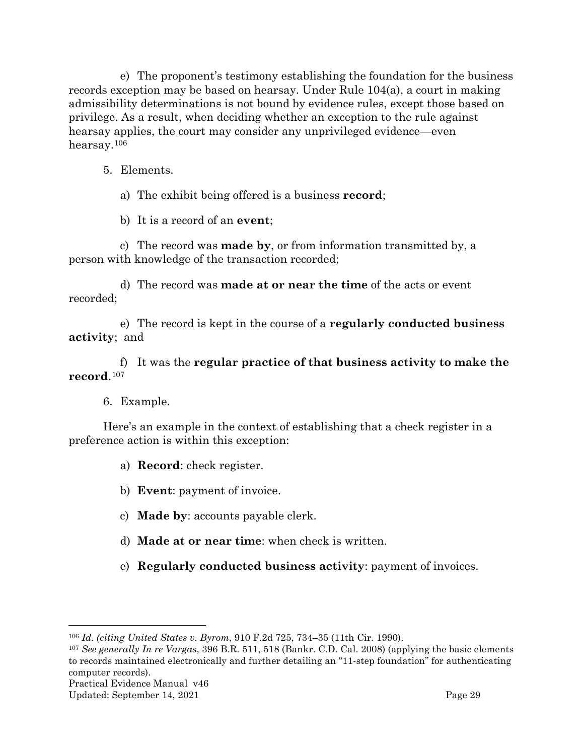e) The proponent's testimony establishing the foundation for the business records exception may be based on hearsay. Under Rule 104(a), a court in making admissibility determinations is not bound by evidence rules, except those based on privilege. As a result, when deciding whether an exception to the rule against hearsay applies, the court may consider any unprivileged evidence—even hearsay.[106](#page-31-2)

- <span id="page-31-0"></span>5. Elements.
	- a) The exhibit being offered is a business **record**;

b) It is a record of an **event**;

c) The record was **made by**, or from information transmitted by, a person with knowledge of the transaction recorded;

d) The record was **made at or near the time** of the acts or event recorded;

e) The record is kept in the course of a **regularly conducted business activity**; and

f) It was the **regular practice of that business activity to make the record**.[107](#page-31-3)

#### 6. Example.

<span id="page-31-1"></span>Here's an example in the context of establishing that a check register in a preference action is within this exception:

a) **Record**: check register.

- b) **Event**: payment of invoice.
- c) **Made by**: accounts payable clerk.
- d) **Made at or near time**: when check is written.
- e) **Regularly conducted business activity**: payment of invoices.

<span id="page-31-2"></span><sup>106</sup> *Id. (citing United States v. Byrom*, 910 F.2d 725, 734–35 (11th Cir. 1990).

<span id="page-31-3"></span><sup>107</sup> *See generally In re Vargas*, 396 B.R. 511, 518 (Bankr. C.D. Cal. 2008) (applying the basic elements to records maintained electronically and further detailing an "11-step foundation" for authenticating computer records).

Updated: September 14, 2021 Page 29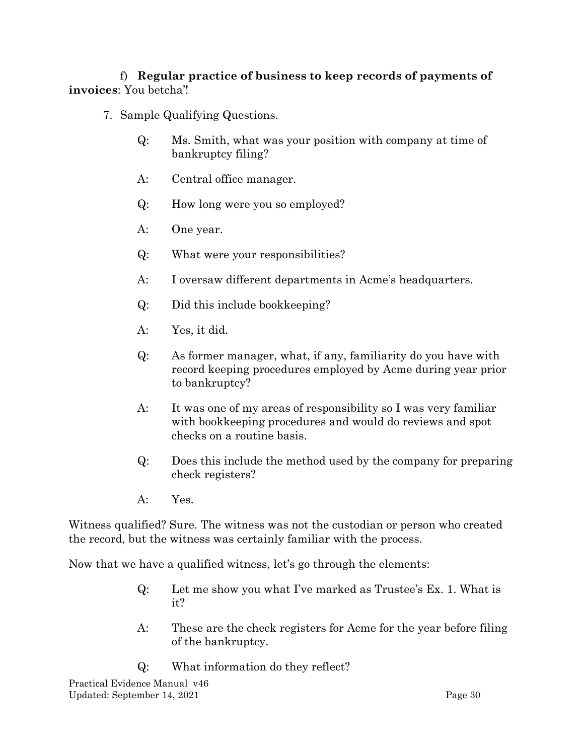f) **Regular practice of business to keep records of payments of invoices**: You betcha'!

- <span id="page-32-0"></span>7. Sample Qualifying Questions.
	- Q: Ms. Smith, what was your position with company at time of bankruptcy filing?
	- A: Central office manager.
	- Q: How long were you so employed?
	- A: One year.
	- Q: What were your responsibilities?
	- A: I oversaw different departments in Acme's headquarters.
	- Q: Did this include bookkeeping?
	- A: Yes, it did.
	- Q: As former manager, what, if any, familiarity do you have with record keeping procedures employed by Acme during year prior to bankruptcy?
	- A: It was one of my areas of responsibility so I was very familiar with bookkeeping procedures and would do reviews and spot checks on a routine basis.
	- Q: Does this include the method used by the company for preparing check registers?
	- A: Yes.

Witness qualified? Sure. The witness was not the custodian or person who created the record, but the witness was certainly familiar with the process.

Now that we have a qualified witness, let's go through the elements:

- Q: Let me show you what I've marked as Trustee's Ex. 1. What is it?
- A: These are the check registers for Acme for the year before filing of the bankruptcy.
- Q: What information do they reflect?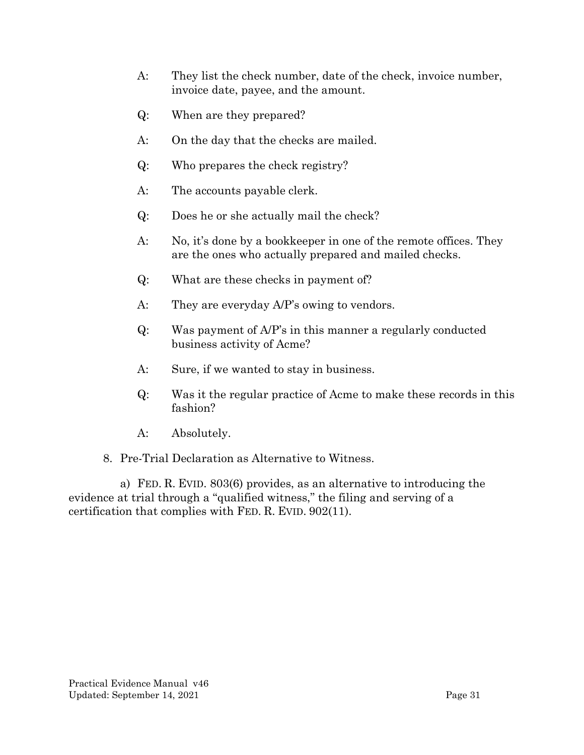- A: They list the check number, date of the check, invoice number, invoice date, payee, and the amount.
- Q: When are they prepared?
- A: On the day that the checks are mailed.
- Q: Who prepares the check registry?
- A: The accounts payable clerk.
- Q: Does he or she actually mail the check?
- A: No, it's done by a bookkeeper in one of the remote offices. They are the ones who actually prepared and mailed checks.
- Q: What are these checks in payment of?
- A: They are everyday A/P's owing to vendors.
- Q: Was payment of A/P's in this manner a regularly conducted business activity of Acme?
- A: Sure, if we wanted to stay in business.
- Q: Was it the regular practice of Acme to make these records in this fashion?
- A: Absolutely.
- 8. Pre-Trial Declaration as Alternative to Witness.

<span id="page-33-0"></span>a) FED. R. EVID. 803(6) provides, as an alternative to introducing the evidence at trial through a "qualified witness," the filing and serving of a certification that complies with FED. R. EVID. 902(11).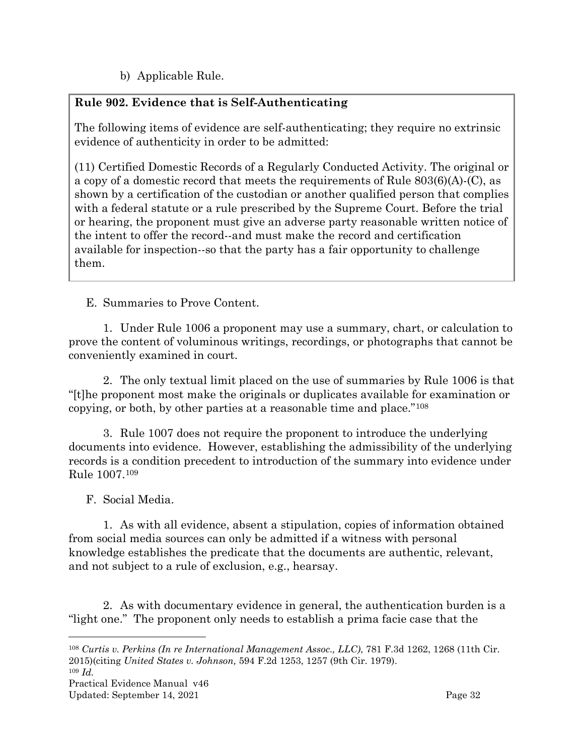b) Applicable Rule.

# **Rule 902. Evidence that is Self-Authenticating**

The following items of evidence are self-authenticating; they require no extrinsic evidence of authenticity in order to be admitted:

(11) Certified Domestic Records of a Regularly Conducted Activity. The original or a copy of a domestic record that meets the requirements of [Rule 803\(6\)\(A\)-](http://web2.westlaw.com/find/default.wl?referencepositiontype=T&docname=USFRER803&rp=%2ffind%2fdefault.wl&sv=Split&utid=1&rs=WLW11.10&db=1000607&tf=-1&findtype=L&fn=_top&mt=FederalGovernment&vr=2.0&referenceposition=SP%3b9ebf00005e723&pbc=6D87D02A&tc=-1&ordoc=2150591)(C), as shown by a certification of the custodian or another qualified person that complies with a federal statute or a rule prescribed by the Supreme Court. Before the trial or hearing, the proponent must give an adverse party reasonable written notice of the intent to offer the record--and must make the record and certification available for inspection--so that the party has a fair opportunity to challenge them.

<span id="page-34-0"></span>E. Summaries to Prove Content.

1. Under Rule 1006 a proponent may use a summary, chart, or calculation to prove the content of voluminous writings, recordings, or photographs that cannot be conveniently examined in court.

2. The only textual limit placed on the use of summaries by Rule 1006 is that "[t]he proponent most make the originals or duplicates available for examination or copying, or both, by other parties at a reasonable time and place."[108](#page-34-2)

3. Rule 1007 does not require the proponent to introduce the underlying documents into evidence. However, establishing the admissibility of the underlying records is a condition precedent to introduction of the summary into evidence under Rule 1007.[109](#page-34-3)

<span id="page-34-1"></span>F. Social Media.

1. As with all evidence, absent a stipulation, copies of information obtained from social media sources can only be admitted if a witness with personal knowledge establishes the predicate that the documents are authentic, relevant, and not subject to a rule of exclusion, e.g., hearsay.

2. As with documentary evidence in general, the authentication burden is a "light one." The proponent only needs to establish a prima facie case that the

<span id="page-34-3"></span><sup>109</sup> *Id.*

<span id="page-34-2"></span><sup>108</sup> *Curtis v. Perkins (In re International Management Assoc., LLC)*, 781 F.3d 1262, 1268 (11th Cir. 2015)(citing *United States v. Johnson,* 594 F.2d 1253, 1257 (9th Cir. 1979).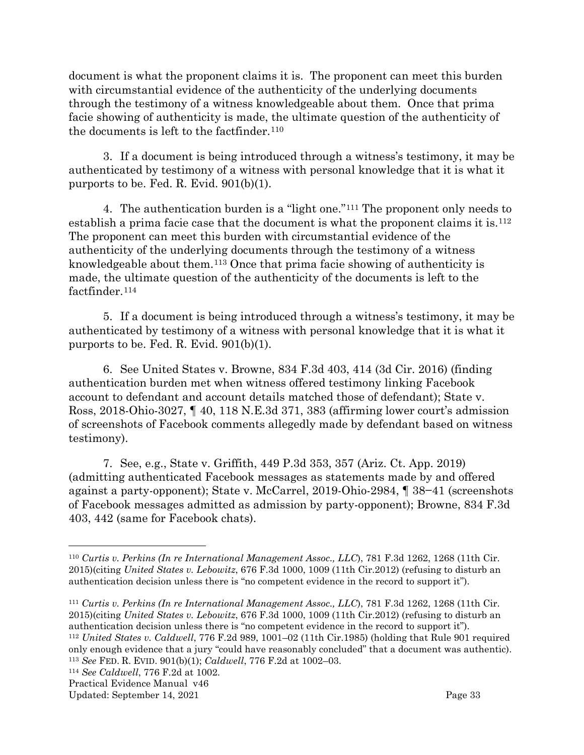document is what the proponent claims it is. The proponent can meet this burden with circumstantial evidence of the authenticity of the underlying documents through the testimony of a witness knowledgeable about them. Once that prima facie showing of authenticity is made, the ultimate question of the authenticity of the documents is left to the factfinder.<sup>[110](#page-35-0)</sup>

3. If a document is being introduced through a witness's testimony, it may be authenticated by testimony of a witness with personal knowledge that it is what it purports to be. Fed. R. Evid. 901(b)(1).

4. The authentication burden is a "light one."[111](#page-35-1) The proponent only needs to establish a prima facie case that the document is what the proponent claims it is.[112](#page-35-2) The proponent can meet this burden with circumstantial evidence of the authenticity of the underlying documents through the testimony of a witness knowledgeable about them.[113](#page-35-3) Once that prima facie showing of authenticity is made, the ultimate question of the authenticity of the documents is left to the factfinder.<sup>[114](#page-35-4)</sup>

5. If a document is being introduced through a witness's testimony, it may be authenticated by testimony of a witness with personal knowledge that it is what it purports to be. Fed. R. Evid. 901(b)(1).

6. See United States v. Browne, 834 F.3d 403, 414 (3d Cir. 2016) (finding authentication burden met when witness offered testimony linking Facebook account to defendant and account details matched those of defendant); State v. Ross, 2018-Ohio-3027, ¶ 40, 118 N.E.3d 371, 383 (affirming lower court's admission of screenshots of Facebook comments allegedly made by defendant based on witness testimony).

7. See, e.g., State v. Griffith, 449 P.3d 353, 357 (Ariz. Ct. App. 2019) (admitting authenticated Facebook messages as statements made by and offered against a party-opponent); State v. McCarrel, 2019-Ohio-2984, ¶ 38−41 (screenshots of Facebook messages admitted as admission by party-opponent); Browne, 834 F.3d 403, 442 (same for Facebook chats).

<span id="page-35-1"></span><sup>111</sup> *Curtis v. Perkins (In re International Management Assoc., LLC*), 781 F.3d 1262, 1268 (11th Cir. 2015)(citing *United States v. Lebowitz*, 676 F.3d 1000, 1009 (11th Cir.2012) (refusing to disturb an authentication decision unless there is "no competent evidence in the record to support it"). <sup>112</sup> *United States v. Caldwell*, 776 F.2d 989, 1001–02 (11th Cir.1985) (holding that Rule 901 required only enough evidence that a jury "could have reasonably concluded" that a document was authentic). <sup>113</sup> *See* FED. R. EVID. 901(b)(1); *Caldwell*, 776 F.2d at 1002–03.

<span id="page-35-4"></span><span id="page-35-3"></span><span id="page-35-2"></span><sup>114</sup> *See Caldwell*, 776 F.2d at 1002.

Practical Evidence Manual v46

Updated: September 14, 2021 Page 33

<span id="page-35-0"></span><sup>110</sup> *Curtis v. Perkins (In re International Management Assoc., LLC*), 781 F.3d 1262, 1268 (11th Cir. 2015)(citing *United States v. Lebowitz*, 676 F.3d 1000, 1009 (11th Cir.2012) (refusing to disturb an authentication decision unless there is "no competent evidence in the record to support it").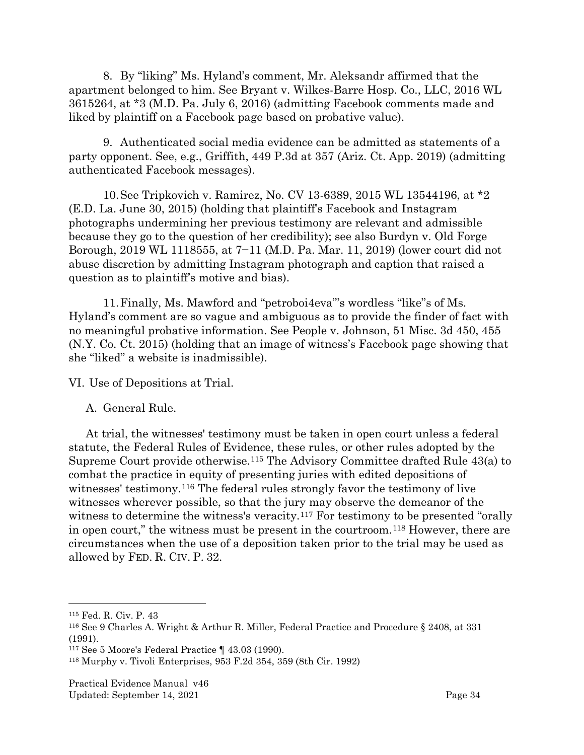8. By "liking" Ms. Hyland's comment, Mr. Aleksandr affirmed that the apartment belonged to him. See Bryant v. Wilkes-Barre Hosp. Co., LLC, 2016 WL 3615264, at \*3 (M.D. Pa. July 6, 2016) (admitting Facebook comments made and liked by plaintiff on a Facebook page based on probative value).

9. Authenticated social media evidence can be admitted as statements of a party opponent. See, e.g., Griffith, 449 P.3d at 357 (Ariz. Ct. App. 2019) (admitting authenticated Facebook messages).

10.See Tripkovich v. Ramirez, No. CV 13-6389, 2015 WL 13544196, at \*2 (E.D. La. June 30, 2015) (holding that plaintiff's Facebook and Instagram photographs undermining her previous testimony are relevant and admissible because they go to the question of her credibility); see also Burdyn v. Old Forge Borough, 2019 WL 1118555, at 7−11 (M.D. Pa. Mar. 11, 2019) (lower court did not abuse discretion by admitting Instagram photograph and caption that raised a question as to plaintiff's motive and bias).

11.Finally, Ms. Mawford and "petroboi4eva"'s wordless "like"s of Ms. Hyland's comment are so vague and ambiguous as to provide the finder of fact with no meaningful probative information. See People v. Johnson, 51 Misc. 3d 450, 455 (N.Y. Co. Ct. 2015) (holding that an image of witness's Facebook page showing that she "liked" a website is inadmissible).

<span id="page-36-0"></span>VI. Use of Depositions at Trial.

<span id="page-36-1"></span>A. General Rule.

At trial, the witnesses' testimony must be taken in open court unless a federal statute, the Federal Rules of Evidence, these rules, or other rules adopted by the Supreme Court provide otherwise.[115](#page-36-2) The Advisory Committee drafted Rule 43(a) to combat the practice in equity of presenting juries with edited depositions of witnesses' testimony.[116](#page-36-3) The federal rules strongly favor the testimony of live witnesses wherever possible, so that the jury may observe the demeanor of the witness to determine the witness's veracity.<sup>[117](#page-36-4)</sup> For testimony to be presented "orally in open court," the witness must be present in the courtroom.[118](#page-36-5) However, there are circumstances when the use of a deposition taken prior to the trial may be used as allowed by FED. R. CIV. P. 32.

<span id="page-36-2"></span><sup>115</sup> Fed. R. Civ. P. 43

<span id="page-36-3"></span><sup>116</sup> See 9 Charles A. Wright & Arthur R. Miller, Federal Practice and Procedure § 2408, at 331 (1991).

<span id="page-36-4"></span><sup>117</sup> See 5 Moore's Federal Practice ¶ 43.03 (1990).

<span id="page-36-5"></span><sup>118</sup> Murphy v. Tivoli Enterprises, 953 F.2d 354, 359 (8th Cir. 1992)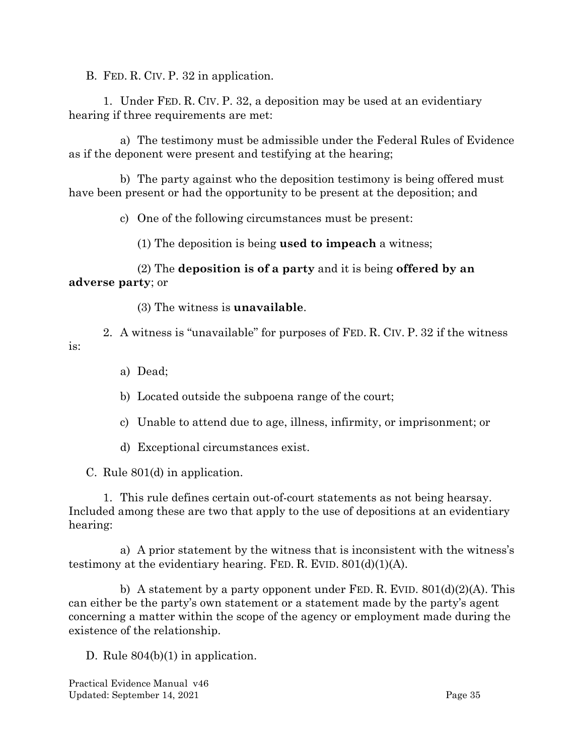<span id="page-37-0"></span>B. FED. R. CIV. P. 32 in application.

1. Under FED. R. CIV. P. 32, a deposition may be used at an evidentiary hearing if three requirements are met:

a) The testimony must be admissible under the Federal Rules of Evidence as if the deponent were present and testifying at the hearing;

b) The party against who the deposition testimony is being offered must have been present or had the opportunity to be present at the deposition; and

c) One of the following circumstances must be present:

(1) The deposition is being **used to impeach** a witness;

(2) The **deposition is of a party** and it is being **offered by an adverse party**; or

(3) The witness is **unavailable**.

2. A witness is "unavailable" for purposes of FED. R. CIV. P. 32 if the witness is:

a) Dead;

b) Located outside the subpoena range of the court;

- c) Unable to attend due to age, illness, infirmity, or imprisonment; or
- d) Exceptional circumstances exist.

<span id="page-37-1"></span>C. Rule 801(d) in application.

1. This rule defines certain out-of-court statements as not being hearsay. Included among these are two that apply to the use of depositions at an evidentiary hearing:

a) A prior statement by the witness that is inconsistent with the witness's testimony at the evidentiary hearing. FED. R. EVID.  $801(d)(1)(A)$ .

b) A statement by a party opponent under FED. R. EVID.  $801(d)(2)(A)$ . This can either be the party's own statement or a statement made by the party's agent concerning a matter within the scope of the agency or employment made during the existence of the relationship.

<span id="page-37-2"></span>D. Rule 804(b)(1) in application.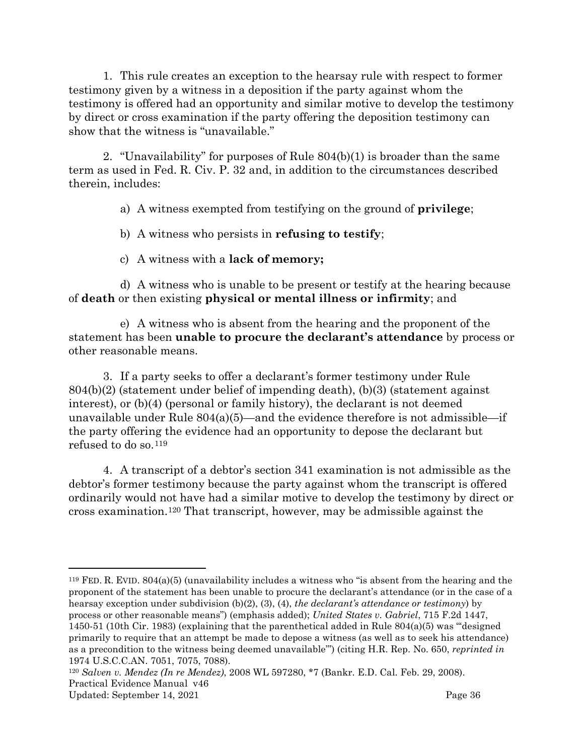1. This rule creates an exception to the hearsay rule with respect to former testimony given by a witness in a deposition if the party against whom the testimony is offered had an opportunity and similar motive to develop the testimony by direct or cross examination if the party offering the deposition testimony can show that the witness is "unavailable."

2. "Unavailability" for purposes of Rule 804(b)(1) is broader than the same term as used in Fed. R. Civ. P. 32 and, in addition to the circumstances described therein, includes:

a) A witness exempted from testifying on the ground of **privilege**;

b) A witness who persists in **refusing to testify**;

c) A witness with a **lack of memory;**

d) A witness who is unable to be present or testify at the hearing because of **death** or then existing **physical or mental illness or infirmity**; and

e) A witness who is absent from the hearing and the proponent of the statement has been **unable to procure the declarant's attendance** by process or other reasonable means.

3. If a party seeks to offer a declarant's former testimony under Rule 804(b)(2) (statement under belief of impending death), (b)(3) (statement against interest), or (b)(4) (personal or family history), the declarant is not deemed unavailable under Rule  $804(a)(5)$ —and the evidence therefore is not admissible—if the party offering the evidence had an opportunity to depose the declarant but refused to do so.[119](#page-38-0)

4. A transcript of a debtor's section 341 examination is not admissible as the debtor's former testimony because the party against whom the transcript is offered ordinarily would not have had a similar motive to develop the testimony by direct or cross examination.[120](#page-38-1) That transcript, however, may be admissible against the

<span id="page-38-0"></span><sup>&</sup>lt;sup>119</sup> FED. R. EVID.  $804(a)(5)$  (unavailability includes a witness who "is absent from the hearing and the proponent of the statement has been unable to procure the declarant's attendance (or in the case of a hearsay exception under subdivision (b)(2), (3), (4), *the declarant's attendance or testimony*) by process or other reasonable means") (emphasis added); *United States v. Gabriel*, 715 F.2d 1447, 1450-51 (10th Cir. 1983) (explaining that the parenthetical added in Rule 804(a)(5) was "'designed primarily to require that an attempt be made to depose a witness (as well as to seek his attendance) as a precondition to the witness being deemed unavailable'") (citing H.R. Rep. No. 650, *reprinted in*  1974 U.S.C.C.AN. 7051, 7075, 7088).

<span id="page-38-1"></span>Practical Evidence Manual v46 Updated: September 14, 2021 Page 36 <sup>120</sup> *Salven v. Mendez (In re Mendez)*, 2008 WL 597280, \*7 (Bankr. E.D. Cal. Feb. 29, 2008).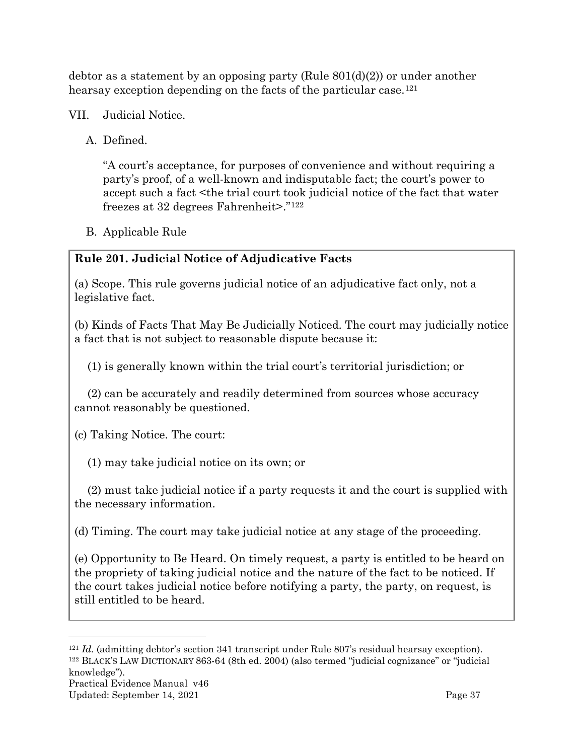debtor as a statement by an opposing party (Rule 801(d)(2)) or under another hearsay exception depending on the facts of the particular case.<sup>[121](#page-39-3)</sup>

- <span id="page-39-1"></span><span id="page-39-0"></span>VII. Judicial Notice.
	- A. Defined.

"A court's acceptance, for purposes of convenience and without requiring a party's proof, of a well-known and indisputable fact; the court's power to accept such a fact <the trial court took judicial notice of the fact that water freezes at 32 degrees Fahrenheit>."[122](#page-39-4)

<span id="page-39-2"></span>B. Applicable Rule

# **Rule 201. Judicial Notice of Adjudicative Facts**

(a) Scope. This rule governs judicial notice of an adjudicative fact only, not a legislative fact.

(b) Kinds of Facts That May Be Judicially Noticed. The court may judicially notice a fact that is not subject to reasonable dispute because it:

(1) is generally known within the trial court's territorial jurisdiction; or

(2) can be accurately and readily determined from sources whose accuracy cannot reasonably be questioned.

(c) Taking Notice. The court:

(1) may take judicial notice on its own; or

(2) must take judicial notice if a party requests it and the court is supplied with the necessary information.

(d) Timing. The court may take judicial notice at any stage of the proceeding.

(e) Opportunity to Be Heard. On timely request, a party is entitled to be heard on the propriety of taking judicial notice and the nature of the fact to be noticed. If the court takes judicial notice before notifying a party, the party, on request, is still entitled to be heard.

<span id="page-39-4"></span><span id="page-39-3"></span><sup>121</sup> *Id.* (admitting debtor's section 341 transcript under Rule 807's residual hearsay exception). <sup>122</sup> BLACK'S LAW DICTIONARY 863-64 (8th ed. 2004) (also termed "judicial cognizance" or "judicial knowledge").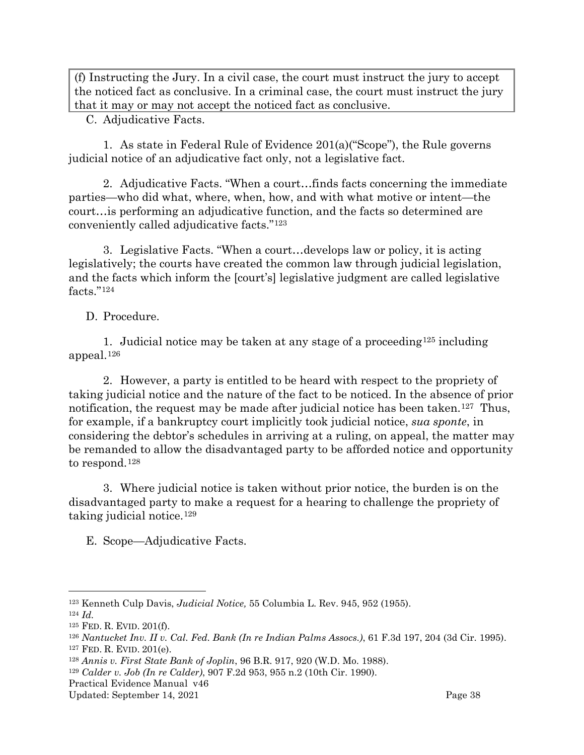(f) Instructing the Jury. In a civil case, the court must instruct the jury to accept the noticed fact as conclusive. In a criminal case, the court must instruct the jury that it may or may not accept the noticed fact as conclusive.

<span id="page-40-0"></span>C. Adjudicative Facts.

1. As state in Federal Rule of Evidence 201(a)("Scope"), the Rule governs judicial notice of an adjudicative fact only, not a legislative fact.

2. Adjudicative Facts. "When a court…finds facts concerning the immediate parties—who did what, where, when, how, and with what motive or intent—the court…is performing an adjudicative function, and the facts so determined are conveniently called adjudicative facts."[123](#page-40-3)

3. Legislative Facts. "When a court…develops law or policy, it is acting legislatively; the courts have created the common law through judicial legislation, and the facts which inform the [court's] legislative judgment are called legislative facts."[124](#page-40-4)

<span id="page-40-1"></span>D. Procedure.

1. Judicial notice may be taken at any stage of a proceeding<sup>[125](#page-40-5)</sup> including appeal.[126](#page-40-6)

2. However, a party is entitled to be heard with respect to the propriety of taking judicial notice and the nature of the fact to be noticed. In the absence of prior notification, the request may be made after judicial notice has been taken.<sup>[127](#page-40-7)</sup> Thus, for example, if a bankruptcy court implicitly took judicial notice, *sua sponte*, in considering the debtor's schedules in arriving at a ruling, on appeal, the matter may be remanded to allow the disadvantaged party to be afforded notice and opportunity to respond.[128](#page-40-8)

3. Where judicial notice is taken without prior notice, the burden is on the disadvantaged party to make a request for a hearing to challenge the propriety of taking judicial notice.[129](#page-40-9)

<span id="page-40-2"></span>E. Scope—Adjudicative Facts.

<span id="page-40-3"></span><sup>123</sup> Kenneth Culp Davis, *Judicial Notice,* 55 Columbia L. Rev. 945, 952 (1955).

<span id="page-40-4"></span><sup>124</sup> *Id.*

<span id="page-40-5"></span><sup>125</sup> FED. R. EVID. 201(f).

<span id="page-40-7"></span><span id="page-40-6"></span><sup>126</sup> *Nantucket Inv. II v. Cal. Fed. Bank (In re Indian Palms Assocs.)*, 61 F.3d 197, 204 (3d Cir. 1995). <sup>127</sup> FED. R. EVID. 201(e).

<span id="page-40-8"></span><sup>128</sup> *Annis v. First State Bank of Joplin*, 96 B.R. 917, 920 (W.D. Mo. 1988).

<span id="page-40-9"></span><sup>129</sup> *Calder v. Job (In re Calder)*, 907 F.2d 953, 955 n.2 (10th Cir. 1990).

Practical Evidence Manual v46

Updated: September 14, 2021 Page 38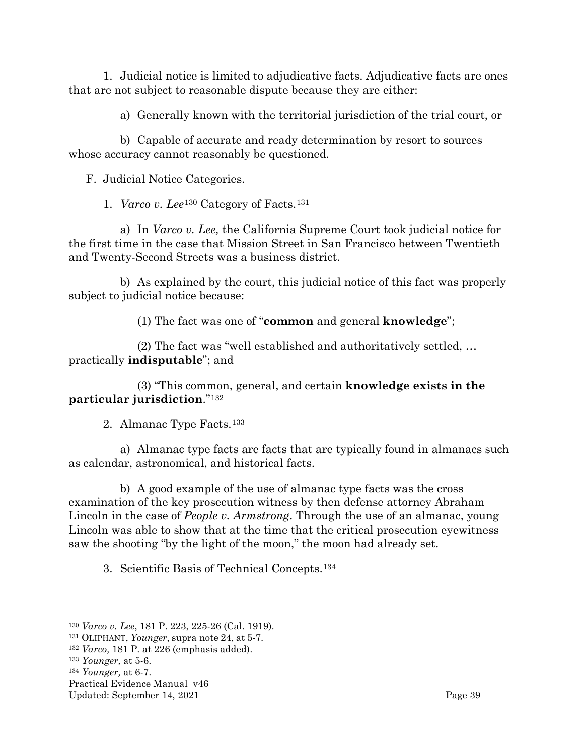1. Judicial notice is limited to adjudicative facts. Adjudicative facts are ones that are not subject to reasonable dispute because they are either:

a) Generally known with the territorial jurisdiction of the trial court, or

b) Capable of accurate and ready determination by resort to sources whose accuracy cannot reasonably be questioned.

<span id="page-41-0"></span>F. Judicial Notice Categories.

1. *Varco v. Lee*[130](#page-41-1) Category of Facts.[131](#page-41-2)

a) In *Varco v. Lee,* the California Supreme Court took judicial notice for the first time in the case that Mission Street in San Francisco between Twentieth and Twenty-Second Streets was a business district.

b) As explained by the court, this judicial notice of this fact was properly subject to judicial notice because:

(1) The fact was one of "**common** and general **knowledge**";

(2) The fact was "well established and authoritatively settled, … practically **indisputable**"; and

(3) "This common, general, and certain **knowledge exists in the particular jurisdiction**."[132](#page-41-3)

2. Almanac Type Facts.[133](#page-41-4)

a) Almanac type facts are facts that are typically found in almanacs such as calendar, astronomical, and historical facts.

b) A good example of the use of almanac type facts was the cross examination of the key prosecution witness by then defense attorney Abraham Lincoln in the case of *People v. Armstrong*. Through the use of an almanac, young Lincoln was able to show that at the time that the critical prosecution eyewitness saw the shooting "by the light of the moon," the moon had already set.

3. Scientific Basis of Technical Concepts.[134](#page-41-5)

<span id="page-41-1"></span><sup>130</sup> *Varco v. Lee*, 181 P. 223, 225-26 (Cal. 1919).

<span id="page-41-2"></span><sup>131</sup> OLIPHANT, *Younger*, supra note 24, at 5-7.

<span id="page-41-3"></span><sup>132</sup> *Varco,* 181 P. at 226 (emphasis added).

<span id="page-41-4"></span><sup>133</sup> *Younger,* at 5-6.

<span id="page-41-5"></span><sup>134</sup> *Younger,* at 6-7.

Practical Evidence Manual v46

Updated: September 14, 2021 **Page 39**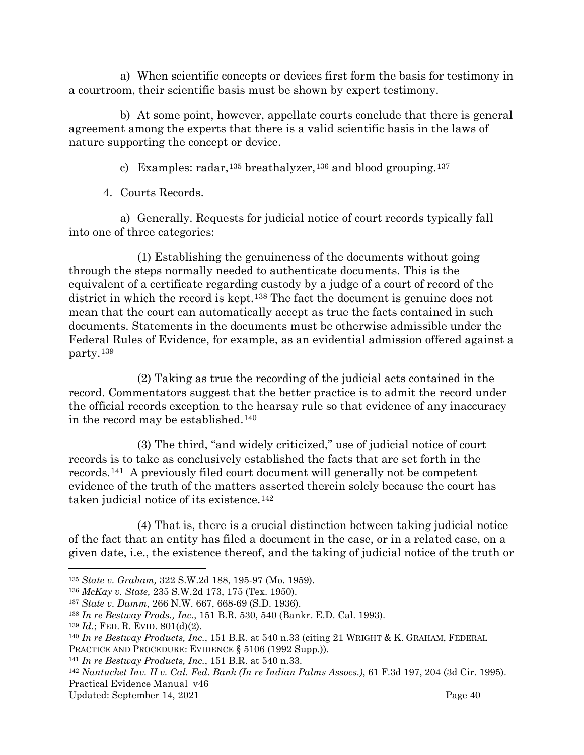a) When scientific concepts or devices first form the basis for testimony in a courtroom, their scientific basis must be shown by expert testimony.

b) At some point, however, appellate courts conclude that there is general agreement among the experts that there is a valid scientific basis in the laws of nature supporting the concept or device.

c) Examples: radar,<sup>[135](#page-42-0)</sup> breathalyzer,<sup>[136](#page-42-1)</sup> and blood grouping.<sup>[137](#page-42-2)</sup>

4. Courts Records.

a) Generally. Requests for judicial notice of court records typically fall into one of three categories:

(1) Establishing the genuineness of the documents without going through the steps normally needed to authenticate documents. This is the equivalent of a certificate regarding custody by a judge of a court of record of the district in which the record is kept.<sup>[138](#page-42-3)</sup> The fact the document is genuine does not mean that the court can automatically accept as true the facts contained in such documents. Statements in the documents must be otherwise admissible under the Federal Rules of Evidence, for example, as an evidential admission offered against a party.[139](#page-42-4)

(2) Taking as true the recording of the judicial acts contained in the record. Commentators suggest that the better practice is to admit the record under the official records exception to the hearsay rule so that evidence of any inaccuracy in the record may be established.[140](#page-42-5)

(3) The third, "and widely criticized," use of judicial notice of court records is to take as conclusively established the facts that are set forth in the records.[141](#page-42-6) A previously filed court document will generally not be competent evidence of the truth of the matters asserted therein solely because the court has taken judicial notice of its existence.[142](#page-42-7)

(4) That is, there is a crucial distinction between taking judicial notice of the fact that an entity has filed a document in the case, or in a related case, on a given date, i.e., the existence thereof, and the taking of judicial notice of the truth or

<span id="page-42-0"></span><sup>135</sup> *State v. Graham,* 322 S.W.2d 188, 195-97 (Mo. 1959).

<span id="page-42-1"></span><sup>136</sup> *McKay v. State,* 235 S.W.2d 173, 175 (Tex. 1950).

<span id="page-42-2"></span><sup>137</sup> *State v. Damm,* 266 N.W. 667, 668-69 (S.D. 1936).

<span id="page-42-3"></span><sup>138</sup> *In re Bestway Prods., Inc.*, 151 B.R. 530, 540 (Bankr. E.D. Cal. 1993).

<span id="page-42-4"></span><sup>139</sup> *Id*.; FED. R. EVID. 801(d)(2).

<span id="page-42-5"></span><sup>140</sup> *In re Bestway Products, Inc.*, 151 B.R. at 540 n.33 (citing 21 WRIGHT & K. GRAHAM, FEDERAL PRACTICE AND PROCEDURE: EVIDENCE § 5106 (1992 Supp.)).

<span id="page-42-6"></span><sup>141</sup> *In re Bestway Products, Inc.*, 151 B.R. at 540 n.33.

<span id="page-42-7"></span>Practical Evidence Manual v46 <sup>142</sup> *Nantucket Inv. II v. Cal. Fed. Bank (In re Indian Palms Assocs.)*, 61 F.3d 197, 204 (3d Cir. 1995).

Updated: September 14, 2021 Page 40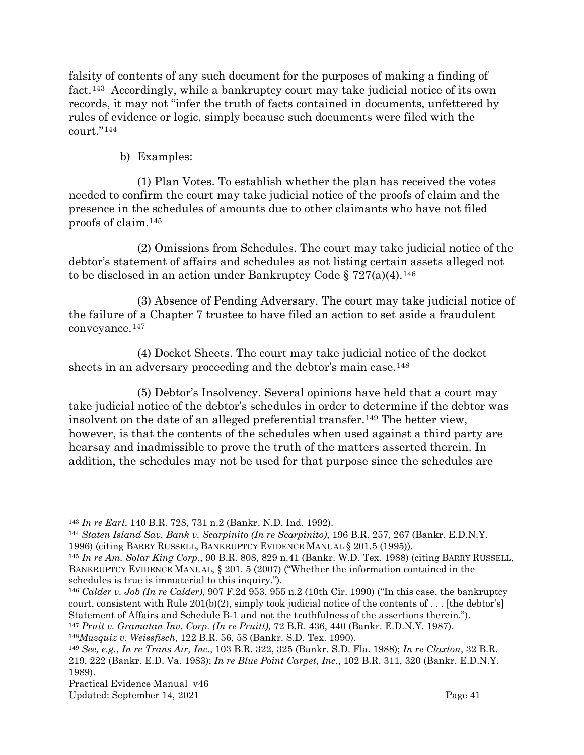falsity of contents of any such document for the purposes of making a finding of fact.[143](#page-43-0) Accordingly, while a bankruptcy court may take judicial notice of its own records, it may not "infer the truth of facts contained in documents, unfettered by rules of evidence or logic, simply because such documents were filed with the court."[144](#page-43-1) 

### b) Examples:

(1) Plan Votes. To establish whether the plan has received the votes needed to confirm the court may take judicial notice of the proofs of claim and the presence in the schedules of amounts due to other claimants who have not filed proofs of claim[.145](#page-43-2)

(2) Omissions from Schedules. The court may take judicial notice of the debtor's statement of affairs and schedules as not listing certain assets alleged not to be disclosed in an action under Bankruptcy Code  $\S 727(a)(4)$ .<sup>[146](#page-43-3)</sup>

(3) Absence of Pending Adversary. The court may take judicial notice of the failure of a Chapter 7 trustee to have filed an action to set aside a fraudulent conveyance.[147](#page-43-4)

(4) Docket Sheets. The court may take judicial notice of the docket sheets in an adversary proceeding and the debtor's main case.[148](#page-43-5)

(5) Debtor's Insolvency. Several opinions have held that a court may take judicial notice of the debtor's schedules in order to determine if the debtor was insolvent on the date of an alleged preferential transfer.[149](#page-43-6) The better view, however, is that the contents of the schedules when used against a third party are hearsay and inadmissible to prove the truth of the matters asserted therein. In addition, the schedules may not be used for that purpose since the schedules are

<span id="page-43-3"></span><sup>146</sup> *Calder v. Job (In re Calder)*, 907 F.2d 953, 955 n.2 (10th Cir. 1990) ("In this case, the bankruptcy court, consistent with Rule 201(b)(2), simply took judicial notice of the contents of . . . [the debtor's] Statement of Affairs and Schedule B-1 and not the truthfulness of the assertions therein.").

<span id="page-43-0"></span><sup>143</sup> *In re Earl*, 140 B.R. 728, 731 n.2 (Bankr. N.D. Ind. 1992).

<span id="page-43-1"></span><sup>144</sup> *Staten Island Sav. Bank v. Scarpinito (In re Scarpinito)*, 196 B.R. 257, 267 (Bankr. E.D.N.Y. 1996) (citing BARRY RUSSELL, BANKRUPTCY EVIDENCE MANUAL § 201.5 (1995)).

<span id="page-43-2"></span><sup>145</sup> *In re Am. Solar King Corp.*, 90 B.R. 808, 829 n.41 (Bankr. W.D. Tex. 1988) (citing BARRY RUSSELL, BANKRUPTCY EVIDENCE MANUAL, § 201. 5 (2007) ("Whether the information contained in the schedules is true is immaterial to this inquiry.").

<span id="page-43-5"></span><span id="page-43-4"></span><sup>147</sup> *Pruit v. Gramatan Inv. Corp. (In re Pruitt),* 72 B.R. 436, 440 (Bankr. E.D.N.Y. 1987).

<sup>148</sup>*Muzquiz v. Weissfisch*, 122 B.R. 56, 58 (Bankr. S.D. Tex. 1990).

<span id="page-43-6"></span><sup>149</sup> *See, e.g.*, *In re Trans Air, Inc.*, 103 B.R. 322, 325 (Bankr. S.D. Fla. 1988); *In re Claxton*, 32 B.R. 219, 222 (Bankr. E.D. Va. 1983); *In re Blue Point Carpet, Inc.*, 102 B.R. 311, 320 (Bankr. E.D.N.Y. 1989).

Updated: September 14, 2021 Page 41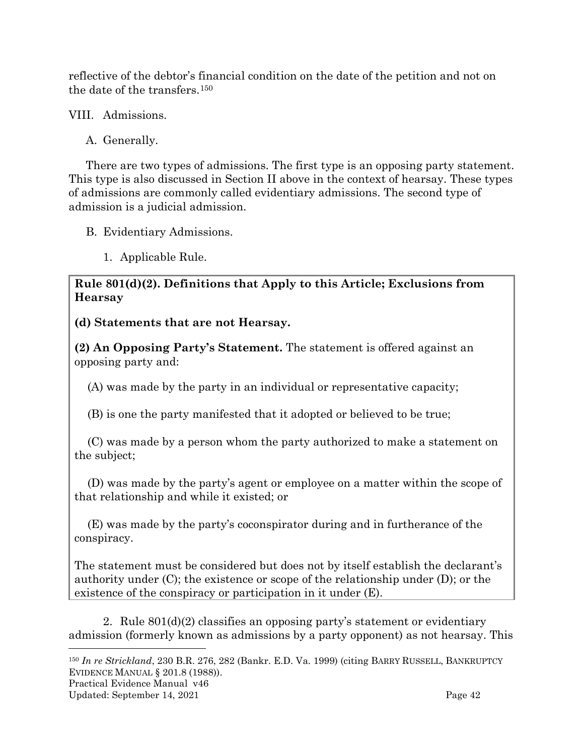reflective of the debtor's financial condition on the date of the petition and not on the date of the transfers.[150](#page-44-3)

<span id="page-44-0"></span>VIII. Admissions.

<span id="page-44-1"></span>A. Generally.

There are two types of admissions. The first type is an opposing party statement. This type is also discussed in Section II above in the context of hearsay. These types of admissions are commonly called evidentiary admissions. The second type of admission is a judicial admission.

- <span id="page-44-2"></span>B. Evidentiary Admissions.
	- 1. Applicable Rule.

**Rule 801(d)(2). Definitions that Apply to this Article; Exclusions from Hearsay**

**(d) Statements that are not Hearsay.**

**(2) An Opposing Party's Statement.** The statement is offered against an opposing party and:

(A) was made by the party in an individual or representative capacity;

(B) is one the party manifested that it adopted or believed to be true;

(C) was made by a person whom the party authorized to make a statement on the subject;

(D) was made by the party's agent or employee on a matter within the scope of that relationship and while it existed; or

(E) was made by the party's coconspirator during and in furtherance of the conspiracy.

The statement must be considered but does not by itself establish the declarant's authority under (C); the existence or scope of the relationship under (D); or the existence of the conspiracy or participation in it under (E).

2. Rule 801(d)(2) classifies an opposing party's statement or evidentiary admission (formerly known as admissions by a party opponent) as not hearsay. This

<span id="page-44-3"></span><sup>150</sup> *In re Strickland*, 230 B.R. 276, 282 (Bankr. E.D. Va. 1999) (citing BARRY RUSSELL, BANKRUPTCY EVIDENCE MANUAL § 201.8 (1988)).

Practical Evidence Manual v46

Updated: September 14, 2021 Contract and the Updated: September 14, 2021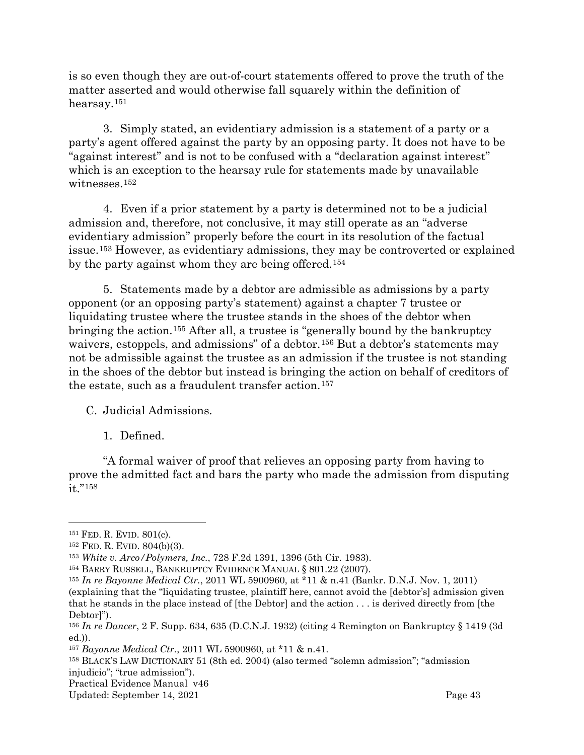is so even though they are out-of-court statements offered to prove the truth of the matter asserted and would otherwise fall squarely within the definition of hearsay.[151](#page-45-1)

3. Simply stated, an evidentiary admission is a statement of a party or a party's agent offered against the party by an opposing party. It does not have to be "against interest" and is not to be confused with a "declaration against interest" which is an exception to the hearsay rule for statements made by unavailable witnesses.[152](#page-45-2)

4. Even if a prior statement by a party is determined not to be a judicial admission and, therefore, not conclusive, it may still operate as an "adverse evidentiary admission" properly before the court in its resolution of the factual issue.[153](#page-45-3) However, as evidentiary admissions, they may be controverted or explained by the party against whom they are being offered.[154](#page-45-4)

5. Statements made by a debtor are admissible as admissions by a party opponent (or an opposing party's statement) against a chapter 7 trustee or liquidating trustee where the trustee stands in the shoes of the debtor when bringing the action.[155](#page-45-5) After all, a trustee is "generally bound by the bankruptcy waivers, estoppels, and admissions" of a debtor.<sup>[156](#page-45-6)</sup> But a debtor's statements may not be admissible against the trustee as an admission if the trustee is not standing in the shoes of the debtor but instead is bringing the action on behalf of creditors of the estate, such as a fraudulent transfer action.<sup>[157](#page-45-7)</sup>

<span id="page-45-0"></span>C. Judicial Admissions.

1. Defined.

"A formal waiver of proof that relieves an opposing party from having to prove the admitted fact and bars the party who made the admission from disputing it."[158](#page-45-8)

<span id="page-45-8"></span><sup>158</sup> BLACK'S LAW DICTIONARY 51 (8th ed. 2004) (also termed "solemn admission"; "admission injudicio"; "true admission").

<span id="page-45-1"></span><sup>151</sup> FED. R. EVID. 801(c).

<span id="page-45-2"></span><sup>152</sup> FED. R. EVID. 804(b)(3).

<span id="page-45-3"></span><sup>153</sup> *White v. Arco/Polymers, Inc.*, 728 F.2d 1391, 1396 (5th Cir. 1983).

<span id="page-45-4"></span><sup>154</sup> BARRY RUSSELL, BANKRUPTCY EVIDENCE MANUAL § 801.22 (2007).

<span id="page-45-5"></span><sup>155</sup> *In re Bayonne Medical Ctr.*, 2011 WL 5900960, at \*11 & n.41 (Bankr. D.N.J. Nov. 1, 2011) (explaining that the "liquidating trustee, plaintiff here, cannot avoid the [debtor's] admission given that he stands in the place instead of [the Debtor] and the action . . . is derived directly from [the Debtor]").

<span id="page-45-6"></span><sup>156</sup> *In re Dancer*, 2 F. Supp. 634, 635 (D.C.N.J. 1932) (citing 4 Remington on Bankruptcy § 1419 (3d ed.)).

<span id="page-45-7"></span><sup>157</sup> *Bayonne Medical Ctr.*, 2011 WL 5900960, at \*11 & n.41.

Practical Evidence Manual v46

Updated: September 14, 2021 Page 43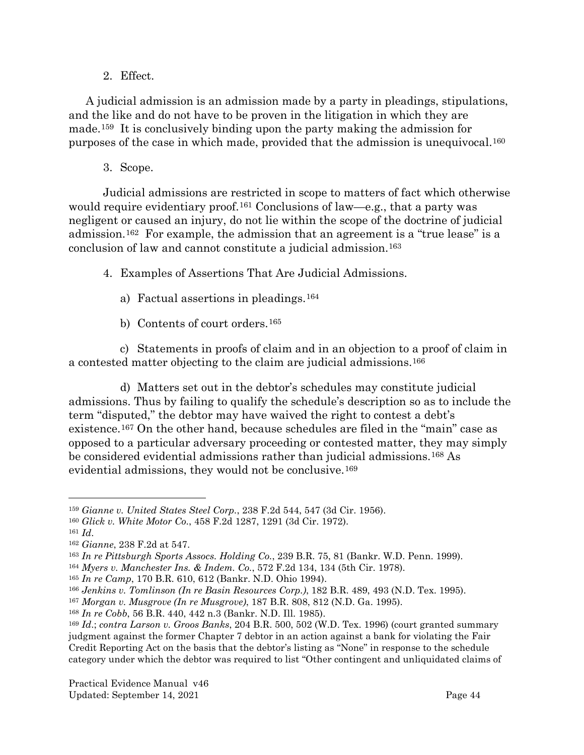2. Effect.

A judicial admission is an admission made by a party in pleadings, stipulations, and the like and do not have to be proven in the litigation in which they are made.[159](#page-46-0) It is conclusively binding upon the party making the admission for purposes of the case in which made, provided that the admission is unequivocal.[160](#page-46-1)

3. Scope.

Judicial admissions are restricted in scope to matters of fact which otherwise would require evidentiary proof.<sup>[161](#page-46-2)</sup> Conclusions of law—e.g., that a party was negligent or caused an injury, do not lie within the scope of the doctrine of judicial admission.[162](#page-46-3) For example, the admission that an agreement is a "true lease" is a conclusion of law and cannot constitute a judicial admission.[163](#page-46-4)

4. Examples of Assertions That Are Judicial Admissions.

- a) Factual assertions in pleadings.[164](#page-46-5)
- b) Contents of court orders.[165](#page-46-6)

c) Statements in proofs of claim and in an objection to a proof of claim in a contested matter objecting to the claim are judicial admissions[.166](#page-46-7)

d) Matters set out in the debtor's schedules may constitute judicial admissions. Thus by failing to qualify the schedule's description so as to include the term "disputed," the debtor may have waived the right to contest a debt's existence.[167](#page-46-8) On the other hand, because schedules are filed in the "main" case as opposed to a particular adversary proceeding or contested matter, they may simply be considered evidential admissions rather than judicial admissions.[168](#page-46-9) As evidential admissions, they would not be conclusive.[169](#page-46-10)

<span id="page-46-0"></span><sup>159</sup> *Gianne v. United States Steel Corp.*, 238 F.2d 544, 547 (3d Cir. 1956).

<span id="page-46-1"></span><sup>160</sup> *Glick v. White Motor Co.*, 458 F.2d 1287, 1291 (3d Cir. 1972).

<span id="page-46-2"></span><sup>161</sup> *Id*.

<span id="page-46-3"></span><sup>162</sup> *Gianne*, 238 F.2d at 547.

<span id="page-46-4"></span><sup>163</sup> *In re Pittsburgh Sports Assocs. Holding Co.*, 239 B.R. 75, 81 (Bankr. W.D. Penn. 1999).

<span id="page-46-5"></span><sup>164</sup> *Myers v. Manchester Ins. & Indem. Co.*, 572 F.2d 134, 134 (5th Cir. 1978).

<span id="page-46-6"></span><sup>165</sup> *In re Camp*, 170 B.R. 610, 612 (Bankr. N.D. Ohio 1994).

<span id="page-46-7"></span><sup>166</sup> *Jenkins v. Tomlinson (In re Basin Resources Corp.)*, 182 B.R. 489, 493 (N.D. Tex. 1995).

<span id="page-46-8"></span><sup>167</sup> *Morgan v. Musgrove (In re Musgrove)*, 187 B.R. 808, 812 (N.D. Ga. 1995).

<span id="page-46-9"></span><sup>168</sup> *In re Cobb*, 56 B.R. 440, 442 n.3 (Bankr. N.D. Ill. 1985).

<span id="page-46-10"></span><sup>169</sup> *Id*.; *contra Larson v. Groos Banks*, 204 B.R. 500, 502 (W.D. Tex. 1996) (court granted summary judgment against the former Chapter 7 debtor in an action against a bank for violating the Fair Credit Reporting Act on the basis that the debtor's listing as "None" in response to the schedule category under which the debtor was required to list "Other contingent and unliquidated claims of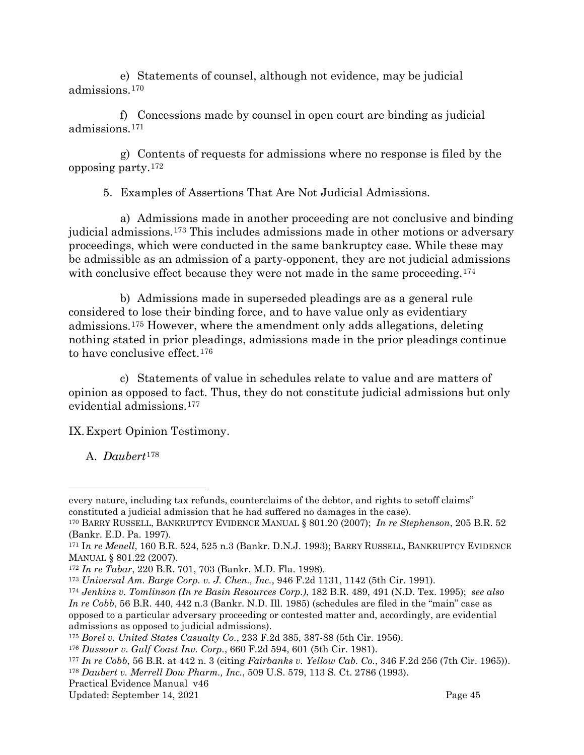e) Statements of counsel, although not evidence, may be judicial admissions.[170](#page-47-2)

f) Concessions made by counsel in open court are binding as judicial admissions.[171](#page-47-3)

g) Contents of requests for admissions where no response is filed by the opposing party.[172](#page-47-4)

5. Examples of Assertions That Are Not Judicial Admissions.

a) Admissions made in another proceeding are not conclusive and binding judicial admissions.[173](#page-47-5) This includes admissions made in other motions or adversary proceedings, which were conducted in the same bankruptcy case. While these may be admissible as an admission of a party-opponent, they are not judicial admissions with conclusive effect because they were not made in the same proceeding.<sup>[174](#page-47-6)</sup>

b) Admissions made in superseded pleadings are as a general rule considered to lose their binding force, and to have value only as evidentiary admissions.[175](#page-47-7) However, where the amendment only adds allegations, deleting nothing stated in prior pleadings, admissions made in the prior pleadings continue to have conclusive effect.[176](#page-47-8)

c) Statements of value in schedules relate to value and are matters of opinion as opposed to fact. Thus, they do not constitute judicial admissions but only evidential admissions.[177](#page-47-9)

<span id="page-47-0"></span>IX.Expert Opinion Testimony.

<span id="page-47-1"></span>A. *Daubert*[178](#page-47-10)

every nature, including tax refunds, counterclaims of the debtor, and rights to setoff claims" constituted a judicial admission that he had suffered no damages in the case).

<span id="page-47-2"></span><sup>170</sup> BARRY RUSSELL, BANKRUPTCY EVIDENCE MANUAL § 801.20 (2007); *In re Stephenson*, 205 B.R. 52 (Bankr. E.D. Pa. 1997).

<span id="page-47-3"></span><sup>171</sup> I*n re Menell*, 160 B.R. 524, 525 n.3 (Bankr. D.N.J. 1993); BARRY RUSSELL, BANKRUPTCY EVIDENCE MANUAL § 801.22 (2007).

<span id="page-47-4"></span><sup>172</sup> *In re Tabar*, 220 B.R. 701, 703 (Bankr. M.D. Fla. 1998).

<span id="page-47-5"></span><sup>173</sup> *Universal Am. Barge Corp. v. J. Chen., Inc.*, 946 F.2d 1131, 1142 (5th Cir. 1991).

<span id="page-47-6"></span><sup>174</sup> *Jenkins v. Tomlinson (In re Basin Resources Corp.)*, 182 B.R. 489, 491 (N.D. Tex. 1995); *see also In re Cobb*, 56 B.R. 440, 442 n.3 (Bankr. N.D. Ill. 1985) (schedules are filed in the "main" case as opposed to a particular adversary proceeding or contested matter and, accordingly, are evidential admissions as opposed to judicial admissions).

<span id="page-47-7"></span><sup>175</sup> *Borel v. United States Casualty Co.*, 233 F.2d 385, 387-88 (5th Cir. 1956).

<span id="page-47-8"></span><sup>176</sup> *Dussour v. Gulf Coast Inv. Corp.*, 660 F.2d 594, 601 (5th Cir. 1981).

<span id="page-47-9"></span><sup>177</sup> *In re Cobb*, 56 B.R. at 442 n. 3 (citing *Fairbanks v. Yellow Cab. Co.*, 346 F.2d 256 (7th Cir. 1965)). <sup>178</sup> *Daubert v. Merrell Dow Pharm., Inc.*, 509 U.S. 579, 113 S. Ct. 2786 (1993).

<span id="page-47-10"></span>Practical Evidence Manual v46

Updated: September 14, 2021 Page 45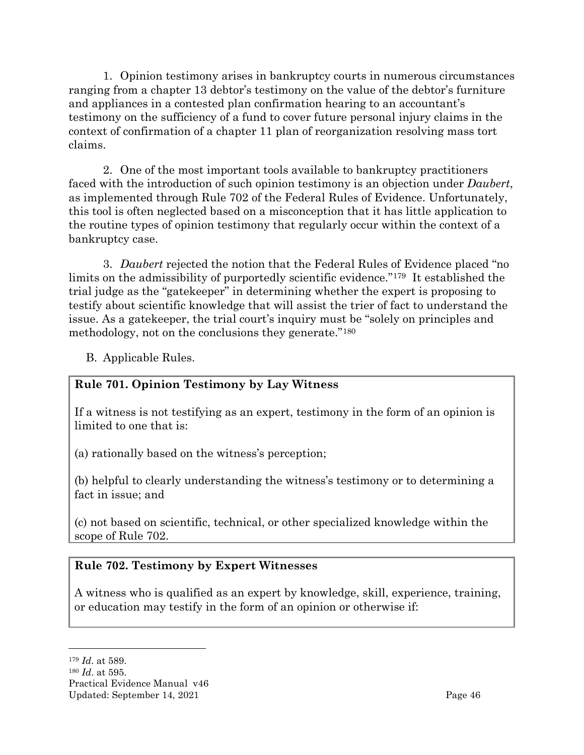1. Opinion testimony arises in bankruptcy courts in numerous circumstances ranging from a chapter 13 debtor's testimony on the value of the debtor's furniture and appliances in a contested plan confirmation hearing to an accountant's testimony on the sufficiency of a fund to cover future personal injury claims in the context of confirmation of a chapter 11 plan of reorganization resolving mass tort claims.

2. One of the most important tools available to bankruptcy practitioners faced with the introduction of such opinion testimony is an objection under *Daubert*, as implemented through Rule 702 of the Federal Rules of Evidence. Unfortunately, this tool is often neglected based on a misconception that it has little application to the routine types of opinion testimony that regularly occur within the context of a bankruptcy case.

3. *Daubert* rejected the notion that the Federal Rules of Evidence placed "no limits on the admissibility of purportedly scientific evidence."[179](#page-48-1) It established the trial judge as the "gatekeeper" in determining whether the expert is proposing to testify about scientific knowledge that will assist the trier of fact to understand the issue. As a gatekeeper, the trial court's inquiry must be "solely on principles and methodology, not on the conclusions they generate."[180](#page-48-2)

<span id="page-48-0"></span>B. Applicable Rules.

# **Rule 701. Opinion Testimony by Lay Witness**

If a witness is not testifying as an expert, testimony in the form of an opinion is limited to one that is:

(a) rationally based on the witness's perception;

(b) helpful to clearly understanding the witness's testimony or to determining a fact in issue; and

(c) not based on scientific, technical, or other specialized knowledge within the scope of [Rule 702.](http://web2.westlaw.com/find/default.wl?tc=-1&docname=USFRER702&rp=%2ffind%2fdefault.wl&sv=Split&utid=1&rs=WLW11.10&db=1000607&tf=-1&findtype=L&fn=_top&mt=FederalGovernment&vr=2.0&pbc=F768B613&ordoc=2150515)

# **Rule 702. Testimony by Expert Witnesses**

A witness who is qualified as an expert by knowledge, skill, experience, training, or education may testify in the form of an opinion or otherwise if:

<span id="page-48-1"></span><sup>179</sup> *Id*. at 589.

<span id="page-48-2"></span>Practical Evidence Manual v46 Updated: September 14, 2021 **Page 46** <sup>180</sup> *Id*. at 595.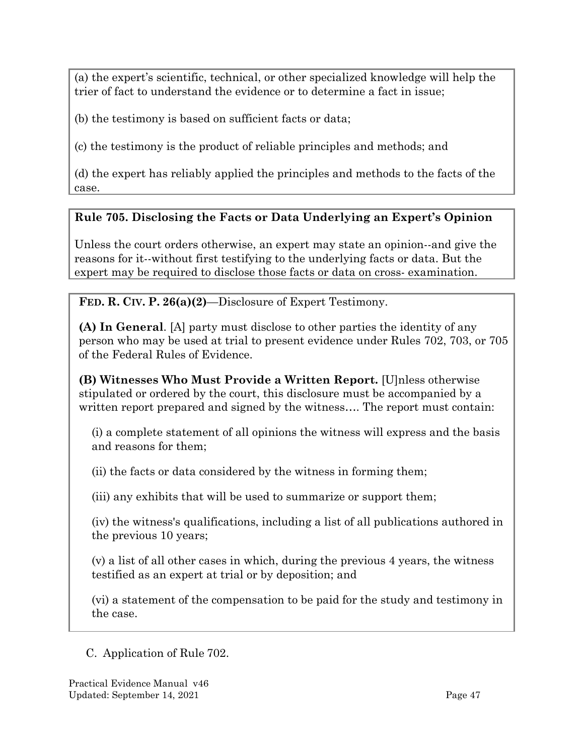(a) the expert's scientific, technical, or other specialized knowledge will help the trier of fact to understand the evidence or to determine a fact in issue;

(b) the testimony is based on sufficient facts or data;

(c) the testimony is the product of reliable principles and methods; and

(d) the expert has reliably applied the principles and methods to the facts of the case.

# **Rule 705. Disclosing the Facts or Data Underlying an Expert's Opinion**

Unless the court orders otherwise, an expert may state an opinion--and give the reasons for it--without first testifying to the underlying facts or data. But the expert may be required to disclose those facts or data on cross- examination.

**FED. R. CIV. P. 26(a)(2)**—Disclosure of Expert Testimony.

**(A) In General**. [A] party must disclose to other parties the identity of any person who may be used at trial to present evidence under Rules 702, 703, or 705 of the Federal Rules of Evidence.

**(B) Witnesses Who Must Provide a Written Report.** [U]nless otherwise stipulated or ordered by the court, this disclosure must be accompanied by a written report prepared and signed by the witness.... The report must contain:

(i) a complete statement of all opinions the witness will express and the basis and reasons for them;

(ii) the facts or data considered by the witness in forming them;

(iii) any exhibits that will be used to summarize or support them;

(iv) the witness's qualifications, including a list of all publications authored in the previous 10 years;

(v) a list of all other cases in which, during the previous 4 years, the witness testified as an expert at trial or by deposition; and

(vi) a statement of the compensation to be paid for the study and testimony in the case.

<span id="page-49-0"></span>C. Application of Rule 702.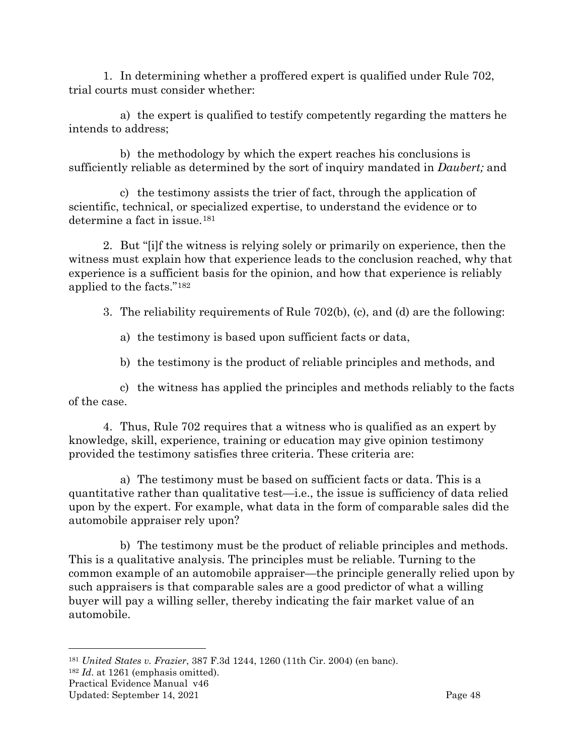1. In determining whether a proffered expert is qualified under [Rule 702,](https://web2.westlaw.com/find/default.wl?tc=-1&docname=USFRER702&rp=%2ffind%2fdefault.wl&sv=Split&rs=WLW11.10&db=1004365&tf=-1&findtype=L&fn=_top&mt=Westlaw&vr=2.0&pbc=F32184A8&ordoc=2026427556) trial courts must consider whether:

a) the expert is qualified to testify competently regarding the matters he intends to address;

b) the methodology by which the expert reaches his conclusions is sufficiently reliable as determined by the sort of inquiry mandated in *Daubert;* and

c) the testimony assists the trier of fact, through the application of scientific, technical, or specialized expertise, to understand the evidence or to determine a fact in issue.[181](#page-50-0)

2. But "[i]f the witness is relying solely or primarily on experience, then the witness must explain how that experience leads to the conclusion reached, why that experience is a sufficient basis for the opinion, and how that experience is reliably applied to the facts."[182](#page-50-1)

3. The reliability requirements of Rule 702(b), (c), and (d) are the following:

a) the testimony is based upon sufficient facts or data,

b) the testimony is the product of reliable principles and methods, and

c) the witness has applied the principles and methods reliably to the facts of the case.

4. Thus, Rule 702 requires that a witness who is qualified as an expert by knowledge, skill, experience, training or education may give opinion testimony provided the testimony satisfies three criteria. These criteria are:

a) The testimony must be based on sufficient facts or data. This is a quantitative rather than qualitative test—i.e., the issue is sufficiency of data relied upon by the expert. For example, what data in the form of comparable sales did the automobile appraiser rely upon?

b) The testimony must be the product of reliable principles and methods. This is a qualitative analysis. The principles must be reliable. Turning to the common example of an automobile appraiser—the principle generally relied upon by such appraisers is that comparable sales are a good predictor of what a willing buyer will pay a willing seller, thereby indicating the fair market value of an automobile.

<span id="page-50-0"></span><sup>181</sup> *United States v. Frazier*, 387 F.3d 1244, 1260 (11th Cir. 2004) (en banc).

<span id="page-50-1"></span><sup>182</sup> *Id*. at 1261 (emphasis omitted).

Practical Evidence Manual v46

Updated: September 14, 2021 Page 48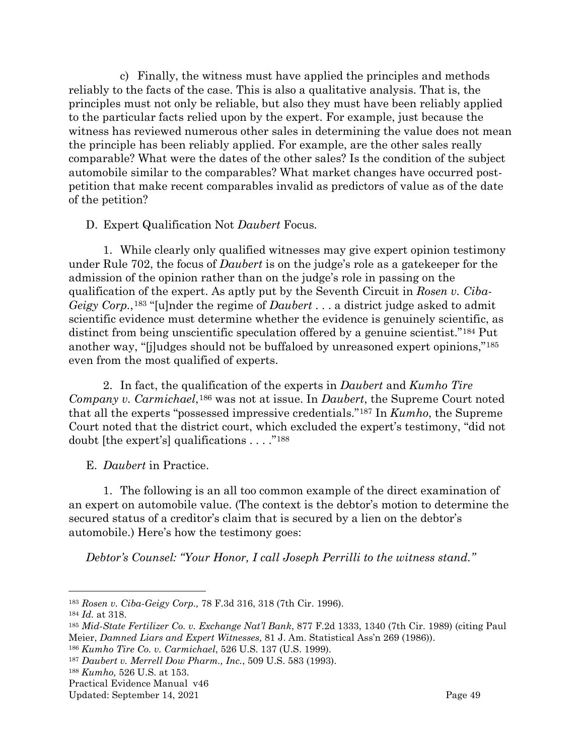c) Finally, the witness must have applied the principles and methods reliably to the facts of the case. This is also a qualitative analysis. That is, the principles must not only be reliable, but also they must have been reliably applied to the particular facts relied upon by the expert. For example, just because the witness has reviewed numerous other sales in determining the value does not mean the principle has been reliably applied. For example, are the other sales really comparable? What were the dates of the other sales? Is the condition of the subject automobile similar to the comparables? What market changes have occurred postpetition that make recent comparables invalid as predictors of value as of the date of the petition?

<span id="page-51-0"></span>D. Expert Qualification Not *Daubert* Focus*.*

1. While clearly only qualified witnesses may give expert opinion testimony under Rule 702, the focus of *Daubert* is on the judge's role as a gatekeeper for the admission of the opinion rather than on the judge's role in passing on the qualification of the expert. As aptly put by the Seventh Circuit in *Rosen v. Ciba-Geigy Corp.*,[183](#page-51-2) "[u]nder the regime of *Daubert* . . . a district judge asked to admit scientific evidence must determine whether the evidence is genuinely scientific, as distinct from being unscientific speculation offered by a genuine scientist."[184](#page-51-3) Put another way, "[j]udges should not be buffaloed by unreasoned expert opinions,"[185](#page-51-4) even from the most qualified of experts.

2. In fact, the qualification of the experts in *Daubert* and *Kumho Tire Company v. Carmichael*,[186](#page-51-5) was not at issue. In *Daubert*, the Supreme Court noted that all the experts "possessed impressive credentials."[187](#page-51-6) In *Kumho*, the Supreme Court noted that the district court, which excluded the expert's testimony, "did not doubt [the expert's] qualifications . . . ."[188](#page-51-7)

<span id="page-51-1"></span>E. *Daubert* in Practice.

1. The following is an all too common example of the direct examination of an expert on automobile value. (The context is the debtor's motion to determine the secured status of a creditor's claim that is secured by a lien on the debtor's automobile.) Here's how the testimony goes:

*Debtor's Counsel: "Your Honor, I call Joseph Perrilli to the witness stand."*

<span id="page-51-2"></span><sup>183</sup> *Rosen v. Ciba-Geigy Corp.,* 78 F.3d 316, 318 (7th Cir. 1996).

<span id="page-51-3"></span><sup>184</sup> *Id.* at 318.

<span id="page-51-4"></span><sup>185</sup> *Mid-State Fertilizer Co. v. Exchange Nat'l Bank*, 877 F.2d 1333, 1340 (7th Cir. 1989) (citing Paul Meier, *Damned Liars and Expert Witnesses,* 81 J. Am. Statistical Ass'n 269 (1986)).

<span id="page-51-5"></span><sup>186</sup> *Kumho Tire Co. v. Carmichael*, 526 U.S. 137 (U.S. 1999).

<span id="page-51-6"></span><sup>187</sup> *Daubert v. Merrell Dow Pharm., Inc.*, 509 U.S. 583 (1993).

<span id="page-51-7"></span><sup>188</sup> *Kumho,* 526 U.S. at 153.

Practical Evidence Manual v46

Updated: September 14, 2021 Page 49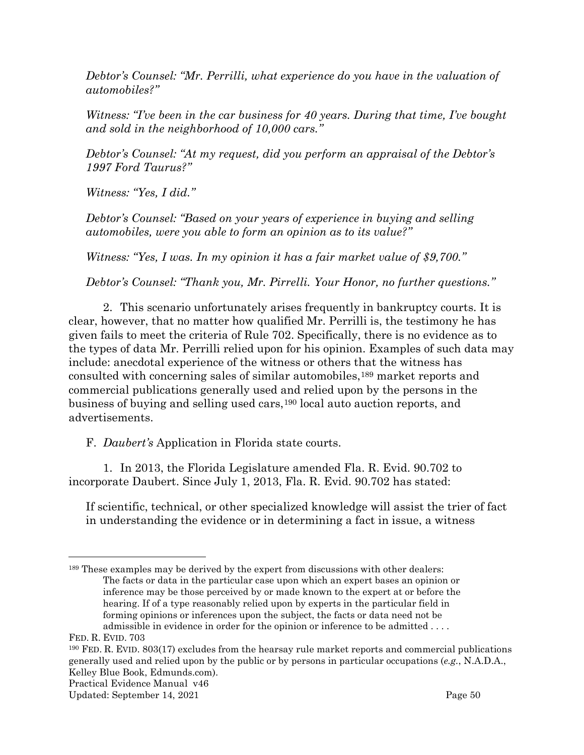*Debtor's Counsel: "Mr. Perrilli, what experience do you have in the valuation of automobiles?"*

*Witness: "I've been in the car business for 40 years. During that time, I've bought and sold in the neighborhood of 10,000 cars."*

*Debtor's Counsel: "At my request, did you perform an appraisal of the Debtor's 1997 Ford Taurus?"*

*Witness: "Yes, I did."*

*Debtor's Counsel: "Based on your years of experience in buying and selling automobiles, were you able to form an opinion as to its value?"*

*Witness: "Yes, I was. In my opinion it has a fair market value of \$9,700."*

*Debtor's Counsel: "Thank you, Mr. Pirrelli. Your Honor, no further questions."*

2. This scenario unfortunately arises frequently in bankruptcy courts. It is clear, however, that no matter how qualified Mr. Perrilli is, the testimony he has given fails to meet the criteria of Rule 702. Specifically, there is no evidence as to the types of data Mr. Perrilli relied upon for his opinion. Examples of such data may include: anecdotal experience of the witness or others that the witness has consulted with concerning sales of similar automobiles,[189](#page-52-1) market reports and commercial publications generally used and relied upon by the persons in the business of buying and selling used cars,[190](#page-52-2) local auto auction reports, and advertisements.

<span id="page-52-0"></span>F. *Daubert's* Application in Florida state courts.

1. In 2013, the Florida Legislature amended Fla. R. Evid. 90.702 to incorporate Daubert. Since July 1, 2013, Fla. R. Evid. 90.702 has stated:

If scientific, technical, or other specialized knowledge will assist the trier of fact in understanding the evidence or in determining a fact in issue, a witness

<span id="page-52-1"></span><sup>189</sup> These examples may be derived by the expert from discussions with other dealers: The facts or data in the particular case upon which an expert bases an opinion or inference may be those perceived by or made known to the expert at or before the hearing. If of a type reasonably relied upon by experts in the particular field in forming opinions or inferences upon the subject, the facts or data need not be admissible in evidence in order for the opinion or inference to be admitted . . . .

FED. R. EVID. 703

<span id="page-52-2"></span><sup>190</sup> FED. R. EVID. 803(17) excludes from the hearsay rule market reports and commercial publications generally used and relied upon by the public or by persons in particular occupations (*e.g.*, N.A.D.A., Kelley Blue Book, Edmunds.com).

Practical Evidence Manual v46

Updated: September 14, 2021 Page 50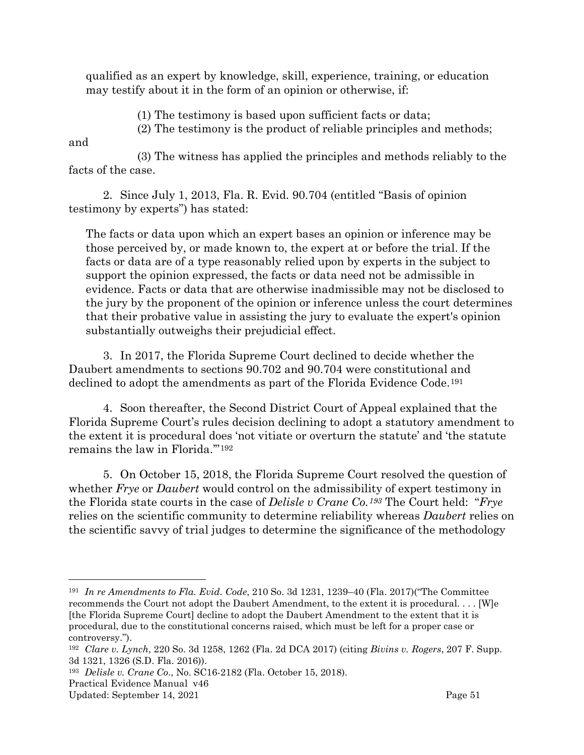qualified as an expert by knowledge, skill, experience, training, or education may testify about it in the form of an opinion or otherwise, if:

(1) The testimony is based upon sufficient facts or data;

(2) The testimony is the product of reliable principles and methods;

and

(3) The witness has applied the principles and methods reliably to the facts of the case.

2. Since July 1, 2013, Fla. R. Evid. 90.704 (entitled "Basis of opinion testimony by experts") has stated:

The facts or data upon which an expert bases an opinion or inference may be those perceived by, or made known to, the expert at or before the trial. If the facts or data are of a type reasonably relied upon by experts in the subject to support the opinion expressed, the facts or data need not be admissible in evidence. Facts or data that are otherwise inadmissible may not be disclosed to the jury by the proponent of the opinion or inference unless the court determines that their probative value in assisting the jury to evaluate the expert's opinion substantially outweighs their prejudicial effect.

3. In 2017, the Florida Supreme Court declined to decide whether the Daubert amendments to sections 90.702 and 90.704 were constitutional and declined to adopt the amendments as part of the Florida Evidence Code.[191](#page-53-0)

4. Soon thereafter, the Second District Court of Appeal explained that the Florida Supreme Court's rules decision declining to adopt a statutory amendment to the extent it is procedural does 'not vitiate or overturn the statute' and 'the statute remains the law in Florida.'"[192](#page-53-1)

5. On October 15, 2018, the Florida Supreme Court resolved the question of whether *Frye* or *Daubert* would control on the admissibility of expert testimony in the Florida state courts in the case of *Delisle v Crane Co.[193](#page-53-2)* The Court held: "*Frye*  relies on the scientific community to determine reliability whereas *Daubert* relies on the scientific savvy of trial judges to determine the significance of the methodology

<span id="page-53-0"></span><sup>191</sup> *In re Amendments to Fla. Evid. Code*, 210 So. 3d 1231, 1239–40 (Fla. 2017)("The Committee recommends the Court not adopt the Daubert Amendment, to the extent it is procedural. . . . [W]e [the Florida Supreme Court] decline to adopt the Daubert Amendment to the extent that it is procedural, due to the constitutional concerns raised, which must be left for a proper case or controversy.").

<span id="page-53-1"></span><sup>192</sup> *Clare v. Lynch*, 220 So. 3d 1258, 1262 (Fla. 2d DCA 2017) (citing *Bivins v. Rogers*, 207 F. Supp. 3d 1321, 1326 (S.D. Fla. 2016)).

<span id="page-53-2"></span><sup>193</sup> *Delisle v. Crane Co*., No. SC16-2182 (Fla. October 15, 2018).

Practical Evidence Manual v46

Updated: September 14, 2021 Page 51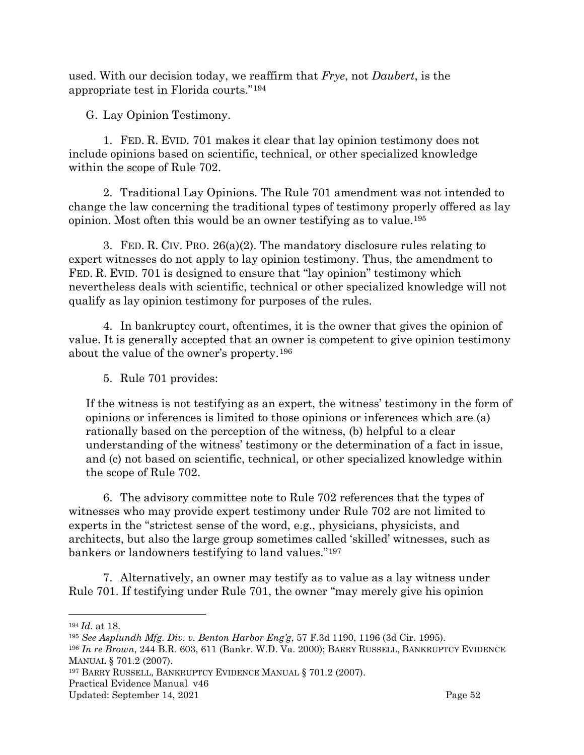used. With our decision today, we reaffirm that *Frye*, not *Daubert*, is the appropriate test in Florida courts."[194](#page-54-1)

<span id="page-54-0"></span>G. Lay Opinion Testimony.

1. FED. R. EVID. 701 makes it clear that lay opinion testimony does not include opinions based on scientific, technical, or other specialized knowledge within the scope of Rule 702.

2. Traditional Lay Opinions. The Rule 701 amendment was not intended to change the law concerning the traditional types of testimony properly offered as lay opinion. Most often this would be an owner testifying as to value.[195](#page-54-2)

3. FED. R. CIV. PRO. 26(a)(2). The mandatory disclosure rules relating to expert witnesses do not apply to lay opinion testimony. Thus, the amendment to FED. R. EVID. 701 is designed to ensure that "lay opinion" testimony which nevertheless deals with scientific, technical or other specialized knowledge will not qualify as lay opinion testimony for purposes of the rules.

4. In bankruptcy court, oftentimes, it is the owner that gives the opinion of value. It is generally accepted that an owner is competent to give opinion testimony about the value of the owner's property.[196](#page-54-3)

5. Rule 701 provides:

If the witness is not testifying as an expert, the witness' testimony in the form of opinions or inferences is limited to those opinions or inferences which are (a) rationally based on the perception of the witness, (b) helpful to a clear understanding of the witness' testimony or the determination of a fact in issue, and (c) not based on scientific, technical, or other specialized knowledge within the scope of Rule 702.

6. The advisory committee note to Rule 702 references that the types of witnesses who may provide expert testimony under Rule 702 are not limited to experts in the "strictest sense of the word, e.g., physicians, physicists, and architects, but also the large group sometimes called 'skilled' witnesses, such as bankers or landowners testifying to land values."[197](#page-54-4)

7. Alternatively, an owner may testify as to value as a lay witness under Rule 701. If testifying under Rule 701, the owner "may merely give his opinion

<span id="page-54-4"></span><sup>197</sup> BARRY RUSSELL, BANKRUPTCY EVIDENCE MANUAL § 701.2 (2007).

<span id="page-54-1"></span><sup>194</sup> *Id.* at 18.

<span id="page-54-2"></span><sup>195</sup> *See Asplundh Mfg. Div. v. Benton Harbor Eng'g*, 57 F.3d 1190, 1196 (3d Cir. 1995).

<span id="page-54-3"></span><sup>196</sup> *In re Brown*, 244 B.R. 603, 611 (Bankr. W.D. Va. 2000); BARRY RUSSELL, BANKRUPTCY EVIDENCE MANUAL § 701.2 (2007).

Practical Evidence Manual v46

Updated: September 14, 2021 Contract and the Updated: September 14, 2021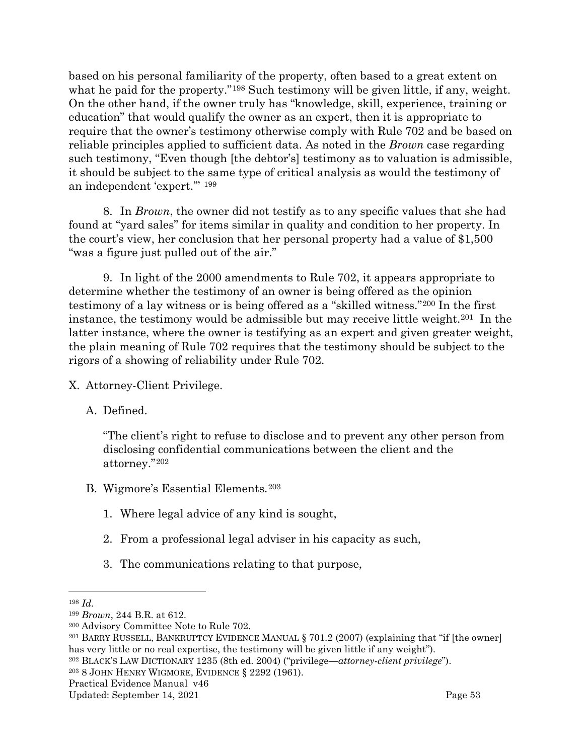based on his personal familiarity of the property, often based to a great extent on what he paid for the property."<sup>[198](#page-55-3)</sup> Such testimony will be given little, if any, weight. On the other hand, if the owner truly has "knowledge, skill, experience, training or education" that would qualify the owner as an expert, then it is appropriate to require that the owner's testimony otherwise comply with Rule 702 and be based on reliable principles applied to sufficient data. As noted in the *Brown* case regarding such testimony, "Even though [the debtor's] testimony as to valuation is admissible, it should be subject to the same type of critical analysis as would the testimony of an independent 'expert.'" [199](#page-55-4)

8. In *Brown*, the owner did not testify as to any specific values that she had found at "yard sales" for items similar in quality and condition to her property. In the court's view, her conclusion that her personal property had a value of \$1,500 "was a figure just pulled out of the air."

9. In light of the 2000 amendments to Rule 702, it appears appropriate to determine whether the testimony of an owner is being offered as the opinion testimony of a lay witness or is being offered as a "skilled witness."[200](#page-55-5) In the first instance, the testimony would be admissible but may receive little weight.[201](#page-55-6) In the latter instance, where the owner is testifying as an expert and given greater weight, the plain meaning of Rule 702 requires that the testimony should be subject to the rigors of a showing of reliability under Rule 702.

<span id="page-55-0"></span>X. Attorney-Client Privilege.

<span id="page-55-1"></span>A. Defined.

"The client's right to refuse to disclose and to prevent any other person from disclosing confidential communications between the client and the attorney."[202](#page-55-7)

- <span id="page-55-2"></span>B. Wigmore's Essential Elements.[203](#page-55-8)
	- 1. Where legal advice of any kind is sought,
	- 2. From a professional legal adviser in his capacity as such,
	- 3. The communications relating to that purpose,

<span id="page-55-8"></span><sup>203</sup> 8 JOHN HENRY WIGMORE, EVIDENCE § 2292 (1961).

<span id="page-55-3"></span><sup>198</sup> *Id.*

<span id="page-55-4"></span><sup>199</sup> *Brown*, 244 B.R. at 612.

<span id="page-55-5"></span><sup>200</sup> Advisory Committee Note to Rule 702.

<span id="page-55-6"></span><sup>201</sup> BARRY RUSSELL, BANKRUPTCY EVIDENCE MANUAL § 701.2 (2007) (explaining that "if [the owner] has very little or no real expertise, the testimony will be given little if any weight").

<span id="page-55-7"></span><sup>202</sup> BLACK'S LAW DICTIONARY 1235 (8th ed. 2004) ("privilege—*attorney-client privilege*").

Practical Evidence Manual v46

Updated: September 14, 2021 Page 53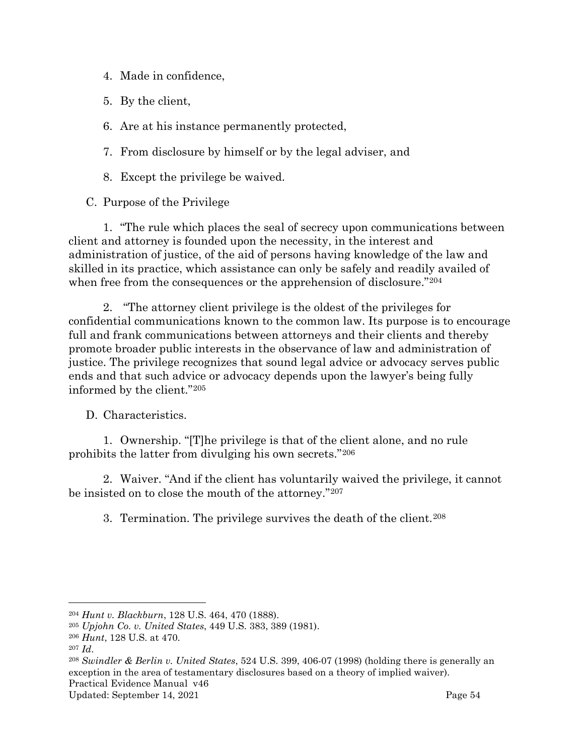- 4. Made in confidence,
- 5. By the client,
- 6. Are at his instance permanently protected,
- 7. From disclosure by himself or by the legal adviser, and
- 8. Except the privilege be waived.
- <span id="page-56-0"></span>C. Purpose of the Privilege

1. "The rule which places the seal of secrecy upon communications between client and attorney is founded upon the necessity, in the interest and administration of justice, of the aid of persons having knowledge of the law and skilled in its practice, which assistance can only be safely and readily availed of when free from the consequences or the apprehension of disclosure."<sup>[204](#page-56-2)</sup>

2. "The attorney client privilege is the oldest of the privileges for confidential communications known to the common law. Its purpose is to encourage full and frank communications between attorneys and their clients and thereby promote broader public interests in the observance of law and administration of justice. The privilege recognizes that sound legal advice or advocacy serves public ends and that such advice or advocacy depends upon the lawyer's being fully informed by the client."[205](#page-56-3)

#### <span id="page-56-1"></span>D. Characteristics.

1. Ownership. "[T]he privilege is that of the client alone, and no rule prohibits the latter from divulging his own secrets."[206](#page-56-4)

2. Waiver. "And if the client has voluntarily waived the privilege, it cannot be insisted on to close the mouth of the attorney."[207](#page-56-5)

3. Termination. The privilege survives the death of the client.[208](#page-56-6)

<span id="page-56-2"></span><sup>204</sup> *Hunt v. Blackburn*, 128 U.S. 464, 470 (1888).

<span id="page-56-3"></span><sup>205</sup> *Upjohn Co. v. United States*, 449 U.S. 383, 389 (1981).

<span id="page-56-4"></span><sup>206</sup> *Hunt*, 128 U.S. at 470.

<span id="page-56-5"></span><sup>207</sup> *Id*.

<span id="page-56-6"></span>Practical Evidence Manual v46 <sup>208</sup> *Swindler & Berlin v. United States*, 524 U.S. 399, 406-07 (1998) (holding there is generally an exception in the area of testamentary disclosures based on a theory of implied waiver).

Updated: September 14, 2021 Page 54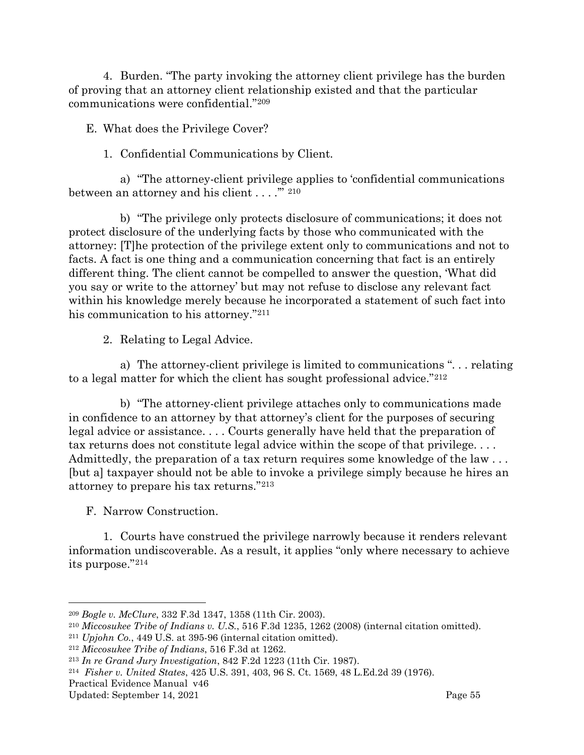4. Burden. "The party invoking the attorney client privilege has the burden of proving that an attorney client relationship existed and that the particular communications were confidential."[209](#page-57-2)

<span id="page-57-0"></span>E. What does the Privilege Cover?

#### 1. Confidential Communications by Client.

a) "The attorney-client privilege applies to 'confidential communications between an attorney and his client . . . ."<sup>"</sup> <sup>[210](#page-57-3)</sup>

b) "The privilege only protects disclosure of communications; it does not protect disclosure of the underlying facts by those who communicated with the attorney: [T]he protection of the privilege extent only to communications and not to facts. A fact is one thing and a communication concerning that fact is an entirely different thing. The client cannot be compelled to answer the question, 'What did you say or write to the attorney' but may not refuse to disclose any relevant fact within his knowledge merely because he incorporated a statement of such fact into his communication to his attorney."[211](#page-57-4)

2. Relating to Legal Advice.

a) The attorney-client privilege is limited to communications ". . . relating to a legal matter for which the client has sought professional advice."[212](#page-57-5)

b) "The attorney-client privilege attaches only to communications made in confidence to an attorney by that attorney's client for the purposes of securing legal advice or assistance. . . . Courts generally have held that the preparation of tax returns does not constitute legal advice within the scope of that privilege. . . . Admittedly, the preparation of a tax return requires some knowledge of the law . . . [but a] taxpayer should not be able to invoke a privilege simply because he hires an attorney to prepare his tax returns."[213](#page-57-6)

<span id="page-57-1"></span>F. Narrow Construction.

1. Courts have construed the privilege narrowly because it renders relevant information undiscoverable. As a result, it applies "only where necessary to achieve its purpose."[214](#page-57-7)

<span id="page-57-2"></span><sup>209</sup> *Bogle v. McClure*, 332 F.3d 1347, 1358 (11th Cir. 2003).

<span id="page-57-3"></span><sup>210</sup> *Miccosukee Tribe of Indians v. U.S.*, 516 F.3d 1235, 1262 (2008) (internal citation omitted).

<span id="page-57-4"></span><sup>211</sup> *Upjohn Co.*, 449 U.S. at 395-96 (internal citation omitted).

<span id="page-57-5"></span><sup>212</sup> *Miccosukee Tribe of Indians*, 516 F.3d at 1262.

<span id="page-57-6"></span><sup>213</sup> *In re Grand Jury Investigation*, 842 F.2d 1223 (11th Cir. 1987).

<span id="page-57-7"></span><sup>214</sup> *Fisher v. United States*, 425 U.S. 391, 403, 96 S. Ct. 1569, 48 L.Ed.2d 39 (1976).

Practical Evidence Manual v46

Updated: September 14, 2021 Page 55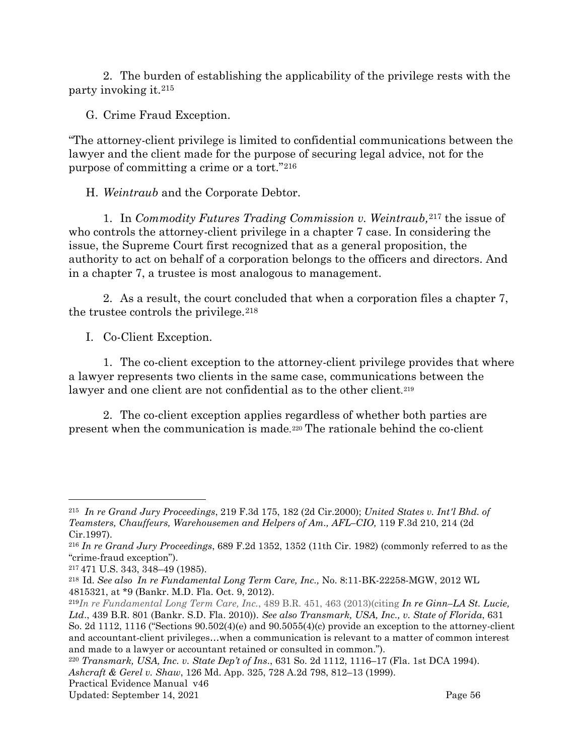2. The burden of establishing the applicability of the privilege rests with the party invoking it.[215](#page-58-3)

<span id="page-58-0"></span>G. Crime Fraud Exception.

"The attorney-client privilege is limited to confidential communications between the lawyer and the client made for the purpose of securing legal advice, not for the purpose of committing a crime or a tort."[216](#page-58-4)

<span id="page-58-1"></span>H. *Weintraub* and the Corporate Debtor.

1. In *Commodity Futures Trading Commission v. Weintraub,*[217](#page-58-5) the issue of who controls the attorney-client privilege in a chapter 7 case. In considering the issue, the Supreme Court first recognized that as a general proposition, the authority to act on behalf of a corporation belongs to the officers and directors. And in a chapter 7, a trustee is most analogous to management.

2. As a result, the court concluded that when a corporation files a chapter 7, the trustee controls the privilege.  $218$ 

<span id="page-58-2"></span>I. Co-Client Exception.

1. The co-client exception to the attorney-client privilege provides that where a lawyer represents two clients in the same case, communications between the lawyer and one client are not confidential as to the other client.<sup>[219](#page-58-7)</sup>

2. The co-client exception applies regardless of whether both parties are present when the communication is made.[220](#page-58-8) The rationale behind the co-client

<span id="page-58-3"></span><sup>215</sup> *In re Grand Jury Proceedings*, 219 F.3d 175, 182 (2d Cir.2000); *United States v. Int'l Bhd. of Teamsters, Chauffeurs, Warehousemen and Helpers of Am., AFL–CIO,* 119 F.3d 210, 214 (2d Cir.1997).

<span id="page-58-4"></span><sup>216</sup> *In re Grand Jury Proceedings*, 689 F.2d 1352, 1352 (11th Cir. 1982) (commonly referred to as the "crime-fraud exception").

<span id="page-58-5"></span><sup>217</sup> 471 U.S. 343, 348–49 (1985).

<span id="page-58-6"></span><sup>218</sup> Id. *See also In re Fundamental Long Term Care, Inc.,* No. 8:11-BK-22258-MGW, 2012 WL 4815321, at \*9 (Bankr. M.D. Fla. Oct. 9, 2012).

<span id="page-58-7"></span><sup>219</sup>*In re Fundamental Long Term Care, Inc.*, 489 B.R. 451, 463 (2013)(citing *In re Ginn–LA St. Lucie, Ltd*., 439 B.R. 801 (Bankr. S.D. Fla. 2010)). *See also Transmark, USA, Inc., v. State of Florida*, 631 So. 2d 1112, 1116 ("Sections  $90.502(4)$ )(e) and  $90.5055(4)$ (c) provide an exception to the attorney-client and accountant-client privileges…when a communication is relevant to a matter of common interest and made to a lawyer or accountant retained or consulted in common.").

<span id="page-58-8"></span>Practical Evidence Manual v46 <sup>220</sup> *Transmark, USA, Inc. v. State Dep't of Ins*., 631 So. 2d 1112, 1116–17 (Fla. 1st DCA 1994). *Ashcraft & Gerel v. Shaw*, 126 Md. App. 325, 728 A.2d 798, 812–13 (1999).

Updated: September 14, 2021 Page 56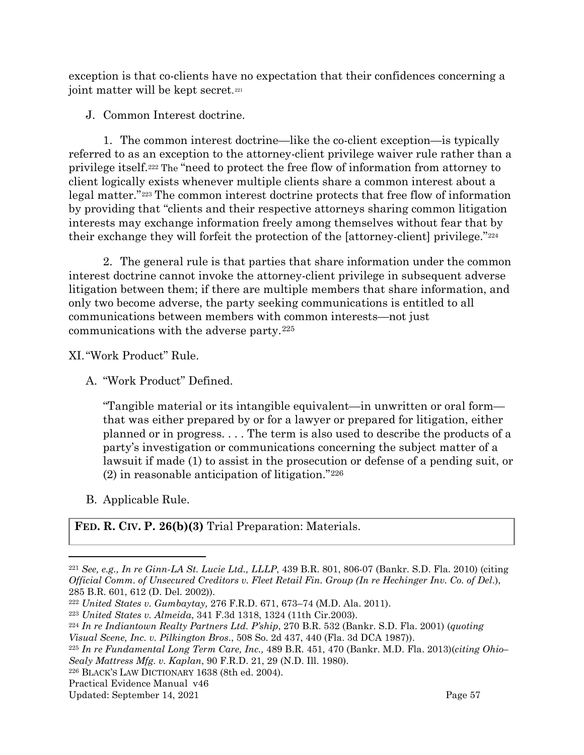exception is that co-clients have no expectation that their confidences concerning a joint matter will be kept secret.<sup>[221](#page-59-4)</sup>

<span id="page-59-0"></span>J. Common Interest doctrine.

1. The common interest doctrine—like the co-client exception—is typically referred to as an exception to the attorney-client privilege waiver rule rather than a privilege itself[.222](#page-59-5) The "need to protect the free flow of information from attorney to client logically exists whenever multiple clients share a common interest about a legal matter."[223](#page-59-6) The common interest doctrine protects that free flow of information by providing that "clients and their respective attorneys sharing common litigation interests may exchange information freely among themselves without fear that by their exchange they will forfeit the protection of the [attorney-client] privilege."[224](#page-59-7)

2. The general rule is that parties that share information under the common interest doctrine cannot invoke the attorney-client privilege in subsequent adverse litigation between them; if there are multiple members that share information, and only two become adverse, the party seeking communications is entitled to all communications between members with common interests—not just communications with the adverse party.[225](#page-59-8)

<span id="page-59-1"></span>XI."Work Product" Rule.

<span id="page-59-2"></span>A. "Work Product" Defined.

"Tangible material or its intangible equivalent—in unwritten or oral form that was either prepared by or for a lawyer or prepared for litigation, either planned or in progress. . . . The term is also used to describe the products of a party's investigation or communications concerning the subject matter of a lawsuit if made (1) to assist in the prosecution or defense of a pending suit, or  $(2)$  in reasonable anticipation of litigation."<sup>[226](#page-59-9)</sup>

<span id="page-59-3"></span>B. Applicable Rule.

**FED. R. CIV. P. 26(b)(3)** Trial Preparation: Materials.

<span id="page-59-4"></span><sup>221</sup> *See, e.g., In re Ginn-LA St. Lucie Ltd., LLLP*, 439 B.R. 801, 806-07 (Bankr. S.D. Fla. 2010) (citing *Official Comm. of Unsecured Creditors v. Fleet Retail Fin. Group (In re Hechinger Inv. Co. of Del*.), 285 B.R. 601, 612 (D. Del. 2002)).

<span id="page-59-5"></span><sup>222</sup> *United States v. Gumbaytay,* 276 F.R.D. 671, 673–74 (M.D. Ala. 2011).

<span id="page-59-6"></span><sup>223</sup> *United States v. Almeida*, 341 F.3d 1318, 1324 (11th Cir.2003).

<span id="page-59-7"></span><sup>224</sup> *In re Indiantown Realty Partners Ltd. P'ship*, 270 B.R. 532 (Bankr. S.D. Fla. 2001) (*quoting* 

*Visual Scene, Inc. v. Pilkington Bros*., 508 So. 2d 437, 440 (Fla. 3d DCA 1987)).

<span id="page-59-8"></span><sup>225</sup> *In re Fundamental Long Term Care, Inc.,* 489 B.R. 451, 470 (Bankr. M.D. Fla. 2013)(*citing Ohio– Sealy Mattress Mfg. v. Kaplan*, 90 F.R.D. 21, 29 (N.D. Ill. 1980).

<span id="page-59-9"></span><sup>226</sup> BLACK'S LAW DICTIONARY 1638 (8th ed. 2004).

Practical Evidence Manual v46

Updated: September 14, 2021 **Page 57**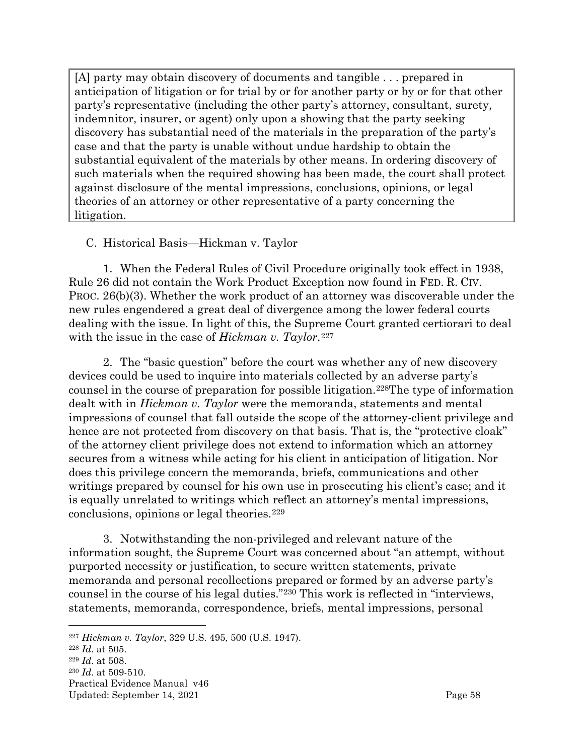[A] party may obtain discovery of documents and tangible . . . prepared in anticipation of litigation or for trial by or for another party or by or for that other party's representative (including the other party's attorney, consultant, surety, indemnitor, insurer, or agent) only upon a showing that the party seeking discovery has substantial need of the materials in the preparation of the party's case and that the party is unable without undue hardship to obtain the substantial equivalent of the materials by other means. In ordering discovery of such materials when the required showing has been made, the court shall protect against disclosure of the mental impressions, conclusions, opinions, or legal theories of an attorney or other representative of a party concerning the litigation.

#### <span id="page-60-0"></span>C. Historical Basis—Hickman v. Taylor

1. When the Federal Rules of Civil Procedure originally took effect in 1938, Rule 26 did not contain the Work Product Exception now found in FED. R. CIV. PROC. 26(b)(3). Whether the work product of an attorney was discoverable under the new rules engendered a great deal of divergence among the lower federal courts dealing with the issue. In light of this, the Supreme Court granted certiorari to deal with the issue in the case of *Hickman v. Taylor*.<sup>[227](#page-60-1)</sup>

2. The "basic question" before the court was whether any of new discovery devices could be used to inquire into materials collected by an adverse party's counsel in the course of preparation for possible litigation[.228T](#page-60-2)he type of information dealt with in *Hickman v. Taylor* were the memoranda, statements and mental impressions of counsel that fall outside the scope of the attorney-client privilege and hence are not protected from discovery on that basis. That is, the "protective cloak" of the attorney client privilege does not extend to information which an attorney secures from a witness while acting for his client in anticipation of litigation. Nor does this privilege concern the memoranda, briefs, communications and other writings prepared by counsel for his own use in prosecuting his client's case; and it is equally unrelated to writings which reflect an attorney's mental impressions, conclusions, opinions or legal theories.[229](#page-60-3)

3. Notwithstanding the non-privileged and relevant nature of the information sought, the Supreme Court was concerned about "an attempt, without purported necessity or justification, to secure written statements, private memoranda and personal recollections prepared or formed by an adverse party's counsel in the course of his legal duties."[230](#page-60-4) This work is reflected in "interviews, statements, memoranda, correspondence, briefs, mental impressions, personal

<span id="page-60-3"></span><sup>229</sup> *Id*. at 508.

<span id="page-60-1"></span><sup>227</sup> *Hickman v. Taylor*, 329 U.S. 495, 500 (U.S. 1947).

<span id="page-60-2"></span><sup>228</sup> *Id*. at 505.

<span id="page-60-4"></span><sup>230</sup> *Id*. at 509-510.

Practical Evidence Manual v46 Updated: September 14, 2021 **Page 58**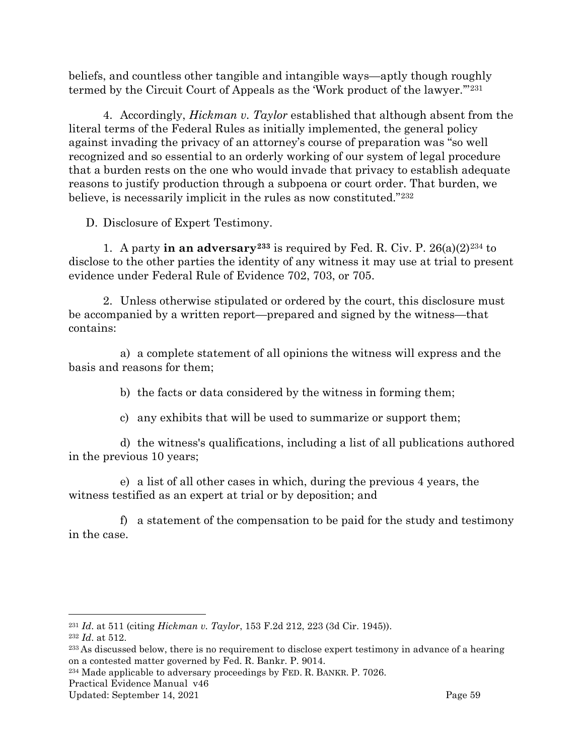beliefs, and countless other tangible and intangible ways—aptly though roughly termed by the Circuit Court of Appeals as the 'Work product of the lawyer.'"[231](#page-61-1)

4. Accordingly, *Hickman v. Taylor* established that although absent from the literal terms of the Federal Rules as initially implemented, the general policy against invading the privacy of an attorney's course of preparation was "so well recognized and so essential to an orderly working of our system of legal procedure that a burden rests on the one who would invade that privacy to establish adequate reasons to justify production through a subpoena or court order. That burden, we believe, is necessarily implicit in the rules as now constituted."[232](#page-61-2)

<span id="page-61-0"></span>D. Disclosure of Expert Testimony.

1. A party **in an adversary**<sup>[233](#page-61-3)</sup> is required by Fed. R. Civ. P.  $26(a)(2)^{234}$  $26(a)(2)^{234}$  $26(a)(2)^{234}$  to disclose to the other parties the identity of any witness it may use at trial to present evidence under Federal Rule of Evidence 702, 703, or 705.

2. Unless otherwise stipulated or ordered by the court, this disclosure must be accompanied by a written report—prepared and signed by the witness—that contains:

a) a complete statement of all opinions the witness will express and the basis and reasons for them;

b) the facts or data considered by the witness in forming them;

c) any exhibits that will be used to summarize or support them;

d) the witness's qualifications, including a list of all publications authored in the previous 10 years;

e) a list of all other cases in which, during the previous 4 years, the witness testified as an expert at trial or by deposition; and

f) a statement of the compensation to be paid for the study and testimony in the case.

<span id="page-61-1"></span><sup>231</sup> *Id*. at 511 (citing *Hickman v. Taylor*, 153 F.2d 212, 223 (3d Cir. 1945)).

<span id="page-61-2"></span><sup>232</sup> *Id*. at 512.

<span id="page-61-3"></span><sup>&</sup>lt;sup>233</sup> As discussed below, there is no requirement to disclose expert testimony in advance of a hearing on a contested matter governed by Fed. R. Bankr. P. 9014.

<span id="page-61-4"></span><sup>234</sup> Made applicable to adversary proceedings by FED. R. BANKR. P. 7026.

Practical Evidence Manual v46

Updated: September 14, 2021 **Page 59**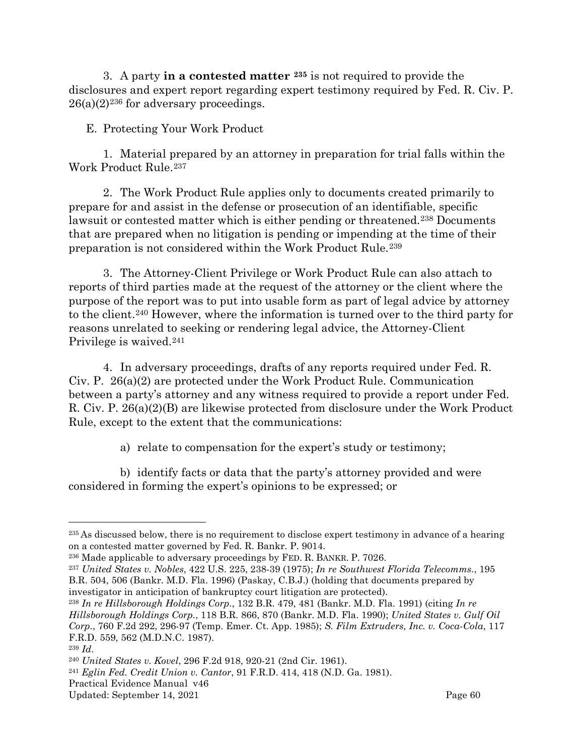3. A party **in a contested matter [235](#page-62-1)** is not required to provide the disclosures and expert report regarding expert testimony required by Fed. R. Civ. P.  $26(a)(2)^{236}$  $26(a)(2)^{236}$  $26(a)(2)^{236}$  for adversary proceedings.

<span id="page-62-0"></span>E. Protecting Your Work Product

1. Material prepared by an attorney in preparation for trial falls within the Work Product Rule.[237](#page-62-3)

2. The Work Product Rule applies only to documents created primarily to prepare for and assist in the defense or prosecution of an identifiable, specific lawsuit or contested matter which is either pending or threatened.<sup>[238](#page-62-4)</sup> Documents that are prepared when no litigation is pending or impending at the time of their preparation is not considered within the Work Product Rule.[239](#page-62-5)

3. The Attorney-Client Privilege or Work Product Rule can also attach to reports of third parties made at the request of the attorney or the client where the purpose of the report was to put into usable form as part of legal advice by attorney to the client.[240](#page-62-6) However, where the information is turned over to the third party for reasons unrelated to seeking or rendering legal advice, the Attorney-Client Privilege is waived[.241](#page-62-7)

4. In adversary proceedings, drafts of any reports required under Fed. R. Civ. P. 26(a)(2) are protected under the Work Product Rule. Communication between a party's attorney and any witness required to provide a report under Fed. R. Civ. P. 26(a)(2)(B) are likewise protected from disclosure under the Work Product Rule, except to the extent that the communications:

a) relate to compensation for the expert's study or testimony;

b) identify facts or data that the party's attorney provided and were considered in forming the expert's opinions to be expressed; or

<span id="page-62-1"></span><sup>&</sup>lt;sup>235</sup> As discussed below, there is no requirement to disclose expert testimony in advance of a hearing on a contested matter governed by Fed. R. Bankr. P. 9014.

<span id="page-62-2"></span><sup>236</sup> Made applicable to adversary proceedings by FED. R. BANKR. P. 7026.

<span id="page-62-3"></span><sup>237</sup> *United States v. Nobles*, 422 U.S. 225, 238-39 (1975); *In re Southwest Florida Telecomms.*, 195 B.R. 504, 506 (Bankr. M.D. Fla. 1996) (Paskay, C.B.J.) (holding that documents prepared by investigator in anticipation of bankruptcy court litigation are protected).

<span id="page-62-4"></span><sup>238</sup> *In re Hillsborough Holdings Corp.*, 132 B.R. 479, 481 (Bankr. M.D. Fla. 1991) (citing *In re Hillsborough Holdings Corp.*, 118 B.R. 866, 870 (Bankr. M.D. Fla. 1990); *United States v. Gulf Oil Corp.*, 760 F.2d 292, 296-97 (Temp. Emer. Ct. App. 1985); *S. Film Extruders, Inc. v. Coca-Cola*, 117 F.R.D. 559, 562 (M.D.N.C. 1987).

<span id="page-62-5"></span><sup>239</sup> *Id*.

<span id="page-62-6"></span><sup>240</sup> *United States v. Kovel*, 296 F.2d 918, 920-21 (2nd Cir. 1961).

<span id="page-62-7"></span><sup>241</sup> *Eglin Fed. Credit Union v. Cantor*, 91 F.R.D. 414, 418 (N.D. Ga. 1981).

Practical Evidence Manual v46

Updated: September 14, 2021 Page 60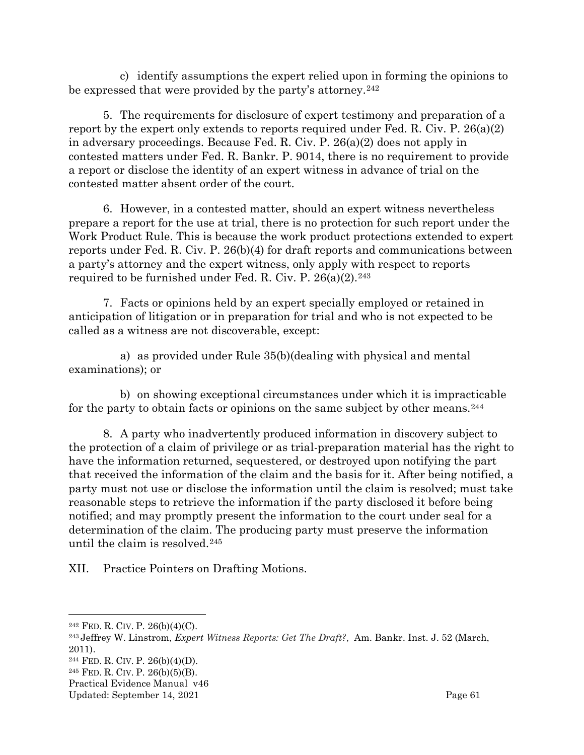c) identify assumptions the expert relied upon in forming the opinions to be expressed that were provided by the party's attorney.<sup>[242](#page-63-1)</sup>

5. The requirements for disclosure of expert testimony and preparation of a report by the expert only extends to reports required under Fed. R. Civ. P. 26(a)(2) in adversary proceedings. Because Fed. R. Civ. P. 26(a)(2) does not apply in contested matters under Fed. R. Bankr. P. 9014, there is no requirement to provide a report or disclose the identity of an expert witness in advance of trial on the contested matter absent order of the court.

6. However, in a contested matter, should an expert witness nevertheless prepare a report for the use at trial, there is no protection for such report under the Work Product Rule. This is because the work product protections extended to expert reports under Fed. R. Civ. P. 26(b)(4) for draft reports and communications between a party's attorney and the expert witness, only apply with respect to reports required to be furnished under Fed. R. Civ. P.  $26(a)(2)$ .<sup>[243](#page-63-2)</sup>

7. Facts or opinions held by an expert specially employed or retained in anticipation of litigation or in preparation for trial and who is not expected to be called as a witness are not discoverable, except:

a) as provided under Rule 35(b)(dealing with physical and mental examinations); or

b) on showing exceptional circumstances under which it is impracticable for the party to obtain facts or opinions on the same subject by other means.<sup>[244](#page-63-3)</sup>

8. A party who inadvertently produced information in discovery subject to the protection of a claim of privilege or as trial-preparation material has the right to have the information returned, sequestered, or destroyed upon notifying the part that received the information of the claim and the basis for it. After being notified, a party must not use or disclose the information until the claim is resolved; must take reasonable steps to retrieve the information if the party disclosed it before being notified; and may promptly present the information to the court under seal for a determination of the claim. The producing party must preserve the information until the claim is resolved.[245](#page-63-4)

<span id="page-63-0"></span>XII. Practice Pointers on Drafting Motions.

Practical Evidence Manual v46

<span id="page-63-1"></span> $242$  FED. R. CIV. P.  $26(b)(4)(C)$ .

<span id="page-63-2"></span><sup>243</sup> Jeffrey W. Linstrom, *Expert Witness Reports: Get The Draft?*, Am. Bankr. Inst. J. 52 (March, 2011).

<span id="page-63-3"></span><sup>244</sup> FED. R. CIV. P. 26(b)(4)(D).

<span id="page-63-4"></span><sup>245</sup> FED. R. CIV. P. 26(b)(5)(B).

Updated: September 14, 2021 Page 61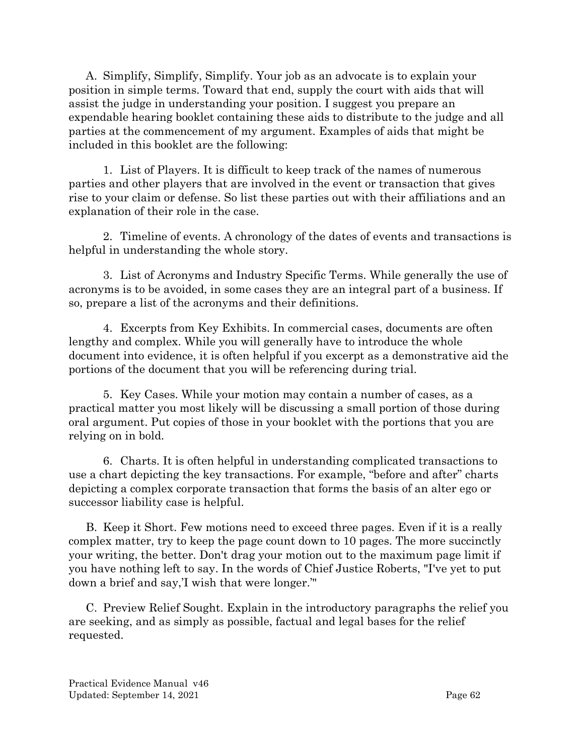A. Simplify, Simplify, Simplify. Your job as an advocate is to explain your position in simple terms. Toward that end, supply the court with aids that will assist the judge in understanding your position. I suggest you prepare an expendable hearing booklet containing these aids to distribute to the judge and all parties at the commencement of my argument. Examples of aids that might be included in this booklet are the following:

1. List of Players. It is difficult to keep track of the names of numerous parties and other players that are involved in the event or transaction that gives rise to your claim or defense. So list these parties out with their affiliations and an explanation of their role in the case.

2. Timeline of events. A chronology of the dates of events and transactions is helpful in understanding the whole story.

3. List of Acronyms and Industry Specific Terms. While generally the use of acronyms is to be avoided, in some cases they are an integral part of a business. If so, prepare a list of the acronyms and their definitions.

4. Excerpts from Key Exhibits. In commercial cases, documents are often lengthy and complex. While you will generally have to introduce the whole document into evidence, it is often helpful if you excerpt as a demonstrative aid the portions of the document that you will be referencing during trial.

5. Key Cases. While your motion may contain a number of cases, as a practical matter you most likely will be discussing a small portion of those during oral argument. Put copies of those in your booklet with the portions that you are relying on in bold.

6. Charts. It is often helpful in understanding complicated transactions to use a chart depicting the key transactions. For example, "before and after" charts depicting a complex corporate transaction that forms the basis of an alter ego or successor liability case is helpful.

B. Keep it Short. Few motions need to exceed three pages. Even if it is a really complex matter, try to keep the page count down to 10 pages. The more succinctly your writing, the better. Don't drag your motion out to the maximum page limit if you have nothing left to say. In the words of Chief Justice Roberts, "I've yet to put down a brief and say,'I wish that were longer.'"

C. Preview Relief Sought. Explain in the introductory paragraphs the relief you are seeking, and as simply as possible, factual and legal bases for the relief requested.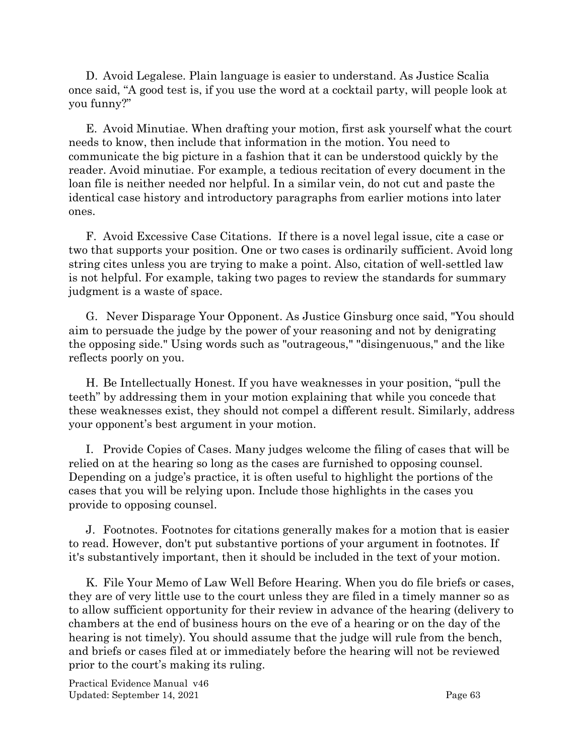D. Avoid Legalese. Plain language is easier to understand. As Justice Scalia once said, "A good test is, if you use the word at a cocktail party, will people look at you funny?"

E. Avoid Minutiae. When drafting your motion, first ask yourself what the court needs to know, then include that information in the motion. You need to communicate the big picture in a fashion that it can be understood quickly by the reader. Avoid minutiae. For example, a tedious recitation of every document in the loan file is neither needed nor helpful. In a similar vein, do not cut and paste the identical case history and introductory paragraphs from earlier motions into later ones.

F. Avoid Excessive Case Citations. If there is a novel legal issue, cite a case or two that supports your position. One or two cases is ordinarily sufficient. Avoid long string cites unless you are trying to make a point. Also, citation of well-settled law is not helpful. For example, taking two pages to review the standards for summary judgment is a waste of space.

G. Never Disparage Your Opponent. As Justice Ginsburg once said, "You should aim to persuade the judge by the power of your reasoning and not by denigrating the opposing side." Using words such as "outrageous," "disingenuous," and the like reflects poorly on you.

H. Be Intellectually Honest. If you have weaknesses in your position, "pull the teeth" by addressing them in your motion explaining that while you concede that these weaknesses exist, they should not compel a different result. Similarly, address your opponent's best argument in your motion.

I. Provide Copies of Cases. Many judges welcome the filing of cases that will be relied on at the hearing so long as the cases are furnished to opposing counsel. Depending on a judge's practice, it is often useful to highlight the portions of the cases that you will be relying upon. Include those highlights in the cases you provide to opposing counsel.

J. Footnotes. Footnotes for citations generally makes for a motion that is easier to read. However, don't put substantive portions of your argument in footnotes. If it's substantively important, then it should be included in the text of your motion.

K. File Your Memo of Law Well Before Hearing. When you do file briefs or cases, they are of very little use to the court unless they are filed in a timely manner so as to allow sufficient opportunity for their review in advance of the hearing (delivery to chambers at the end of business hours on the eve of a hearing or on the day of the hearing is not timely). You should assume that the judge will rule from the bench, and briefs or cases filed at or immediately before the hearing will not be reviewed prior to the court's making its ruling.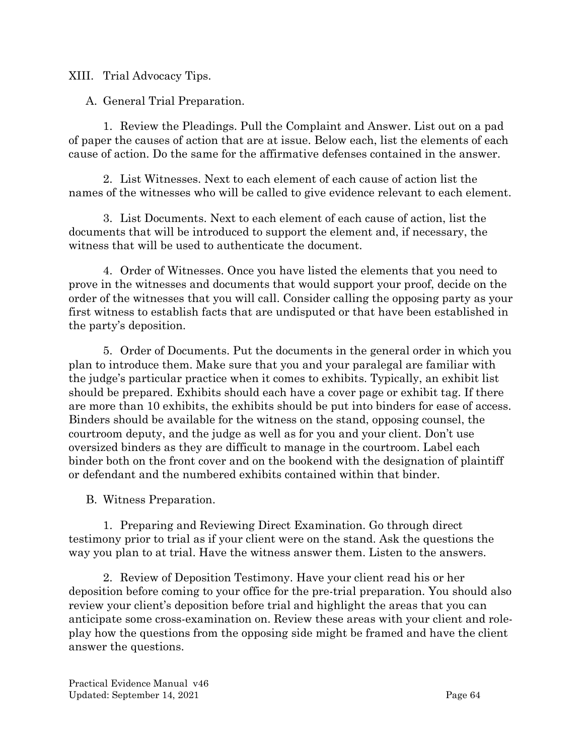<span id="page-66-0"></span>XIII. Trial Advocacy Tips.

<span id="page-66-1"></span>A. General Trial Preparation.

1. Review the Pleadings. Pull the Complaint and Answer. List out on a pad of paper the causes of action that are at issue. Below each, list the elements of each cause of action. Do the same for the affirmative defenses contained in the answer.

2. List Witnesses. Next to each element of each cause of action list the names of the witnesses who will be called to give evidence relevant to each element.

3. List Documents. Next to each element of each cause of action, list the documents that will be introduced to support the element and, if necessary, the witness that will be used to authenticate the document.

4. Order of Witnesses. Once you have listed the elements that you need to prove in the witnesses and documents that would support your proof, decide on the order of the witnesses that you will call. Consider calling the opposing party as your first witness to establish facts that are undisputed or that have been established in the party's deposition.

5. Order of Documents. Put the documents in the general order in which you plan to introduce them. Make sure that you and your paralegal are familiar with the judge's particular practice when it comes to exhibits. Typically, an exhibit list should be prepared. Exhibits should each have a cover page or exhibit tag. If there are more than 10 exhibits, the exhibits should be put into binders for ease of access. Binders should be available for the witness on the stand, opposing counsel, the courtroom deputy, and the judge as well as for you and your client. Don't use oversized binders as they are difficult to manage in the courtroom. Label each binder both on the front cover and on the bookend with the designation of plaintiff or defendant and the numbered exhibits contained within that binder.

<span id="page-66-2"></span>B. Witness Preparation.

1. Preparing and Reviewing Direct Examination. Go through direct testimony prior to trial as if your client were on the stand. Ask the questions the way you plan to at trial. Have the witness answer them. Listen to the answers.

2. Review of Deposition Testimony. Have your client read his or her deposition before coming to your office for the pre-trial preparation. You should also review your client's deposition before trial and highlight the areas that you can anticipate some cross-examination on. Review these areas with your client and roleplay how the questions from the opposing side might be framed and have the client answer the questions.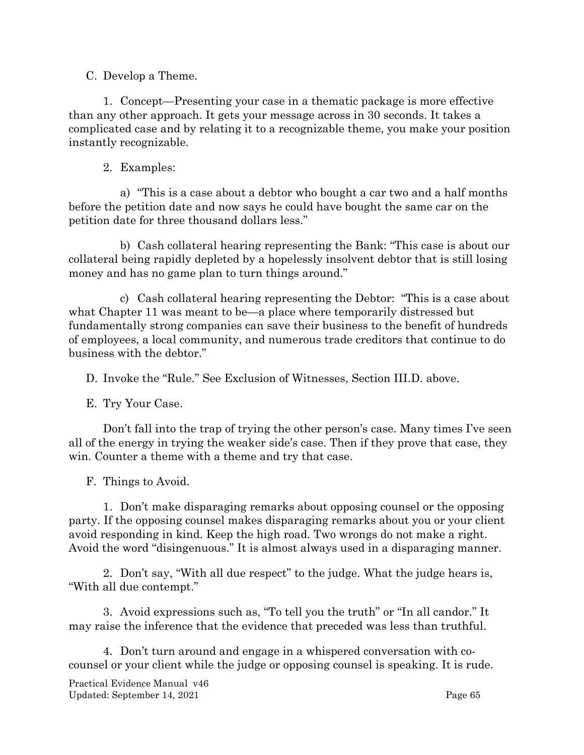#### <span id="page-67-0"></span>C. Develop a Theme.

1. Concept—Presenting your case in a thematic package is more effective than any other approach. It gets your message across in 30 seconds. It takes a complicated case and by relating it to a recognizable theme, you make your position instantly recognizable.

## 2. Examples:

a) "This is a case about a debtor who bought a car two and a half months before the petition date and now says he could have bought the same car on the petition date for three thousand dollars less."

b) Cash collateral hearing representing the Bank: "This case is about our collateral being rapidly depleted by a hopelessly insolvent debtor that is still losing money and has no game plan to turn things around."

c) Cash collateral hearing representing the Debtor: "This is a case about what Chapter 11 was meant to be—a place where temporarily distressed but fundamentally strong companies can save their business to the benefit of hundreds of employees, a local community, and numerous trade creditors that continue to do business with the debtor."

<span id="page-67-1"></span>D. Invoke the "Rule." See Exclusion of Witnesses, Section III.D. above.

<span id="page-67-2"></span>E. Try Your Case.

Don't fall into the trap of trying the other person's case. Many times I've seen all of the energy in trying the weaker side's case. Then if they prove that case, they win. Counter a theme with a theme and try that case.

<span id="page-67-3"></span>F. Things to Avoid.

1. Don't make disparaging remarks about opposing counsel or the opposing party. If the opposing counsel makes disparaging remarks about you or your client avoid responding in kind. Keep the high road. Two wrongs do not make a right. Avoid the word "disingenuous." It is almost always used in a disparaging manner.

2. Don't say, "With all due respect" to the judge. What the judge hears is, "With all due contempt."

3. Avoid expressions such as, "To tell you the truth" or "In all candor." It may raise the inference that the evidence that preceded was less than truthful.

4. Don't turn around and engage in a whispered conversation with cocounsel or your client while the judge or opposing counsel is speaking. It is rude.